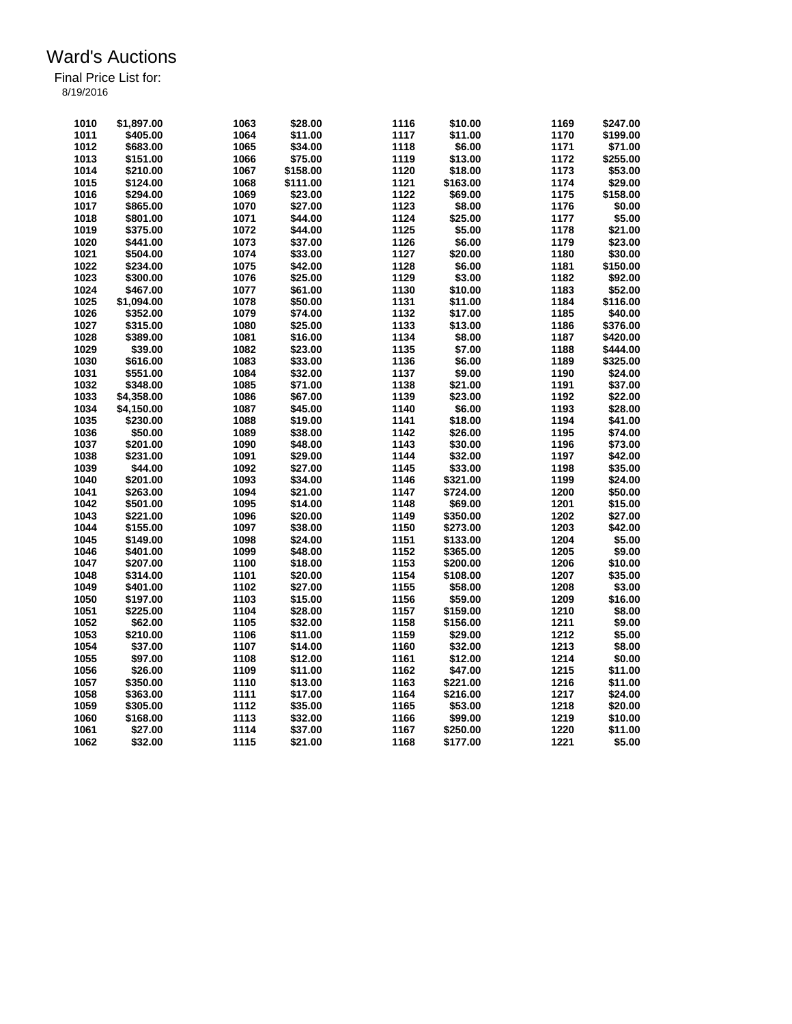| 1011<br>\$405.00<br>1064<br>\$11.00<br>1117<br>\$11.00<br>1170<br>\$199.00<br>1012<br>\$683.00<br>1065<br>\$34.00<br>1118<br>\$6.00<br>1171<br>\$71.00<br>1172<br>1013<br>\$151.00<br>1066<br>\$75.00<br>1119<br>\$13.00<br>\$255.00<br>1173<br>1014<br>\$210.00<br>1067<br>\$158.00<br>1120<br>\$18.00<br>\$53.00<br>1015<br>\$124.00<br>1068<br>\$111.00<br>1121<br>\$163.00<br>1174<br>\$29.00<br>1122<br>1016<br>\$294.00<br>1069<br>\$23.00<br>\$69.00<br>1175<br>\$158.00<br>1017<br>\$865.00<br>1070<br>\$27.00<br>1123<br>\$8.00<br>1176<br>\$0.00<br>1018<br>1071<br>\$44.00<br>1124<br>\$25.00<br>1177<br>\$5.00<br>\$801.00<br>1178<br>1019<br>\$375.00<br>1072<br>1125<br>\$5.00<br>\$21.00<br>\$44.00<br>1020<br>1073<br>1126<br>\$6.00<br>1179<br>\$23.00<br>\$441.00<br>\$37.00<br>1021<br>\$504.00<br>1074<br>\$33.00<br>1127<br>\$20.00<br>1180<br>\$30.00<br>1128<br>1022<br>\$234.00<br>1075<br>\$42.00<br>\$6.00<br>1181<br>\$150.00<br>1023<br>1076<br>1129<br>\$3.00<br>1182<br>\$92.00<br>\$300.00<br>\$25.00<br>1130<br>\$10.00<br>1183<br>1024<br>\$467.00<br>1077<br>\$61.00<br>\$52.00<br>1025<br>1078<br>1131<br>1184<br>\$116.00<br>\$1,094.00<br>\$50.00<br>\$11.00<br>1026<br>\$352.00<br>1079<br>\$74.00<br>1132<br>\$17.00<br>1185<br>\$40.00<br>1027<br>\$315.00<br>1080<br>\$25.00<br>1133<br>\$13.00<br>1186<br>\$376.00<br>1028<br>\$389.00<br>1081<br>1134<br>\$8.00<br>1187<br>\$420.00<br>\$16.00<br>1029<br>1135<br>\$39.00<br>1082<br>\$23.00<br>\$7.00<br>1188<br>\$444.00<br>1136<br>\$6.00<br>1189<br>1030<br>\$616.00<br>1083<br>\$33.00<br>\$325.00<br>1190<br>1031<br>\$551.00<br>1084<br>\$32.00<br>1137<br>\$9.00<br>\$24.00<br>1032<br>1085<br>\$71.00<br>1138<br>\$21.00<br>1191<br>\$37.00<br>\$348.00<br>1139<br>1192<br>1033<br>\$4,358.00<br>1086<br>\$67.00<br>\$23.00<br>\$22.00<br>1034<br>1087<br>\$45.00<br>1140<br>\$6.00<br>1193<br>\$28.00<br>\$4,150.00<br>1035<br>1088<br>1141<br>\$18.00<br>1194<br>\$41.00<br>\$230.00<br>\$19.00<br>1036<br>1089<br>1142<br>1195<br>\$74.00<br>\$50.00<br>\$38.00<br>\$26.00<br>1037<br>\$201.00<br>1090<br>\$48.00<br>1143<br>\$30.00<br>1196<br>\$73.00<br>1144<br>1038<br>\$231.00<br>1091<br>\$29.00<br>\$32.00<br>1197<br>\$42.00<br>1145<br>1039<br>\$44.00<br>1092<br>\$27.00<br>\$33.00<br>1198<br>\$35.00<br>1093<br>1146<br>1199<br>1040<br>\$201.00<br>\$34.00<br>\$321.00<br>\$24.00<br>1041<br>\$724.00<br>1200<br>\$50.00<br>\$263.00<br>1094<br>\$21.00<br>1147<br>1042<br>1095<br>1148<br>1201<br>\$15.00<br>\$501.00<br>\$14.00<br>\$69.00<br>1202<br>\$27.00<br>1043<br>\$221.00<br>1096<br>\$20.00<br>1149<br>\$350.00<br>1044<br>1097<br>\$38.00<br>1150<br>1203<br>\$42.00<br>\$155.00<br>\$273.00<br>1204<br>1045<br>1098<br>\$24.00<br>1151<br>\$5.00<br>\$149.00<br>\$133.00<br>1152<br>1205<br>1046<br>\$401.00<br>1099<br>\$48.00<br>\$365.00<br>\$9.00<br>1153<br>1206<br>1047<br>1100<br>\$200.00<br>\$10.00<br>\$207.00<br>\$18.00<br>1048<br>\$314.00<br>1101<br>\$20.00<br>1154<br>\$108.00<br>1207<br>\$35.00<br>1049<br>1102<br>1155<br>\$58.00<br>1208<br>\$3.00<br>\$401.00<br>\$27.00<br>1050<br>1156<br>1209<br>\$197.00<br>1103<br>\$15.00<br>\$59.00<br>\$16.00<br>1051<br>\$225.00<br>1104<br>1157<br>\$159.00<br>1210<br>\$8.00<br>\$28.00<br>1105<br>1158<br>1211<br>\$9.00<br>1052<br>\$62.00<br>\$32.00<br>\$156.00<br>1053<br>\$210.00<br>1106<br>1159<br>1212<br>\$5.00<br>\$11.00<br>\$29.00<br>1054<br>\$37.00<br>1107<br>\$14.00<br>1160<br>\$32.00<br>1213<br>\$8.00<br>1055<br>\$97.00<br>1108<br>\$12.00<br>1161<br>\$12.00<br>1214<br>\$0.00<br>1056<br>\$26.00<br>1109<br>\$11.00<br>1162<br>\$47.00<br>1215<br>\$11.00<br>1163<br>1216<br>1057<br>\$350.00<br>1110<br>\$221.00<br>\$11.00<br>\$13.00<br>1058<br>\$363.00<br>1111<br>\$17.00<br>1164<br>\$216.00<br>1217<br>\$24.00<br>1112<br>1218<br>1059<br>\$305.00<br>\$35.00<br>1165<br>\$53.00<br>\$20.00 | 1010 | \$1,897.00 | 1063 | \$28.00 | 1116 | \$10.00 | 1169 | \$247.00 |
|-----------------------------------------------------------------------------------------------------------------------------------------------------------------------------------------------------------------------------------------------------------------------------------------------------------------------------------------------------------------------------------------------------------------------------------------------------------------------------------------------------------------------------------------------------------------------------------------------------------------------------------------------------------------------------------------------------------------------------------------------------------------------------------------------------------------------------------------------------------------------------------------------------------------------------------------------------------------------------------------------------------------------------------------------------------------------------------------------------------------------------------------------------------------------------------------------------------------------------------------------------------------------------------------------------------------------------------------------------------------------------------------------------------------------------------------------------------------------------------------------------------------------------------------------------------------------------------------------------------------------------------------------------------------------------------------------------------------------------------------------------------------------------------------------------------------------------------------------------------------------------------------------------------------------------------------------------------------------------------------------------------------------------------------------------------------------------------------------------------------------------------------------------------------------------------------------------------------------------------------------------------------------------------------------------------------------------------------------------------------------------------------------------------------------------------------------------------------------------------------------------------------------------------------------------------------------------------------------------------------------------------------------------------------------------------------------------------------------------------------------------------------------------------------------------------------------------------------------------------------------------------------------------------------------------------------------------------------------------------------------------------------------------------------------------------------------------------------------------------------------------------------------------------------------------------------------------------------------------------------------------------------------------------------------------------------------------------------------------------------------------------------------------------------------------------------------------------------------------------------------------------------------------------------------------------------------------------------------------------------------------------------------------------------------------------------------------------------------------------------------------------------------------------------------------------------------------------------------------------------------------------------------------------------------------|------|------------|------|---------|------|---------|------|----------|
|                                                                                                                                                                                                                                                                                                                                                                                                                                                                                                                                                                                                                                                                                                                                                                                                                                                                                                                                                                                                                                                                                                                                                                                                                                                                                                                                                                                                                                                                                                                                                                                                                                                                                                                                                                                                                                                                                                                                                                                                                                                                                                                                                                                                                                                                                                                                                                                                                                                                                                                                                                                                                                                                                                                                                                                                                                                                                                                                                                                                                                                                                                                                                                                                                                                                                                                                                                                                                                                                                                                                                                                                                                                                                                                                                                                                                                                                                                                             |      |            |      |         |      |         |      |          |
|                                                                                                                                                                                                                                                                                                                                                                                                                                                                                                                                                                                                                                                                                                                                                                                                                                                                                                                                                                                                                                                                                                                                                                                                                                                                                                                                                                                                                                                                                                                                                                                                                                                                                                                                                                                                                                                                                                                                                                                                                                                                                                                                                                                                                                                                                                                                                                                                                                                                                                                                                                                                                                                                                                                                                                                                                                                                                                                                                                                                                                                                                                                                                                                                                                                                                                                                                                                                                                                                                                                                                                                                                                                                                                                                                                                                                                                                                                                             |      |            |      |         |      |         |      |          |
|                                                                                                                                                                                                                                                                                                                                                                                                                                                                                                                                                                                                                                                                                                                                                                                                                                                                                                                                                                                                                                                                                                                                                                                                                                                                                                                                                                                                                                                                                                                                                                                                                                                                                                                                                                                                                                                                                                                                                                                                                                                                                                                                                                                                                                                                                                                                                                                                                                                                                                                                                                                                                                                                                                                                                                                                                                                                                                                                                                                                                                                                                                                                                                                                                                                                                                                                                                                                                                                                                                                                                                                                                                                                                                                                                                                                                                                                                                                             |      |            |      |         |      |         |      |          |
|                                                                                                                                                                                                                                                                                                                                                                                                                                                                                                                                                                                                                                                                                                                                                                                                                                                                                                                                                                                                                                                                                                                                                                                                                                                                                                                                                                                                                                                                                                                                                                                                                                                                                                                                                                                                                                                                                                                                                                                                                                                                                                                                                                                                                                                                                                                                                                                                                                                                                                                                                                                                                                                                                                                                                                                                                                                                                                                                                                                                                                                                                                                                                                                                                                                                                                                                                                                                                                                                                                                                                                                                                                                                                                                                                                                                                                                                                                                             |      |            |      |         |      |         |      |          |
|                                                                                                                                                                                                                                                                                                                                                                                                                                                                                                                                                                                                                                                                                                                                                                                                                                                                                                                                                                                                                                                                                                                                                                                                                                                                                                                                                                                                                                                                                                                                                                                                                                                                                                                                                                                                                                                                                                                                                                                                                                                                                                                                                                                                                                                                                                                                                                                                                                                                                                                                                                                                                                                                                                                                                                                                                                                                                                                                                                                                                                                                                                                                                                                                                                                                                                                                                                                                                                                                                                                                                                                                                                                                                                                                                                                                                                                                                                                             |      |            |      |         |      |         |      |          |
|                                                                                                                                                                                                                                                                                                                                                                                                                                                                                                                                                                                                                                                                                                                                                                                                                                                                                                                                                                                                                                                                                                                                                                                                                                                                                                                                                                                                                                                                                                                                                                                                                                                                                                                                                                                                                                                                                                                                                                                                                                                                                                                                                                                                                                                                                                                                                                                                                                                                                                                                                                                                                                                                                                                                                                                                                                                                                                                                                                                                                                                                                                                                                                                                                                                                                                                                                                                                                                                                                                                                                                                                                                                                                                                                                                                                                                                                                                                             |      |            |      |         |      |         |      |          |
|                                                                                                                                                                                                                                                                                                                                                                                                                                                                                                                                                                                                                                                                                                                                                                                                                                                                                                                                                                                                                                                                                                                                                                                                                                                                                                                                                                                                                                                                                                                                                                                                                                                                                                                                                                                                                                                                                                                                                                                                                                                                                                                                                                                                                                                                                                                                                                                                                                                                                                                                                                                                                                                                                                                                                                                                                                                                                                                                                                                                                                                                                                                                                                                                                                                                                                                                                                                                                                                                                                                                                                                                                                                                                                                                                                                                                                                                                                                             |      |            |      |         |      |         |      |          |
|                                                                                                                                                                                                                                                                                                                                                                                                                                                                                                                                                                                                                                                                                                                                                                                                                                                                                                                                                                                                                                                                                                                                                                                                                                                                                                                                                                                                                                                                                                                                                                                                                                                                                                                                                                                                                                                                                                                                                                                                                                                                                                                                                                                                                                                                                                                                                                                                                                                                                                                                                                                                                                                                                                                                                                                                                                                                                                                                                                                                                                                                                                                                                                                                                                                                                                                                                                                                                                                                                                                                                                                                                                                                                                                                                                                                                                                                                                                             |      |            |      |         |      |         |      |          |
|                                                                                                                                                                                                                                                                                                                                                                                                                                                                                                                                                                                                                                                                                                                                                                                                                                                                                                                                                                                                                                                                                                                                                                                                                                                                                                                                                                                                                                                                                                                                                                                                                                                                                                                                                                                                                                                                                                                                                                                                                                                                                                                                                                                                                                                                                                                                                                                                                                                                                                                                                                                                                                                                                                                                                                                                                                                                                                                                                                                                                                                                                                                                                                                                                                                                                                                                                                                                                                                                                                                                                                                                                                                                                                                                                                                                                                                                                                                             |      |            |      |         |      |         |      |          |
|                                                                                                                                                                                                                                                                                                                                                                                                                                                                                                                                                                                                                                                                                                                                                                                                                                                                                                                                                                                                                                                                                                                                                                                                                                                                                                                                                                                                                                                                                                                                                                                                                                                                                                                                                                                                                                                                                                                                                                                                                                                                                                                                                                                                                                                                                                                                                                                                                                                                                                                                                                                                                                                                                                                                                                                                                                                                                                                                                                                                                                                                                                                                                                                                                                                                                                                                                                                                                                                                                                                                                                                                                                                                                                                                                                                                                                                                                                                             |      |            |      |         |      |         |      |          |
|                                                                                                                                                                                                                                                                                                                                                                                                                                                                                                                                                                                                                                                                                                                                                                                                                                                                                                                                                                                                                                                                                                                                                                                                                                                                                                                                                                                                                                                                                                                                                                                                                                                                                                                                                                                                                                                                                                                                                                                                                                                                                                                                                                                                                                                                                                                                                                                                                                                                                                                                                                                                                                                                                                                                                                                                                                                                                                                                                                                                                                                                                                                                                                                                                                                                                                                                                                                                                                                                                                                                                                                                                                                                                                                                                                                                                                                                                                                             |      |            |      |         |      |         |      |          |
|                                                                                                                                                                                                                                                                                                                                                                                                                                                                                                                                                                                                                                                                                                                                                                                                                                                                                                                                                                                                                                                                                                                                                                                                                                                                                                                                                                                                                                                                                                                                                                                                                                                                                                                                                                                                                                                                                                                                                                                                                                                                                                                                                                                                                                                                                                                                                                                                                                                                                                                                                                                                                                                                                                                                                                                                                                                                                                                                                                                                                                                                                                                                                                                                                                                                                                                                                                                                                                                                                                                                                                                                                                                                                                                                                                                                                                                                                                                             |      |            |      |         |      |         |      |          |
|                                                                                                                                                                                                                                                                                                                                                                                                                                                                                                                                                                                                                                                                                                                                                                                                                                                                                                                                                                                                                                                                                                                                                                                                                                                                                                                                                                                                                                                                                                                                                                                                                                                                                                                                                                                                                                                                                                                                                                                                                                                                                                                                                                                                                                                                                                                                                                                                                                                                                                                                                                                                                                                                                                                                                                                                                                                                                                                                                                                                                                                                                                                                                                                                                                                                                                                                                                                                                                                                                                                                                                                                                                                                                                                                                                                                                                                                                                                             |      |            |      |         |      |         |      |          |
|                                                                                                                                                                                                                                                                                                                                                                                                                                                                                                                                                                                                                                                                                                                                                                                                                                                                                                                                                                                                                                                                                                                                                                                                                                                                                                                                                                                                                                                                                                                                                                                                                                                                                                                                                                                                                                                                                                                                                                                                                                                                                                                                                                                                                                                                                                                                                                                                                                                                                                                                                                                                                                                                                                                                                                                                                                                                                                                                                                                                                                                                                                                                                                                                                                                                                                                                                                                                                                                                                                                                                                                                                                                                                                                                                                                                                                                                                                                             |      |            |      |         |      |         |      |          |
|                                                                                                                                                                                                                                                                                                                                                                                                                                                                                                                                                                                                                                                                                                                                                                                                                                                                                                                                                                                                                                                                                                                                                                                                                                                                                                                                                                                                                                                                                                                                                                                                                                                                                                                                                                                                                                                                                                                                                                                                                                                                                                                                                                                                                                                                                                                                                                                                                                                                                                                                                                                                                                                                                                                                                                                                                                                                                                                                                                                                                                                                                                                                                                                                                                                                                                                                                                                                                                                                                                                                                                                                                                                                                                                                                                                                                                                                                                                             |      |            |      |         |      |         |      |          |
|                                                                                                                                                                                                                                                                                                                                                                                                                                                                                                                                                                                                                                                                                                                                                                                                                                                                                                                                                                                                                                                                                                                                                                                                                                                                                                                                                                                                                                                                                                                                                                                                                                                                                                                                                                                                                                                                                                                                                                                                                                                                                                                                                                                                                                                                                                                                                                                                                                                                                                                                                                                                                                                                                                                                                                                                                                                                                                                                                                                                                                                                                                                                                                                                                                                                                                                                                                                                                                                                                                                                                                                                                                                                                                                                                                                                                                                                                                                             |      |            |      |         |      |         |      |          |
|                                                                                                                                                                                                                                                                                                                                                                                                                                                                                                                                                                                                                                                                                                                                                                                                                                                                                                                                                                                                                                                                                                                                                                                                                                                                                                                                                                                                                                                                                                                                                                                                                                                                                                                                                                                                                                                                                                                                                                                                                                                                                                                                                                                                                                                                                                                                                                                                                                                                                                                                                                                                                                                                                                                                                                                                                                                                                                                                                                                                                                                                                                                                                                                                                                                                                                                                                                                                                                                                                                                                                                                                                                                                                                                                                                                                                                                                                                                             |      |            |      |         |      |         |      |          |
|                                                                                                                                                                                                                                                                                                                                                                                                                                                                                                                                                                                                                                                                                                                                                                                                                                                                                                                                                                                                                                                                                                                                                                                                                                                                                                                                                                                                                                                                                                                                                                                                                                                                                                                                                                                                                                                                                                                                                                                                                                                                                                                                                                                                                                                                                                                                                                                                                                                                                                                                                                                                                                                                                                                                                                                                                                                                                                                                                                                                                                                                                                                                                                                                                                                                                                                                                                                                                                                                                                                                                                                                                                                                                                                                                                                                                                                                                                                             |      |            |      |         |      |         |      |          |
|                                                                                                                                                                                                                                                                                                                                                                                                                                                                                                                                                                                                                                                                                                                                                                                                                                                                                                                                                                                                                                                                                                                                                                                                                                                                                                                                                                                                                                                                                                                                                                                                                                                                                                                                                                                                                                                                                                                                                                                                                                                                                                                                                                                                                                                                                                                                                                                                                                                                                                                                                                                                                                                                                                                                                                                                                                                                                                                                                                                                                                                                                                                                                                                                                                                                                                                                                                                                                                                                                                                                                                                                                                                                                                                                                                                                                                                                                                                             |      |            |      |         |      |         |      |          |
|                                                                                                                                                                                                                                                                                                                                                                                                                                                                                                                                                                                                                                                                                                                                                                                                                                                                                                                                                                                                                                                                                                                                                                                                                                                                                                                                                                                                                                                                                                                                                                                                                                                                                                                                                                                                                                                                                                                                                                                                                                                                                                                                                                                                                                                                                                                                                                                                                                                                                                                                                                                                                                                                                                                                                                                                                                                                                                                                                                                                                                                                                                                                                                                                                                                                                                                                                                                                                                                                                                                                                                                                                                                                                                                                                                                                                                                                                                                             |      |            |      |         |      |         |      |          |
|                                                                                                                                                                                                                                                                                                                                                                                                                                                                                                                                                                                                                                                                                                                                                                                                                                                                                                                                                                                                                                                                                                                                                                                                                                                                                                                                                                                                                                                                                                                                                                                                                                                                                                                                                                                                                                                                                                                                                                                                                                                                                                                                                                                                                                                                                                                                                                                                                                                                                                                                                                                                                                                                                                                                                                                                                                                                                                                                                                                                                                                                                                                                                                                                                                                                                                                                                                                                                                                                                                                                                                                                                                                                                                                                                                                                                                                                                                                             |      |            |      |         |      |         |      |          |
|                                                                                                                                                                                                                                                                                                                                                                                                                                                                                                                                                                                                                                                                                                                                                                                                                                                                                                                                                                                                                                                                                                                                                                                                                                                                                                                                                                                                                                                                                                                                                                                                                                                                                                                                                                                                                                                                                                                                                                                                                                                                                                                                                                                                                                                                                                                                                                                                                                                                                                                                                                                                                                                                                                                                                                                                                                                                                                                                                                                                                                                                                                                                                                                                                                                                                                                                                                                                                                                                                                                                                                                                                                                                                                                                                                                                                                                                                                                             |      |            |      |         |      |         |      |          |
|                                                                                                                                                                                                                                                                                                                                                                                                                                                                                                                                                                                                                                                                                                                                                                                                                                                                                                                                                                                                                                                                                                                                                                                                                                                                                                                                                                                                                                                                                                                                                                                                                                                                                                                                                                                                                                                                                                                                                                                                                                                                                                                                                                                                                                                                                                                                                                                                                                                                                                                                                                                                                                                                                                                                                                                                                                                                                                                                                                                                                                                                                                                                                                                                                                                                                                                                                                                                                                                                                                                                                                                                                                                                                                                                                                                                                                                                                                                             |      |            |      |         |      |         |      |          |
|                                                                                                                                                                                                                                                                                                                                                                                                                                                                                                                                                                                                                                                                                                                                                                                                                                                                                                                                                                                                                                                                                                                                                                                                                                                                                                                                                                                                                                                                                                                                                                                                                                                                                                                                                                                                                                                                                                                                                                                                                                                                                                                                                                                                                                                                                                                                                                                                                                                                                                                                                                                                                                                                                                                                                                                                                                                                                                                                                                                                                                                                                                                                                                                                                                                                                                                                                                                                                                                                                                                                                                                                                                                                                                                                                                                                                                                                                                                             |      |            |      |         |      |         |      |          |
|                                                                                                                                                                                                                                                                                                                                                                                                                                                                                                                                                                                                                                                                                                                                                                                                                                                                                                                                                                                                                                                                                                                                                                                                                                                                                                                                                                                                                                                                                                                                                                                                                                                                                                                                                                                                                                                                                                                                                                                                                                                                                                                                                                                                                                                                                                                                                                                                                                                                                                                                                                                                                                                                                                                                                                                                                                                                                                                                                                                                                                                                                                                                                                                                                                                                                                                                                                                                                                                                                                                                                                                                                                                                                                                                                                                                                                                                                                                             |      |            |      |         |      |         |      |          |
|                                                                                                                                                                                                                                                                                                                                                                                                                                                                                                                                                                                                                                                                                                                                                                                                                                                                                                                                                                                                                                                                                                                                                                                                                                                                                                                                                                                                                                                                                                                                                                                                                                                                                                                                                                                                                                                                                                                                                                                                                                                                                                                                                                                                                                                                                                                                                                                                                                                                                                                                                                                                                                                                                                                                                                                                                                                                                                                                                                                                                                                                                                                                                                                                                                                                                                                                                                                                                                                                                                                                                                                                                                                                                                                                                                                                                                                                                                                             |      |            |      |         |      |         |      |          |
|                                                                                                                                                                                                                                                                                                                                                                                                                                                                                                                                                                                                                                                                                                                                                                                                                                                                                                                                                                                                                                                                                                                                                                                                                                                                                                                                                                                                                                                                                                                                                                                                                                                                                                                                                                                                                                                                                                                                                                                                                                                                                                                                                                                                                                                                                                                                                                                                                                                                                                                                                                                                                                                                                                                                                                                                                                                                                                                                                                                                                                                                                                                                                                                                                                                                                                                                                                                                                                                                                                                                                                                                                                                                                                                                                                                                                                                                                                                             |      |            |      |         |      |         |      |          |
|                                                                                                                                                                                                                                                                                                                                                                                                                                                                                                                                                                                                                                                                                                                                                                                                                                                                                                                                                                                                                                                                                                                                                                                                                                                                                                                                                                                                                                                                                                                                                                                                                                                                                                                                                                                                                                                                                                                                                                                                                                                                                                                                                                                                                                                                                                                                                                                                                                                                                                                                                                                                                                                                                                                                                                                                                                                                                                                                                                                                                                                                                                                                                                                                                                                                                                                                                                                                                                                                                                                                                                                                                                                                                                                                                                                                                                                                                                                             |      |            |      |         |      |         |      |          |
|                                                                                                                                                                                                                                                                                                                                                                                                                                                                                                                                                                                                                                                                                                                                                                                                                                                                                                                                                                                                                                                                                                                                                                                                                                                                                                                                                                                                                                                                                                                                                                                                                                                                                                                                                                                                                                                                                                                                                                                                                                                                                                                                                                                                                                                                                                                                                                                                                                                                                                                                                                                                                                                                                                                                                                                                                                                                                                                                                                                                                                                                                                                                                                                                                                                                                                                                                                                                                                                                                                                                                                                                                                                                                                                                                                                                                                                                                                                             |      |            |      |         |      |         |      |          |
|                                                                                                                                                                                                                                                                                                                                                                                                                                                                                                                                                                                                                                                                                                                                                                                                                                                                                                                                                                                                                                                                                                                                                                                                                                                                                                                                                                                                                                                                                                                                                                                                                                                                                                                                                                                                                                                                                                                                                                                                                                                                                                                                                                                                                                                                                                                                                                                                                                                                                                                                                                                                                                                                                                                                                                                                                                                                                                                                                                                                                                                                                                                                                                                                                                                                                                                                                                                                                                                                                                                                                                                                                                                                                                                                                                                                                                                                                                                             |      |            |      |         |      |         |      |          |
|                                                                                                                                                                                                                                                                                                                                                                                                                                                                                                                                                                                                                                                                                                                                                                                                                                                                                                                                                                                                                                                                                                                                                                                                                                                                                                                                                                                                                                                                                                                                                                                                                                                                                                                                                                                                                                                                                                                                                                                                                                                                                                                                                                                                                                                                                                                                                                                                                                                                                                                                                                                                                                                                                                                                                                                                                                                                                                                                                                                                                                                                                                                                                                                                                                                                                                                                                                                                                                                                                                                                                                                                                                                                                                                                                                                                                                                                                                                             |      |            |      |         |      |         |      |          |
|                                                                                                                                                                                                                                                                                                                                                                                                                                                                                                                                                                                                                                                                                                                                                                                                                                                                                                                                                                                                                                                                                                                                                                                                                                                                                                                                                                                                                                                                                                                                                                                                                                                                                                                                                                                                                                                                                                                                                                                                                                                                                                                                                                                                                                                                                                                                                                                                                                                                                                                                                                                                                                                                                                                                                                                                                                                                                                                                                                                                                                                                                                                                                                                                                                                                                                                                                                                                                                                                                                                                                                                                                                                                                                                                                                                                                                                                                                                             |      |            |      |         |      |         |      |          |
|                                                                                                                                                                                                                                                                                                                                                                                                                                                                                                                                                                                                                                                                                                                                                                                                                                                                                                                                                                                                                                                                                                                                                                                                                                                                                                                                                                                                                                                                                                                                                                                                                                                                                                                                                                                                                                                                                                                                                                                                                                                                                                                                                                                                                                                                                                                                                                                                                                                                                                                                                                                                                                                                                                                                                                                                                                                                                                                                                                                                                                                                                                                                                                                                                                                                                                                                                                                                                                                                                                                                                                                                                                                                                                                                                                                                                                                                                                                             |      |            |      |         |      |         |      |          |
|                                                                                                                                                                                                                                                                                                                                                                                                                                                                                                                                                                                                                                                                                                                                                                                                                                                                                                                                                                                                                                                                                                                                                                                                                                                                                                                                                                                                                                                                                                                                                                                                                                                                                                                                                                                                                                                                                                                                                                                                                                                                                                                                                                                                                                                                                                                                                                                                                                                                                                                                                                                                                                                                                                                                                                                                                                                                                                                                                                                                                                                                                                                                                                                                                                                                                                                                                                                                                                                                                                                                                                                                                                                                                                                                                                                                                                                                                                                             |      |            |      |         |      |         |      |          |
|                                                                                                                                                                                                                                                                                                                                                                                                                                                                                                                                                                                                                                                                                                                                                                                                                                                                                                                                                                                                                                                                                                                                                                                                                                                                                                                                                                                                                                                                                                                                                                                                                                                                                                                                                                                                                                                                                                                                                                                                                                                                                                                                                                                                                                                                                                                                                                                                                                                                                                                                                                                                                                                                                                                                                                                                                                                                                                                                                                                                                                                                                                                                                                                                                                                                                                                                                                                                                                                                                                                                                                                                                                                                                                                                                                                                                                                                                                                             |      |            |      |         |      |         |      |          |
|                                                                                                                                                                                                                                                                                                                                                                                                                                                                                                                                                                                                                                                                                                                                                                                                                                                                                                                                                                                                                                                                                                                                                                                                                                                                                                                                                                                                                                                                                                                                                                                                                                                                                                                                                                                                                                                                                                                                                                                                                                                                                                                                                                                                                                                                                                                                                                                                                                                                                                                                                                                                                                                                                                                                                                                                                                                                                                                                                                                                                                                                                                                                                                                                                                                                                                                                                                                                                                                                                                                                                                                                                                                                                                                                                                                                                                                                                                                             |      |            |      |         |      |         |      |          |
|                                                                                                                                                                                                                                                                                                                                                                                                                                                                                                                                                                                                                                                                                                                                                                                                                                                                                                                                                                                                                                                                                                                                                                                                                                                                                                                                                                                                                                                                                                                                                                                                                                                                                                                                                                                                                                                                                                                                                                                                                                                                                                                                                                                                                                                                                                                                                                                                                                                                                                                                                                                                                                                                                                                                                                                                                                                                                                                                                                                                                                                                                                                                                                                                                                                                                                                                                                                                                                                                                                                                                                                                                                                                                                                                                                                                                                                                                                                             |      |            |      |         |      |         |      |          |
|                                                                                                                                                                                                                                                                                                                                                                                                                                                                                                                                                                                                                                                                                                                                                                                                                                                                                                                                                                                                                                                                                                                                                                                                                                                                                                                                                                                                                                                                                                                                                                                                                                                                                                                                                                                                                                                                                                                                                                                                                                                                                                                                                                                                                                                                                                                                                                                                                                                                                                                                                                                                                                                                                                                                                                                                                                                                                                                                                                                                                                                                                                                                                                                                                                                                                                                                                                                                                                                                                                                                                                                                                                                                                                                                                                                                                                                                                                                             |      |            |      |         |      |         |      |          |
|                                                                                                                                                                                                                                                                                                                                                                                                                                                                                                                                                                                                                                                                                                                                                                                                                                                                                                                                                                                                                                                                                                                                                                                                                                                                                                                                                                                                                                                                                                                                                                                                                                                                                                                                                                                                                                                                                                                                                                                                                                                                                                                                                                                                                                                                                                                                                                                                                                                                                                                                                                                                                                                                                                                                                                                                                                                                                                                                                                                                                                                                                                                                                                                                                                                                                                                                                                                                                                                                                                                                                                                                                                                                                                                                                                                                                                                                                                                             |      |            |      |         |      |         |      |          |
|                                                                                                                                                                                                                                                                                                                                                                                                                                                                                                                                                                                                                                                                                                                                                                                                                                                                                                                                                                                                                                                                                                                                                                                                                                                                                                                                                                                                                                                                                                                                                                                                                                                                                                                                                                                                                                                                                                                                                                                                                                                                                                                                                                                                                                                                                                                                                                                                                                                                                                                                                                                                                                                                                                                                                                                                                                                                                                                                                                                                                                                                                                                                                                                                                                                                                                                                                                                                                                                                                                                                                                                                                                                                                                                                                                                                                                                                                                                             |      |            |      |         |      |         |      |          |
|                                                                                                                                                                                                                                                                                                                                                                                                                                                                                                                                                                                                                                                                                                                                                                                                                                                                                                                                                                                                                                                                                                                                                                                                                                                                                                                                                                                                                                                                                                                                                                                                                                                                                                                                                                                                                                                                                                                                                                                                                                                                                                                                                                                                                                                                                                                                                                                                                                                                                                                                                                                                                                                                                                                                                                                                                                                                                                                                                                                                                                                                                                                                                                                                                                                                                                                                                                                                                                                                                                                                                                                                                                                                                                                                                                                                                                                                                                                             |      |            |      |         |      |         |      |          |
|                                                                                                                                                                                                                                                                                                                                                                                                                                                                                                                                                                                                                                                                                                                                                                                                                                                                                                                                                                                                                                                                                                                                                                                                                                                                                                                                                                                                                                                                                                                                                                                                                                                                                                                                                                                                                                                                                                                                                                                                                                                                                                                                                                                                                                                                                                                                                                                                                                                                                                                                                                                                                                                                                                                                                                                                                                                                                                                                                                                                                                                                                                                                                                                                                                                                                                                                                                                                                                                                                                                                                                                                                                                                                                                                                                                                                                                                                                                             |      |            |      |         |      |         |      |          |
|                                                                                                                                                                                                                                                                                                                                                                                                                                                                                                                                                                                                                                                                                                                                                                                                                                                                                                                                                                                                                                                                                                                                                                                                                                                                                                                                                                                                                                                                                                                                                                                                                                                                                                                                                                                                                                                                                                                                                                                                                                                                                                                                                                                                                                                                                                                                                                                                                                                                                                                                                                                                                                                                                                                                                                                                                                                                                                                                                                                                                                                                                                                                                                                                                                                                                                                                                                                                                                                                                                                                                                                                                                                                                                                                                                                                                                                                                                                             |      |            |      |         |      |         |      |          |
|                                                                                                                                                                                                                                                                                                                                                                                                                                                                                                                                                                                                                                                                                                                                                                                                                                                                                                                                                                                                                                                                                                                                                                                                                                                                                                                                                                                                                                                                                                                                                                                                                                                                                                                                                                                                                                                                                                                                                                                                                                                                                                                                                                                                                                                                                                                                                                                                                                                                                                                                                                                                                                                                                                                                                                                                                                                                                                                                                                                                                                                                                                                                                                                                                                                                                                                                                                                                                                                                                                                                                                                                                                                                                                                                                                                                                                                                                                                             |      |            |      |         |      |         |      |          |
|                                                                                                                                                                                                                                                                                                                                                                                                                                                                                                                                                                                                                                                                                                                                                                                                                                                                                                                                                                                                                                                                                                                                                                                                                                                                                                                                                                                                                                                                                                                                                                                                                                                                                                                                                                                                                                                                                                                                                                                                                                                                                                                                                                                                                                                                                                                                                                                                                                                                                                                                                                                                                                                                                                                                                                                                                                                                                                                                                                                                                                                                                                                                                                                                                                                                                                                                                                                                                                                                                                                                                                                                                                                                                                                                                                                                                                                                                                                             |      |            |      |         |      |         |      |          |
|                                                                                                                                                                                                                                                                                                                                                                                                                                                                                                                                                                                                                                                                                                                                                                                                                                                                                                                                                                                                                                                                                                                                                                                                                                                                                                                                                                                                                                                                                                                                                                                                                                                                                                                                                                                                                                                                                                                                                                                                                                                                                                                                                                                                                                                                                                                                                                                                                                                                                                                                                                                                                                                                                                                                                                                                                                                                                                                                                                                                                                                                                                                                                                                                                                                                                                                                                                                                                                                                                                                                                                                                                                                                                                                                                                                                                                                                                                                             |      |            |      |         |      |         |      |          |
|                                                                                                                                                                                                                                                                                                                                                                                                                                                                                                                                                                                                                                                                                                                                                                                                                                                                                                                                                                                                                                                                                                                                                                                                                                                                                                                                                                                                                                                                                                                                                                                                                                                                                                                                                                                                                                                                                                                                                                                                                                                                                                                                                                                                                                                                                                                                                                                                                                                                                                                                                                                                                                                                                                                                                                                                                                                                                                                                                                                                                                                                                                                                                                                                                                                                                                                                                                                                                                                                                                                                                                                                                                                                                                                                                                                                                                                                                                                             |      |            |      |         |      |         |      |          |
|                                                                                                                                                                                                                                                                                                                                                                                                                                                                                                                                                                                                                                                                                                                                                                                                                                                                                                                                                                                                                                                                                                                                                                                                                                                                                                                                                                                                                                                                                                                                                                                                                                                                                                                                                                                                                                                                                                                                                                                                                                                                                                                                                                                                                                                                                                                                                                                                                                                                                                                                                                                                                                                                                                                                                                                                                                                                                                                                                                                                                                                                                                                                                                                                                                                                                                                                                                                                                                                                                                                                                                                                                                                                                                                                                                                                                                                                                                                             |      |            |      |         |      |         |      |          |
|                                                                                                                                                                                                                                                                                                                                                                                                                                                                                                                                                                                                                                                                                                                                                                                                                                                                                                                                                                                                                                                                                                                                                                                                                                                                                                                                                                                                                                                                                                                                                                                                                                                                                                                                                                                                                                                                                                                                                                                                                                                                                                                                                                                                                                                                                                                                                                                                                                                                                                                                                                                                                                                                                                                                                                                                                                                                                                                                                                                                                                                                                                                                                                                                                                                                                                                                                                                                                                                                                                                                                                                                                                                                                                                                                                                                                                                                                                                             |      |            |      |         |      |         |      |          |
|                                                                                                                                                                                                                                                                                                                                                                                                                                                                                                                                                                                                                                                                                                                                                                                                                                                                                                                                                                                                                                                                                                                                                                                                                                                                                                                                                                                                                                                                                                                                                                                                                                                                                                                                                                                                                                                                                                                                                                                                                                                                                                                                                                                                                                                                                                                                                                                                                                                                                                                                                                                                                                                                                                                                                                                                                                                                                                                                                                                                                                                                                                                                                                                                                                                                                                                                                                                                                                                                                                                                                                                                                                                                                                                                                                                                                                                                                                                             |      |            |      |         |      |         |      |          |
|                                                                                                                                                                                                                                                                                                                                                                                                                                                                                                                                                                                                                                                                                                                                                                                                                                                                                                                                                                                                                                                                                                                                                                                                                                                                                                                                                                                                                                                                                                                                                                                                                                                                                                                                                                                                                                                                                                                                                                                                                                                                                                                                                                                                                                                                                                                                                                                                                                                                                                                                                                                                                                                                                                                                                                                                                                                                                                                                                                                                                                                                                                                                                                                                                                                                                                                                                                                                                                                                                                                                                                                                                                                                                                                                                                                                                                                                                                                             |      |            |      |         |      |         |      |          |
|                                                                                                                                                                                                                                                                                                                                                                                                                                                                                                                                                                                                                                                                                                                                                                                                                                                                                                                                                                                                                                                                                                                                                                                                                                                                                                                                                                                                                                                                                                                                                                                                                                                                                                                                                                                                                                                                                                                                                                                                                                                                                                                                                                                                                                                                                                                                                                                                                                                                                                                                                                                                                                                                                                                                                                                                                                                                                                                                                                                                                                                                                                                                                                                                                                                                                                                                                                                                                                                                                                                                                                                                                                                                                                                                                                                                                                                                                                                             | 1060 | \$168.00   | 1113 | \$32.00 | 1166 | \$99.00 | 1219 | \$10.00  |
| 1061<br>1114<br>1167<br>1220<br>\$27.00<br>\$37.00<br>\$250.00<br>\$11.00                                                                                                                                                                                                                                                                                                                                                                                                                                                                                                                                                                                                                                                                                                                                                                                                                                                                                                                                                                                                                                                                                                                                                                                                                                                                                                                                                                                                                                                                                                                                                                                                                                                                                                                                                                                                                                                                                                                                                                                                                                                                                                                                                                                                                                                                                                                                                                                                                                                                                                                                                                                                                                                                                                                                                                                                                                                                                                                                                                                                                                                                                                                                                                                                                                                                                                                                                                                                                                                                                                                                                                                                                                                                                                                                                                                                                                                   |      |            |      |         |      |         |      |          |
| 1221<br>1115<br>1168<br>\$5.00<br>1062<br>\$32.00<br>\$21.00<br>\$177.00                                                                                                                                                                                                                                                                                                                                                                                                                                                                                                                                                                                                                                                                                                                                                                                                                                                                                                                                                                                                                                                                                                                                                                                                                                                                                                                                                                                                                                                                                                                                                                                                                                                                                                                                                                                                                                                                                                                                                                                                                                                                                                                                                                                                                                                                                                                                                                                                                                                                                                                                                                                                                                                                                                                                                                                                                                                                                                                                                                                                                                                                                                                                                                                                                                                                                                                                                                                                                                                                                                                                                                                                                                                                                                                                                                                                                                                    |      |            |      |         |      |         |      |          |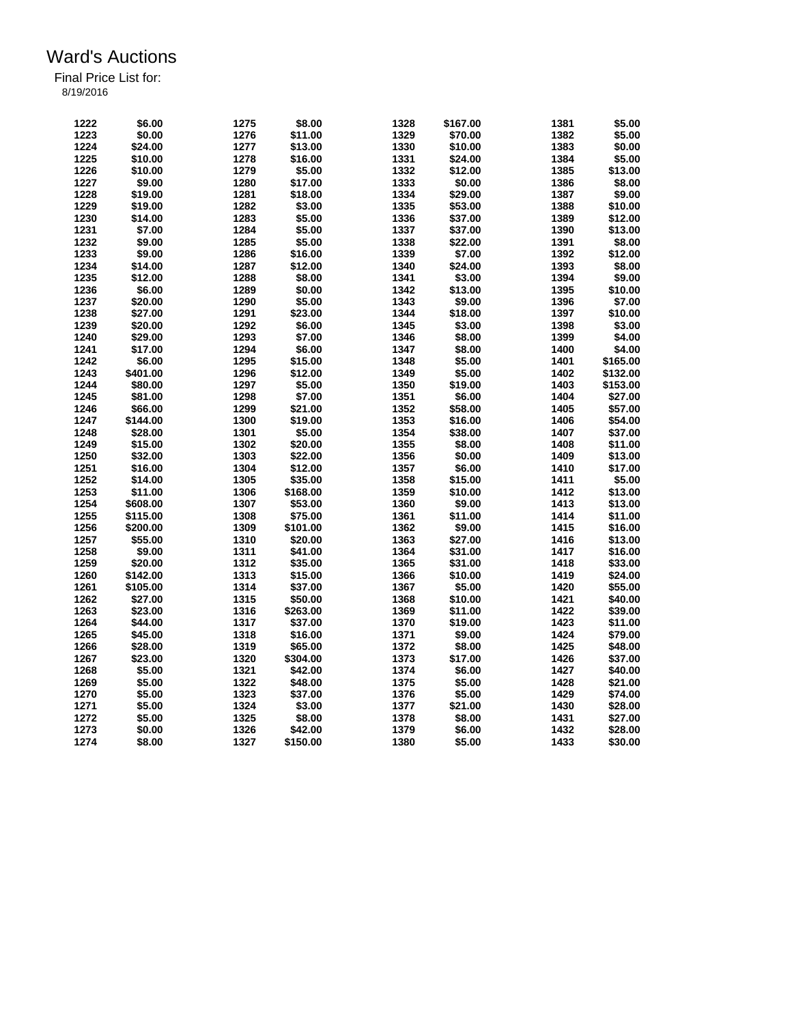| 1222 | \$6.00   | 1275 | \$8.00   | 1328 | \$167.00 | 1381 | \$5.00   |
|------|----------|------|----------|------|----------|------|----------|
| 1223 | \$0.00   | 1276 | \$11.00  | 1329 | \$70.00  | 1382 | \$5.00   |
| 1224 | \$24.00  | 1277 | \$13.00  | 1330 | \$10.00  | 1383 | \$0.00   |
| 1225 | \$10.00  | 1278 | \$16.00  | 1331 | \$24.00  | 1384 | \$5.00   |
| 1226 | \$10.00  | 1279 | \$5.00   | 1332 | \$12.00  | 1385 | \$13.00  |
| 1227 | \$9.00   | 1280 | \$17.00  | 1333 | \$0.00   | 1386 | \$8.00   |
| 1228 | \$19.00  | 1281 | \$18.00  | 1334 | \$29.00  | 1387 | \$9.00   |
| 1229 | \$19.00  | 1282 | \$3.00   | 1335 | \$53.00  | 1388 | \$10.00  |
| 1230 | \$14.00  | 1283 | \$5.00   | 1336 | \$37.00  | 1389 | \$12.00  |
| 1231 | \$7.00   | 1284 | \$5.00   | 1337 | \$37.00  | 1390 | \$13.00  |
| 1232 | \$9.00   | 1285 | \$5.00   | 1338 | \$22.00  | 1391 | \$8.00   |
| 1233 | \$9.00   | 1286 | \$16.00  | 1339 | \$7.00   | 1392 | \$12.00  |
| 1234 | \$14.00  | 1287 | \$12.00  | 1340 | \$24.00  | 1393 | \$8.00   |
| 1235 | \$12.00  | 1288 | \$8.00   | 1341 | \$3.00   | 1394 | \$9.00   |
| 1236 | \$6.00   | 1289 | \$0.00   | 1342 | \$13.00  | 1395 | \$10.00  |
| 1237 | \$20.00  | 1290 | \$5.00   | 1343 | \$9.00   | 1396 | \$7.00   |
| 1238 | \$27.00  | 1291 | \$23.00  | 1344 | \$18.00  | 1397 | \$10.00  |
| 1239 | \$20.00  | 1292 | \$6.00   | 1345 | \$3.00   | 1398 | \$3.00   |
|      |          |      |          |      |          |      |          |
| 1240 | \$29.00  | 1293 | \$7.00   | 1346 | \$8.00   | 1399 | \$4.00   |
| 1241 | \$17.00  | 1294 | \$6.00   | 1347 | \$8.00   | 1400 | \$4.00   |
| 1242 | \$6.00   | 1295 | \$15.00  | 1348 | \$5.00   | 1401 | \$165.00 |
| 1243 | \$401.00 | 1296 | \$12.00  | 1349 | \$5.00   | 1402 | \$132.00 |
| 1244 | \$80.00  | 1297 | \$5.00   | 1350 | \$19.00  | 1403 | \$153.00 |
| 1245 | \$81.00  | 1298 | \$7.00   | 1351 | \$6.00   | 1404 | \$27.00  |
| 1246 | \$66.00  | 1299 | \$21.00  | 1352 | \$58.00  | 1405 | \$57.00  |
| 1247 | \$144.00 | 1300 | \$19.00  | 1353 | \$16.00  | 1406 | \$54.00  |
| 1248 | \$28.00  | 1301 | \$5.00   | 1354 | \$38.00  | 1407 | \$37.00  |
| 1249 | \$15.00  | 1302 | \$20.00  | 1355 | \$8.00   | 1408 | \$11.00  |
| 1250 | \$32.00  | 1303 | \$22.00  | 1356 | \$0.00   | 1409 | \$13.00  |
| 1251 | \$16.00  | 1304 | \$12.00  | 1357 | \$6.00   | 1410 | \$17.00  |
| 1252 | \$14.00  | 1305 | \$35.00  | 1358 | \$15.00  | 1411 | \$5.00   |
| 1253 | \$11.00  | 1306 | \$168.00 | 1359 | \$10.00  | 1412 | \$13.00  |
| 1254 | \$608.00 | 1307 | \$53.00  | 1360 | \$9.00   | 1413 | \$13.00  |
| 1255 | \$115.00 | 1308 | \$75.00  | 1361 | \$11.00  | 1414 | \$11.00  |
| 1256 | \$200.00 | 1309 | \$101.00 | 1362 | \$9.00   | 1415 | \$16.00  |
| 1257 | \$55.00  | 1310 | \$20.00  | 1363 | \$27.00  | 1416 | \$13.00  |
| 1258 | \$9.00   | 1311 | \$41.00  | 1364 | \$31.00  | 1417 | \$16.00  |
| 1259 | \$20.00  | 1312 | \$35.00  | 1365 | \$31.00  | 1418 | \$33.00  |
| 1260 | \$142.00 | 1313 | \$15.00  | 1366 | \$10.00  | 1419 | \$24.00  |
| 1261 | \$105.00 | 1314 | \$37.00  | 1367 | \$5.00   | 1420 | \$55.00  |
| 1262 | \$27.00  | 1315 | \$50.00  | 1368 | \$10.00  | 1421 | \$40.00  |
| 1263 | \$23.00  | 1316 | \$263.00 | 1369 | \$11.00  | 1422 | \$39.00  |
| 1264 | \$44.00  | 1317 | \$37.00  | 1370 | \$19.00  | 1423 | \$11.00  |
| 1265 | \$45.00  | 1318 | \$16.00  | 1371 | \$9.00   | 1424 | \$79.00  |
| 1266 | \$28.00  | 1319 | \$65.00  | 1372 | \$8.00   | 1425 | \$48.00  |
| 1267 | \$23.00  | 1320 | \$304.00 | 1373 | \$17.00  | 1426 | \$37.00  |
|      | \$5.00   |      | \$42.00  | 1374 |          |      |          |
| 1268 |          | 1321 |          |      | \$6.00   | 1427 | \$40.00  |
| 1269 | \$5.00   | 1322 | \$48.00  | 1375 | \$5.00   | 1428 | \$21.00  |
| 1270 | \$5.00   | 1323 | \$37.00  | 1376 | \$5.00   | 1429 | \$74.00  |
| 1271 | \$5.00   | 1324 | \$3.00   | 1377 | \$21.00  | 1430 | \$28.00  |
| 1272 | \$5.00   | 1325 | \$8.00   | 1378 | \$8.00   | 1431 | \$27.00  |
| 1273 | \$0.00   | 1326 | \$42.00  | 1379 | \$6.00   | 1432 | \$28.00  |
| 1274 | \$8.00   | 1327 | \$150.00 | 1380 | \$5.00   | 1433 | \$30.00  |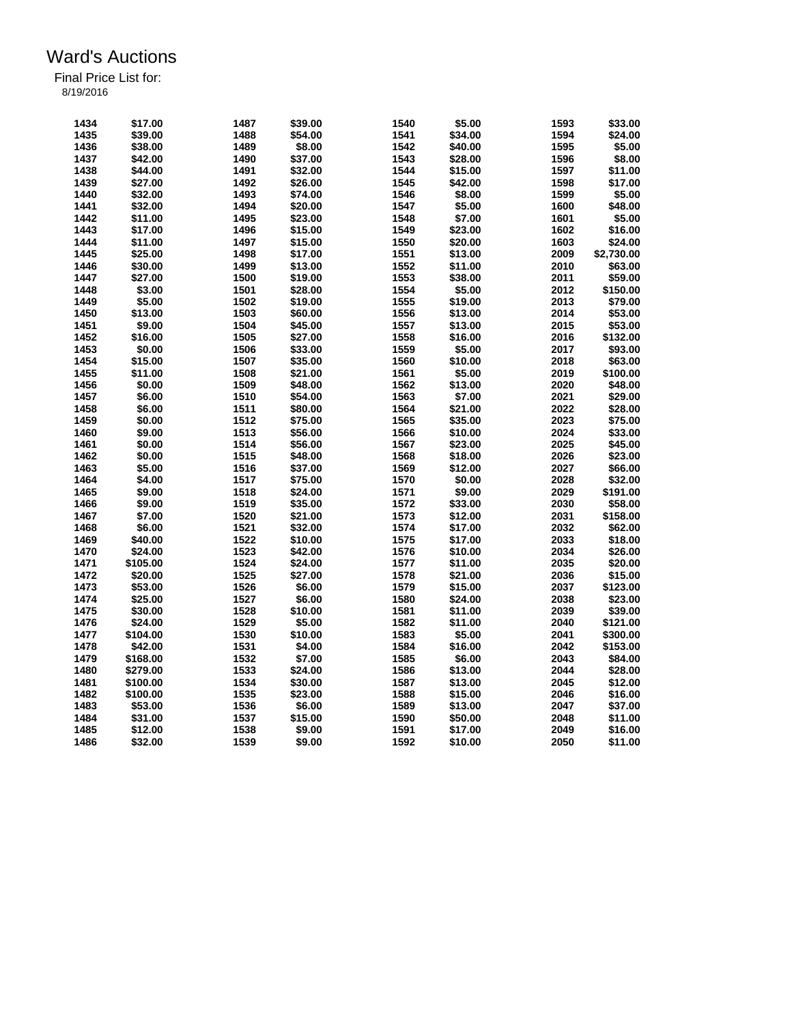| 1434 | \$17.00  | 1487 | \$39.00 | 1540 | \$5.00  | 1593 | \$33.00    |
|------|----------|------|---------|------|---------|------|------------|
| 1435 | \$39.00  | 1488 | \$54.00 | 1541 | \$34.00 | 1594 | \$24.00    |
| 1436 | \$38.00  | 1489 | \$8.00  | 1542 | \$40.00 | 1595 | \$5.00     |
| 1437 | \$42.00  | 1490 | \$37.00 | 1543 | \$28.00 | 1596 | \$8.00     |
| 1438 | \$44.00  | 1491 | \$32.00 | 1544 | \$15.00 | 1597 | \$11.00    |
| 1439 | \$27.00  | 1492 | \$26.00 | 1545 | \$42.00 | 1598 | \$17.00    |
| 1440 | \$32.00  | 1493 | \$74.00 | 1546 | \$8.00  | 1599 | \$5.00     |
| 1441 | \$32.00  | 1494 | \$20.00 | 1547 | \$5.00  | 1600 | \$48.00    |
| 1442 | \$11.00  | 1495 | \$23.00 | 1548 | \$7.00  | 1601 | \$5.00     |
| 1443 | \$17.00  | 1496 | \$15.00 | 1549 | \$23.00 | 1602 | \$16.00    |
| 1444 | \$11.00  | 1497 | \$15.00 | 1550 | \$20.00 | 1603 | \$24.00    |
| 1445 | \$25.00  | 1498 | \$17.00 | 1551 | \$13.00 | 2009 | \$2,730.00 |
| 1446 | \$30.00  | 1499 | \$13.00 | 1552 | \$11.00 | 2010 | \$63.00    |
| 1447 | \$27.00  | 1500 | \$19.00 | 1553 | \$38.00 | 2011 | \$59.00    |
| 1448 | \$3.00   | 1501 | \$28.00 | 1554 | \$5.00  | 2012 | \$150.00   |
| 1449 | \$5.00   | 1502 | \$19.00 | 1555 | \$19.00 | 2013 | \$79.00    |
| 1450 | \$13.00  | 1503 | \$60.00 | 1556 | \$13.00 | 2014 | \$53.00    |
| 1451 | \$9.00   | 1504 |         |      |         | 2015 |            |
|      |          |      | \$45.00 | 1557 | \$13.00 |      | \$53.00    |
| 1452 | \$16.00  | 1505 | \$27.00 | 1558 | \$16.00 | 2016 | \$132.00   |
| 1453 | \$0.00   | 1506 | \$33.00 | 1559 | \$5.00  | 2017 | \$93.00    |
| 1454 | \$15.00  | 1507 | \$35.00 | 1560 | \$10.00 | 2018 | \$63.00    |
| 1455 | \$11.00  | 1508 | \$21.00 | 1561 | \$5.00  | 2019 | \$100.00   |
| 1456 | \$0.00   | 1509 | \$48.00 | 1562 | \$13.00 | 2020 | \$48.00    |
| 1457 | \$6.00   | 1510 | \$54.00 | 1563 | \$7.00  | 2021 | \$29.00    |
| 1458 | \$6.00   | 1511 | \$80.00 | 1564 | \$21.00 | 2022 | \$28.00    |
| 1459 | \$0.00   | 1512 | \$75.00 | 1565 | \$35.00 | 2023 | \$75.00    |
| 1460 | \$9.00   | 1513 | \$56.00 | 1566 | \$10.00 | 2024 | \$33.00    |
| 1461 | \$0.00   | 1514 | \$56.00 | 1567 | \$23.00 | 2025 | \$45.00    |
| 1462 | \$0.00   | 1515 | \$48.00 | 1568 | \$18.00 | 2026 | \$23.00    |
| 1463 | \$5.00   | 1516 | \$37.00 | 1569 | \$12.00 | 2027 | \$66.00    |
| 1464 | \$4.00   | 1517 | \$75.00 | 1570 | \$0.00  | 2028 | \$32.00    |
| 1465 | \$9.00   | 1518 | \$24.00 | 1571 | \$9.00  | 2029 | \$191.00   |
| 1466 | \$9.00   | 1519 | \$35.00 | 1572 | \$33.00 | 2030 | \$58.00    |
| 1467 | \$7.00   | 1520 | \$21.00 | 1573 | \$12.00 | 2031 | \$158.00   |
| 1468 | \$6.00   | 1521 | \$32.00 | 1574 | \$17.00 | 2032 | \$62.00    |
| 1469 | \$40.00  | 1522 | \$10.00 | 1575 | \$17.00 | 2033 | \$18.00    |
| 1470 | \$24.00  | 1523 | \$42.00 | 1576 | \$10.00 | 2034 | \$26.00    |
| 1471 | \$105.00 | 1524 | \$24.00 | 1577 | \$11.00 | 2035 | \$20.00    |
| 1472 | \$20.00  | 1525 | \$27.00 | 1578 | \$21.00 | 2036 | \$15.00    |
| 1473 | \$53.00  | 1526 | \$6.00  | 1579 | \$15.00 | 2037 | \$123.00   |
| 1474 | \$25.00  | 1527 | \$6.00  | 1580 | \$24.00 | 2038 | \$23.00    |
| 1475 |          |      | \$10.00 | 1581 |         | 2039 |            |
|      | \$30.00  | 1528 |         |      | \$11.00 |      | \$39.00    |
| 1476 | \$24.00  | 1529 | \$5.00  | 1582 | \$11.00 | 2040 | \$121.00   |
| 1477 | \$104.00 | 1530 | \$10.00 | 1583 | \$5.00  | 2041 | \$300.00   |
| 1478 | \$42.00  | 1531 | \$4.00  | 1584 | \$16.00 | 2042 | \$153.00   |
| 1479 | \$168.00 | 1532 | \$7.00  | 1585 | \$6.00  | 2043 | \$84.00    |
| 1480 | \$279.00 | 1533 | \$24.00 | 1586 | \$13.00 | 2044 | \$28.00    |
| 1481 | \$100.00 | 1534 | \$30.00 | 1587 | \$13.00 | 2045 | \$12.00    |
| 1482 | \$100.00 | 1535 | \$23.00 | 1588 | \$15.00 | 2046 | \$16.00    |
| 1483 | \$53.00  | 1536 | \$6.00  | 1589 | \$13.00 | 2047 | \$37.00    |
| 1484 | \$31.00  | 1537 | \$15.00 | 1590 | \$50.00 | 2048 | \$11.00    |
| 1485 | \$12.00  | 1538 | \$9.00  | 1591 | \$17.00 | 2049 | \$16.00    |
| 1486 | \$32.00  | 1539 | \$9.00  | 1592 | \$10.00 | 2050 | \$11.00    |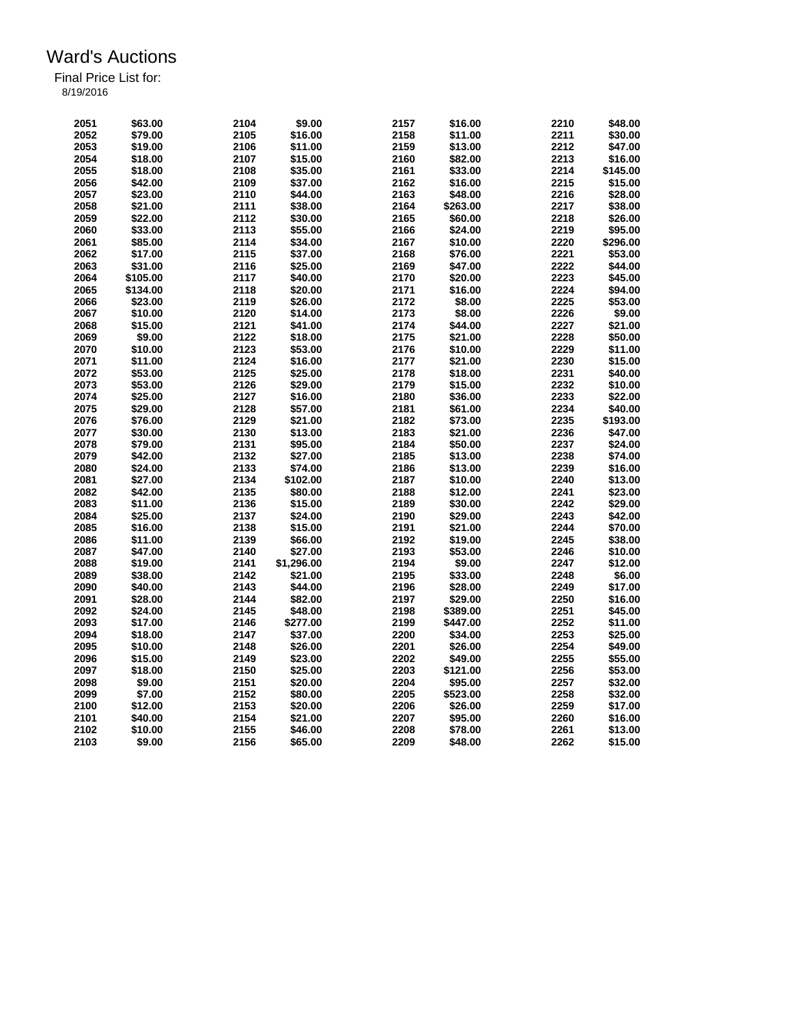| 2051 | \$63.00  | 2104 | \$9.00     | 2157 | \$16.00  | 2210 | \$48.00  |
|------|----------|------|------------|------|----------|------|----------|
| 2052 | \$79.00  | 2105 | \$16.00    | 2158 | \$11.00  | 2211 | \$30.00  |
| 2053 | \$19.00  | 2106 | \$11.00    | 2159 | \$13.00  | 2212 | \$47.00  |
| 2054 | \$18.00  | 2107 | \$15.00    | 2160 | \$82.00  | 2213 | \$16.00  |
| 2055 | \$18.00  | 2108 | \$35.00    | 2161 | \$33.00  | 2214 | \$145.00 |
| 2056 | \$42.00  | 2109 | \$37.00    | 2162 | \$16.00  | 2215 | \$15.00  |
| 2057 | \$23.00  | 2110 | \$44.00    | 2163 | \$48.00  | 2216 | \$28.00  |
| 2058 | \$21.00  | 2111 | \$38.00    | 2164 | \$263.00 | 2217 | \$38.00  |
| 2059 | \$22.00  | 2112 | \$30.00    | 2165 | \$60.00  | 2218 | \$26.00  |
| 2060 | \$33.00  | 2113 | \$55.00    | 2166 | \$24.00  | 2219 | \$95.00  |
| 2061 | \$85.00  | 2114 | \$34.00    | 2167 | \$10.00  | 2220 | \$296.00 |
| 2062 | \$17.00  | 2115 | \$37.00    | 2168 | \$76.00  | 2221 | \$53.00  |
|      |          |      |            |      |          |      |          |
| 2063 | \$31.00  | 2116 | \$25.00    | 2169 | \$47.00  | 2222 | \$44.00  |
| 2064 | \$105.00 | 2117 | \$40.00    | 2170 | \$20.00  | 2223 | \$45.00  |
| 2065 | \$134.00 | 2118 | \$20.00    | 2171 | \$16.00  | 2224 | \$94.00  |
| 2066 | \$23.00  | 2119 | \$26.00    | 2172 | \$8.00   | 2225 | \$53.00  |
| 2067 | \$10.00  | 2120 | \$14.00    | 2173 | \$8.00   | 2226 | \$9.00   |
| 2068 | \$15.00  | 2121 | \$41.00    | 2174 | \$44.00  | 2227 | \$21.00  |
| 2069 | \$9.00   | 2122 | \$18.00    | 2175 | \$21.00  | 2228 | \$50.00  |
| 2070 | \$10.00  | 2123 | \$53.00    | 2176 | \$10.00  | 2229 | \$11.00  |
| 2071 | \$11.00  | 2124 | \$16.00    | 2177 | \$21.00  | 2230 | \$15.00  |
| 2072 | \$53.00  | 2125 | \$25.00    | 2178 | \$18.00  | 2231 | \$40.00  |
| 2073 | \$53.00  | 2126 | \$29.00    | 2179 | \$15.00  | 2232 | \$10.00  |
| 2074 | \$25.00  | 2127 | \$16.00    | 2180 | \$36.00  | 2233 | \$22.00  |
| 2075 | \$29.00  | 2128 | \$57.00    | 2181 | \$61.00  | 2234 | \$40.00  |
| 2076 | \$76.00  | 2129 | \$21.00    | 2182 | \$73.00  | 2235 | \$193.00 |
| 2077 | \$30.00  | 2130 | \$13.00    | 2183 | \$21.00  | 2236 | \$47.00  |
| 2078 | \$79.00  | 2131 | \$95.00    | 2184 | \$50.00  | 2237 | \$24.00  |
| 2079 | \$42.00  | 2132 | \$27.00    | 2185 | \$13.00  | 2238 | \$74.00  |
| 2080 | \$24.00  | 2133 | \$74.00    | 2186 | \$13.00  | 2239 | \$16.00  |
|      |          | 2134 |            | 2187 |          | 2240 |          |
| 2081 | \$27.00  |      | \$102.00   |      | \$10.00  |      | \$13.00  |
| 2082 | \$42.00  | 2135 | \$80.00    | 2188 | \$12.00  | 2241 | \$23.00  |
| 2083 | \$11.00  | 2136 | \$15.00    | 2189 | \$30.00  | 2242 | \$29.00  |
| 2084 | \$25.00  | 2137 | \$24.00    | 2190 | \$29.00  | 2243 | \$42.00  |
| 2085 | \$16.00  | 2138 | \$15.00    | 2191 | \$21.00  | 2244 | \$70.00  |
| 2086 | \$11.00  | 2139 | \$66.00    | 2192 | \$19.00  | 2245 | \$38.00  |
| 2087 | \$47.00  | 2140 | \$27.00    | 2193 | \$53.00  | 2246 | \$10.00  |
| 2088 | \$19.00  | 2141 | \$1,296.00 | 2194 | \$9.00   | 2247 | \$12.00  |
| 2089 | \$38.00  | 2142 | \$21.00    | 2195 | \$33.00  | 2248 | \$6.00   |
| 2090 | \$40.00  | 2143 | \$44.00    | 2196 | \$28.00  | 2249 | \$17.00  |
| 2091 | \$28.00  | 2144 | \$82.00    | 2197 | \$29.00  | 2250 | \$16.00  |
| 2092 | \$24.00  | 2145 | \$48.00    | 2198 | \$389.00 | 2251 | \$45.00  |
| 2093 | \$17.00  | 2146 | \$277.00   | 2199 | \$447.00 | 2252 | \$11.00  |
| 2094 | \$18.00  | 2147 | \$37.00    | 2200 | \$34.00  | 2253 | \$25.00  |
| 2095 | \$10.00  | 2148 | \$26.00    | 2201 | \$26.00  | 2254 | \$49.00  |
| 2096 | \$15.00  | 2149 | \$23.00    | 2202 | \$49.00  | 2255 | \$55.00  |
| 2097 | \$18.00  | 2150 | \$25.00    | 2203 | \$121.00 | 2256 | \$53.00  |
| 2098 | \$9.00   | 2151 | \$20.00    | 2204 | \$95.00  | 2257 | \$32.00  |
| 2099 | \$7.00   | 2152 | \$80.00    | 2205 | \$523.00 | 2258 | \$32.00  |
|      |          |      |            | 2206 |          | 2259 |          |
| 2100 | \$12.00  | 2153 | \$20.00    |      | \$26.00  |      | \$17.00  |
| 2101 | \$40.00  | 2154 | \$21.00    | 2207 | \$95.00  | 2260 | \$16.00  |
| 2102 | \$10.00  | 2155 | \$46.00    | 2208 | \$78.00  | 2261 | \$13.00  |
| 2103 | \$9.00   | 2156 | \$65.00    | 2209 | \$48.00  | 2262 | \$15.00  |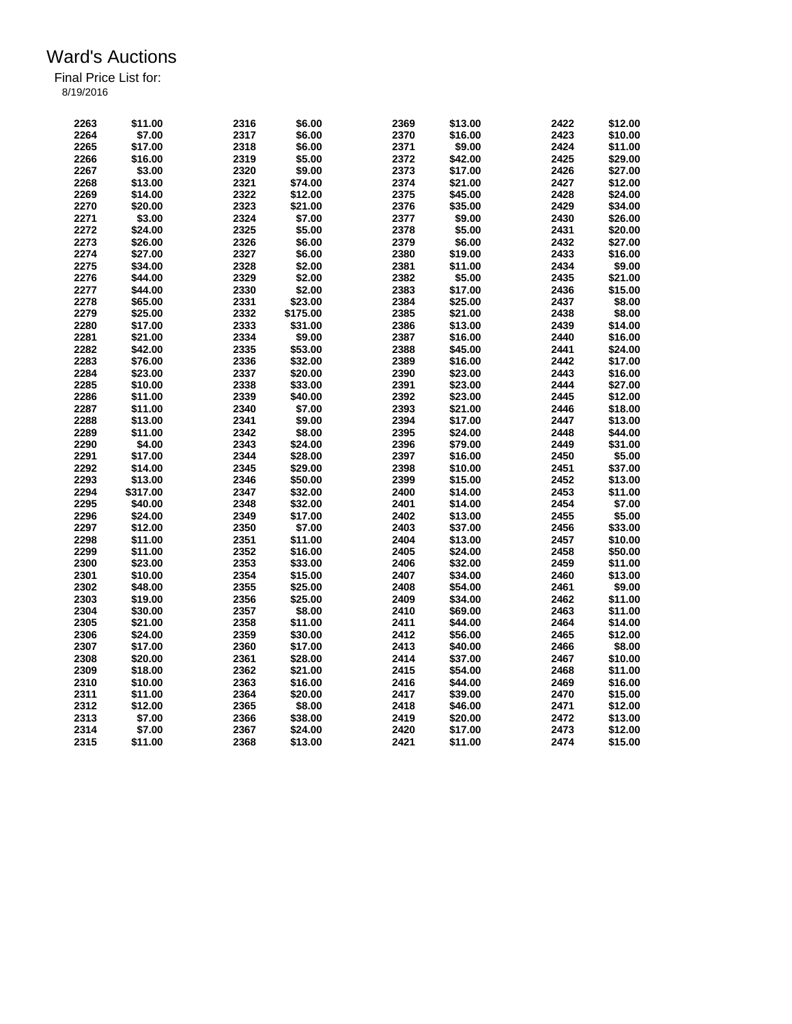| 2263 | \$11.00  | 2316 | \$6.00   | 2369 | \$13.00 | 2422         | \$12.00 |
|------|----------|------|----------|------|---------|--------------|---------|
| 2264 | \$7.00   | 2317 | \$6.00   | 2370 | \$16.00 | 2423         | \$10.00 |
| 2265 | \$17.00  | 2318 | \$6.00   | 2371 | \$9.00  | 2424         | \$11.00 |
| 2266 | \$16.00  | 2319 | \$5.00   | 2372 | \$42.00 | 2425         | \$29.00 |
| 2267 | \$3.00   | 2320 | \$9.00   | 2373 | \$17.00 | 2426         | \$27.00 |
| 2268 | \$13.00  | 2321 | \$74.00  | 2374 | \$21.00 | 2427         | \$12.00 |
| 2269 | \$14.00  | 2322 | \$12.00  | 2375 | \$45.00 | 2428         | \$24.00 |
| 2270 | \$20.00  | 2323 | \$21.00  | 2376 | \$35.00 | 2429         | \$34.00 |
| 2271 | \$3.00   | 2324 | \$7.00   | 2377 | \$9.00  | 2430         | \$26.00 |
| 2272 | \$24.00  | 2325 | \$5.00   | 2378 | \$5.00  | 2431         | \$20.00 |
| 2273 | \$26.00  | 2326 | \$6.00   | 2379 | \$6.00  | 2432         | \$27.00 |
| 2274 | \$27.00  | 2327 | \$6.00   | 2380 | \$19.00 | 2433         | \$16.00 |
| 2275 | \$34.00  | 2328 | \$2.00   | 2381 | \$11.00 | 2434         | \$9.00  |
| 2276 | \$44.00  | 2329 | \$2.00   | 2382 | \$5.00  | 2435         | \$21.00 |
| 2277 | \$44.00  | 2330 | \$2.00   | 2383 | \$17.00 | 2436         | \$15.00 |
| 2278 | \$65.00  | 2331 | \$23.00  | 2384 | \$25.00 | 2437         | \$8.00  |
| 2279 | \$25.00  | 2332 | \$175.00 | 2385 | \$21.00 | 2438         | \$8.00  |
| 2280 | \$17.00  | 2333 | \$31.00  | 2386 | \$13.00 | 2439         | \$14.00 |
| 2281 | \$21.00  | 2334 | \$9.00   | 2387 | \$16.00 | 2440         | \$16.00 |
| 2282 |          |      |          | 2388 |         | 2441         |         |
|      | \$42.00  | 2335 | \$53.00  | 2389 | \$45.00 |              | \$24.00 |
| 2283 | \$76.00  | 2336 | \$32.00  |      | \$16.00 | 2442<br>2443 | \$17.00 |
| 2284 | \$23.00  | 2337 | \$20.00  | 2390 | \$23.00 |              | \$16.00 |
| 2285 | \$10.00  | 2338 | \$33.00  | 2391 | \$23.00 | 2444         | \$27.00 |
| 2286 | \$11.00  | 2339 | \$40.00  | 2392 | \$23.00 | 2445         | \$12.00 |
| 2287 | \$11.00  | 2340 | \$7.00   | 2393 | \$21.00 | 2446         | \$18.00 |
| 2288 | \$13.00  | 2341 | \$9.00   | 2394 | \$17.00 | 2447         | \$13.00 |
| 2289 | \$11.00  | 2342 | \$8.00   | 2395 | \$24.00 | 2448         | \$44.00 |
| 2290 | \$4.00   | 2343 | \$24.00  | 2396 | \$79.00 | 2449         | \$31.00 |
| 2291 | \$17.00  | 2344 | \$28.00  | 2397 | \$16.00 | 2450         | \$5.00  |
| 2292 | \$14.00  | 2345 | \$29.00  | 2398 | \$10.00 | 2451         | \$37.00 |
| 2293 | \$13.00  | 2346 | \$50.00  | 2399 | \$15.00 | 2452         | \$13.00 |
| 2294 | \$317.00 | 2347 | \$32.00  | 2400 | \$14.00 | 2453         | \$11.00 |
| 2295 | \$40.00  | 2348 | \$32.00  | 2401 | \$14.00 | 2454         | \$7.00  |
| 2296 | \$24.00  | 2349 | \$17.00  | 2402 | \$13.00 | 2455         | \$5.00  |
| 2297 | \$12.00  | 2350 | \$7.00   | 2403 | \$37.00 | 2456         | \$33.00 |
| 2298 | \$11.00  | 2351 | \$11.00  | 2404 | \$13.00 | 2457         | \$10.00 |
| 2299 | \$11.00  | 2352 | \$16.00  | 2405 | \$24.00 | 2458         | \$50.00 |
| 2300 | \$23.00  | 2353 | \$33.00  | 2406 | \$32.00 | 2459         | \$11.00 |
| 2301 | \$10.00  | 2354 | \$15.00  | 2407 | \$34.00 | 2460         | \$13.00 |
| 2302 | \$48.00  | 2355 | \$25.00  | 2408 | \$54.00 | 2461         | \$9.00  |
| 2303 | \$19.00  | 2356 | \$25.00  | 2409 | \$34.00 | 2462         | \$11.00 |
| 2304 | \$30.00  | 2357 | \$8.00   | 2410 | \$69.00 | 2463         | \$11.00 |
| 2305 | \$21.00  | 2358 | \$11.00  | 2411 | \$44.00 | 2464         | \$14.00 |
| 2306 | \$24.00  | 2359 | \$30.00  | 2412 | \$56.00 | 2465         | \$12.00 |
| 2307 | \$17.00  | 2360 | \$17.00  | 2413 | \$40.00 | 2466         | \$8.00  |
| 2308 | \$20.00  | 2361 | \$28.00  | 2414 | \$37.00 | 2467         | \$10.00 |
| 2309 | \$18.00  | 2362 | \$21.00  | 2415 | \$54.00 | 2468         | \$11.00 |
| 2310 | \$10.00  | 2363 | \$16.00  | 2416 | \$44.00 | 2469         | \$16.00 |
| 2311 | \$11.00  | 2364 | \$20.00  | 2417 | \$39.00 | 2470         | \$15.00 |
| 2312 | \$12.00  | 2365 | \$8.00   | 2418 | \$46.00 | 2471         | \$12.00 |
| 2313 | \$7.00   | 2366 | \$38.00  | 2419 | \$20.00 | 2472         | \$13.00 |
| 2314 | \$7.00   | 2367 | \$24.00  | 2420 | \$17.00 | 2473         | \$12.00 |
| 2315 | \$11.00  | 2368 | \$13.00  | 2421 | \$11.00 | 2474         | \$15.00 |
|      |          |      |          |      |         |              |         |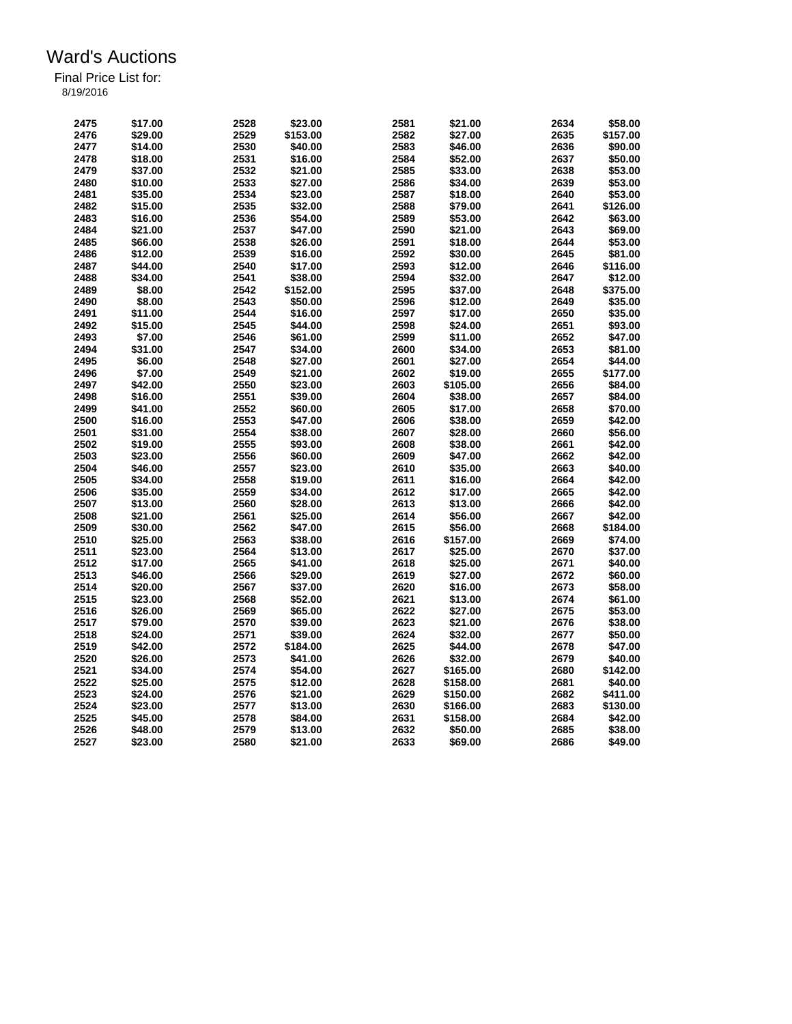| 2475 | \$17.00 | 2528         | \$23.00  | 2581 | \$21.00  | 2634 | \$58.00  |
|------|---------|--------------|----------|------|----------|------|----------|
| 2476 | \$29.00 | 2529         | \$153.00 | 2582 | \$27.00  | 2635 | \$157.00 |
| 2477 | \$14.00 | 2530         | \$40.00  | 2583 | \$46.00  | 2636 | \$90.00  |
| 2478 | \$18.00 | 2531         | \$16.00  | 2584 | \$52.00  | 2637 | \$50.00  |
| 2479 | \$37.00 | 2532         | \$21.00  | 2585 | \$33.00  | 2638 | \$53.00  |
| 2480 | \$10.00 | 2533         | \$27.00  | 2586 | \$34.00  | 2639 | \$53.00  |
| 2481 | \$35.00 | 2534         | \$23.00  | 2587 | \$18.00  | 2640 | \$53.00  |
| 2482 | \$15.00 | 2535         | \$32.00  | 2588 | \$79.00  | 2641 | \$126.00 |
| 2483 | \$16.00 | 2536         | \$54.00  | 2589 | \$53.00  | 2642 | \$63.00  |
| 2484 | \$21.00 | 2537         | \$47.00  | 2590 | \$21.00  | 2643 | \$69.00  |
| 2485 | \$66.00 | 2538         | \$26.00  | 2591 | \$18.00  | 2644 | \$53.00  |
| 2486 | \$12.00 | 2539         | \$16.00  | 2592 | \$30.00  | 2645 | \$81.00  |
| 2487 | \$44.00 | 2540         | \$17.00  | 2593 | \$12.00  | 2646 | \$116.00 |
| 2488 | \$34.00 | 2541         | \$38.00  | 2594 | \$32.00  | 2647 | \$12.00  |
| 2489 | \$8.00  | 2542         | \$152.00 | 2595 | \$37.00  | 2648 | \$375.00 |
| 2490 | \$8.00  | 2543         | \$50.00  | 2596 | \$12.00  | 2649 | \$35.00  |
| 2491 | \$11.00 | 2544         | \$16.00  | 2597 | \$17.00  | 2650 | \$35.00  |
|      |         |              |          | 2598 |          |      |          |
| 2492 | \$15.00 | 2545         | \$44.00  |      | \$24.00  | 2651 | \$93.00  |
| 2493 | \$7.00  | 2546         | \$61.00  | 2599 | \$11.00  | 2652 | \$47.00  |
| 2494 | \$31.00 | 2547         | \$34.00  | 2600 | \$34.00  | 2653 | \$81.00  |
| 2495 | \$6.00  | 2548         | \$27.00  | 2601 | \$27.00  | 2654 | \$44.00  |
| 2496 | \$7.00  | 2549         | \$21.00  | 2602 | \$19.00  | 2655 | \$177.00 |
| 2497 | \$42.00 | 2550         | \$23.00  | 2603 | \$105.00 | 2656 | \$84.00  |
| 2498 | \$16.00 | 2551         | \$39.00  | 2604 | \$38.00  | 2657 | \$84.00  |
| 2499 | \$41.00 | 2552         | \$60.00  | 2605 | \$17.00  | 2658 | \$70.00  |
| 2500 | \$16.00 | 2553         | \$47.00  | 2606 | \$38.00  | 2659 | \$42.00  |
| 2501 | \$31.00 | 2554         | \$38.00  | 2607 | \$28.00  | 2660 | \$56.00  |
| 2502 | \$19.00 | 2555         | \$93.00  | 2608 | \$38.00  | 2661 | \$42.00  |
| 2503 | \$23.00 | 2556         | \$60.00  | 2609 | \$47.00  | 2662 | \$42.00  |
| 2504 | \$46.00 | 2557         | \$23.00  | 2610 | \$35.00  | 2663 | \$40.00  |
| 2505 | \$34.00 | 2558         | \$19.00  | 2611 | \$16.00  | 2664 | \$42.00  |
| 2506 | \$35.00 | 2559         | \$34.00  | 2612 | \$17.00  | 2665 | \$42.00  |
| 2507 | \$13.00 | 2560         | \$28.00  | 2613 | \$13.00  | 2666 | \$42.00  |
| 2508 | \$21.00 | 2561         | \$25.00  | 2614 | \$56.00  | 2667 | \$42.00  |
| 2509 | \$30.00 | 2562         | \$47.00  | 2615 | \$56.00  | 2668 | \$184.00 |
|      |         |              | \$38.00  |      |          |      |          |
| 2510 | \$25.00 | 2563<br>2564 |          | 2616 | \$157.00 | 2669 | \$74.00  |
| 2511 | \$23.00 |              | \$13.00  | 2617 | \$25.00  | 2670 | \$37.00  |
| 2512 | \$17.00 | 2565         | \$41.00  | 2618 | \$25.00  | 2671 | \$40.00  |
| 2513 | \$46.00 | 2566         | \$29.00  | 2619 | \$27.00  | 2672 | \$60.00  |
| 2514 | \$20.00 | 2567         | \$37.00  | 2620 | \$16.00  | 2673 | \$58.00  |
| 2515 | \$23.00 | 2568         | \$52.00  | 2621 | \$13.00  | 2674 | \$61.00  |
| 2516 | \$26.00 | 2569         | \$65.00  | 2622 | \$27.00  | 2675 | \$53.00  |
| 2517 | \$79.00 | 2570         | \$39.00  | 2623 | \$21.00  | 2676 | \$38.00  |
| 2518 | \$24.00 | 2571         | \$39.00  | 2624 | \$32.00  | 2677 | \$50.00  |
| 2519 | \$42.00 | 2572         | \$184.00 | 2625 | \$44.00  | 2678 | \$47.00  |
| 2520 | \$26.00 | 2573         | \$41.00  | 2626 | \$32.00  | 2679 | \$40.00  |
| 2521 | \$34.00 | 2574         | \$54.00  | 2627 | \$165.00 | 2680 | \$142.00 |
| 2522 | \$25.00 | 2575         | \$12.00  | 2628 | \$158.00 | 2681 | \$40.00  |
| 2523 | \$24.00 | 2576         | \$21.00  | 2629 | \$150.00 | 2682 | \$411.00 |
| 2524 | \$23.00 | 2577         | \$13.00  | 2630 | \$166.00 | 2683 | \$130.00 |
| 2525 | \$45.00 | 2578         | \$84.00  | 2631 | \$158.00 | 2684 | \$42.00  |
| 2526 | \$48.00 | 2579         | \$13.00  | 2632 | \$50.00  | 2685 | \$38.00  |
| 2527 | \$23.00 | 2580         | \$21.00  | 2633 | \$69.00  | 2686 | \$49.00  |
|      |         |              |          |      |          |      |          |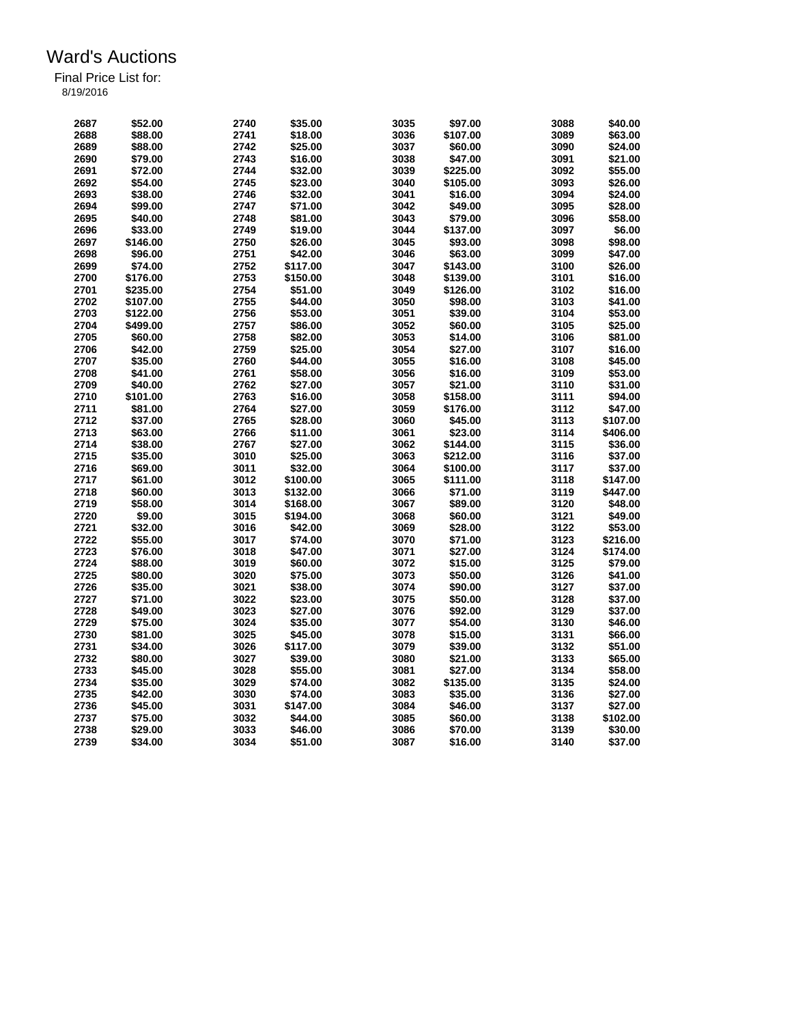| 2687 | \$52.00  | 2740 | \$35.00  | 3035 | \$97.00  | 3088 | \$40.00  |
|------|----------|------|----------|------|----------|------|----------|
| 2688 | \$88.00  | 2741 | \$18.00  | 3036 | \$107.00 | 3089 | \$63.00  |
| 2689 | \$88.00  | 2742 | \$25.00  | 3037 | \$60.00  | 3090 | \$24.00  |
| 2690 | \$79.00  | 2743 | \$16.00  | 3038 | \$47.00  | 3091 | \$21.00  |
| 2691 | \$72.00  | 2744 | \$32.00  | 3039 | \$225.00 | 3092 | \$55.00  |
| 2692 | \$54.00  | 2745 | \$23.00  | 3040 | \$105.00 | 3093 | \$26.00  |
| 2693 | \$38.00  | 2746 | \$32.00  | 3041 | \$16.00  | 3094 | \$24.00  |
| 2694 | \$99.00  | 2747 | \$71.00  | 3042 | \$49.00  | 3095 | \$28.00  |
| 2695 | \$40.00  | 2748 | \$81.00  | 3043 | \$79.00  | 3096 | \$58.00  |
| 2696 | \$33.00  | 2749 | \$19.00  | 3044 | \$137.00 | 3097 | \$6.00   |
| 2697 | \$146.00 | 2750 | \$26.00  | 3045 | \$93.00  | 3098 | \$98.00  |
| 2698 | \$96.00  | 2751 | \$42.00  | 3046 | \$63.00  | 3099 | \$47.00  |
| 2699 | \$74.00  | 2752 | \$117.00 | 3047 | \$143.00 | 3100 | \$26.00  |
| 2700 | \$176.00 | 2753 | \$150.00 | 3048 | \$139.00 | 3101 | \$16.00  |
| 2701 | \$235.00 | 2754 | \$51.00  | 3049 | \$126.00 | 3102 | \$16.00  |
| 2702 | \$107.00 | 2755 | \$44.00  | 3050 | \$98.00  | 3103 | \$41.00  |
| 2703 | \$122.00 | 2756 | \$53.00  | 3051 | \$39.00  | 3104 | \$53.00  |
| 2704 | \$499.00 | 2757 | \$86.00  | 3052 | \$60.00  | 3105 | \$25.00  |
| 2705 | \$60.00  | 2758 | \$82.00  | 3053 | \$14.00  | 3106 | \$81.00  |
| 2706 | \$42.00  | 2759 |          | 3054 |          | 3107 | \$16.00  |
|      |          |      | \$25.00  | 3055 | \$27.00  |      |          |
| 2707 | \$35.00  | 2760 | \$44.00  |      | \$16.00  | 3108 | \$45.00  |
| 2708 | \$41.00  | 2761 | \$58.00  | 3056 | \$16.00  | 3109 | \$53.00  |
| 2709 | \$40.00  | 2762 | \$27.00  | 3057 | \$21.00  | 3110 | \$31.00  |
| 2710 | \$101.00 | 2763 | \$16.00  | 3058 | \$158.00 | 3111 | \$94.00  |
| 2711 | \$81.00  | 2764 | \$27.00  | 3059 | \$176.00 | 3112 | \$47.00  |
| 2712 | \$37.00  | 2765 | \$28.00  | 3060 | \$45.00  | 3113 | \$107.00 |
| 2713 | \$63.00  | 2766 | \$11.00  | 3061 | \$23.00  | 3114 | \$406.00 |
| 2714 | \$38.00  | 2767 | \$27.00  | 3062 | \$144.00 | 3115 | \$36.00  |
| 2715 | \$35.00  | 3010 | \$25.00  | 3063 | \$212.00 | 3116 | \$37.00  |
| 2716 | \$69.00  | 3011 | \$32.00  | 3064 | \$100.00 | 3117 | \$37.00  |
| 2717 | \$61.00  | 3012 | \$100.00 | 3065 | \$111.00 | 3118 | \$147.00 |
| 2718 | \$60.00  | 3013 | \$132.00 | 3066 | \$71.00  | 3119 | \$447.00 |
| 2719 | \$58.00  | 3014 | \$168.00 | 3067 | \$89.00  | 3120 | \$48.00  |
| 2720 | \$9.00   | 3015 | \$194.00 | 3068 | \$60.00  | 3121 | \$49.00  |
| 2721 | \$32.00  | 3016 | \$42.00  | 3069 | \$28.00  | 3122 | \$53.00  |
| 2722 | \$55.00  | 3017 | \$74.00  | 3070 | \$71.00  | 3123 | \$216.00 |
| 2723 | \$76.00  | 3018 | \$47.00  | 3071 | \$27.00  | 3124 | \$174.00 |
| 2724 | \$88.00  | 3019 | \$60.00  | 3072 | \$15.00  | 3125 | \$79.00  |
| 2725 | \$80.00  | 3020 | \$75.00  | 3073 | \$50.00  | 3126 | \$41.00  |
| 2726 | \$35.00  | 3021 | \$38.00  | 3074 | \$90.00  | 3127 | \$37.00  |
| 2727 | \$71.00  | 3022 | \$23.00  | 3075 | \$50.00  | 3128 | \$37.00  |
| 2728 | \$49.00  | 3023 | \$27.00  | 3076 | \$92.00  | 3129 | \$37.00  |
| 2729 | \$75.00  | 3024 | \$35.00  | 3077 | \$54.00  | 3130 | \$46.00  |
| 2730 | \$81.00  | 3025 | \$45.00  | 3078 | \$15.00  | 3131 | \$66.00  |
| 2731 | \$34.00  | 3026 | \$117.00 | 3079 | \$39.00  | 3132 | \$51.00  |
| 2732 | \$80.00  | 3027 | \$39.00  | 3080 | \$21.00  | 3133 | \$65.00  |
| 2733 | \$45.00  | 3028 | \$55.00  | 3081 | \$27.00  | 3134 | \$58.00  |
| 2734 | \$35.00  | 3029 | \$74.00  | 3082 | \$135.00 | 3135 | \$24.00  |
| 2735 | \$42.00  | 3030 | \$74.00  | 3083 | \$35.00  | 3136 | \$27.00  |
| 2736 | \$45.00  | 3031 | \$147.00 | 3084 | \$46.00  | 3137 | \$27.00  |
| 2737 | \$75.00  | 3032 | \$44.00  | 3085 | \$60.00  | 3138 | \$102.00 |
| 2738 | \$29.00  | 3033 | \$46.00  | 3086 | \$70.00  | 3139 | \$30.00  |
| 2739 | \$34.00  | 3034 | \$51.00  | 3087 | \$16.00  | 3140 | \$37.00  |
|      |          |      |          |      |          |      |          |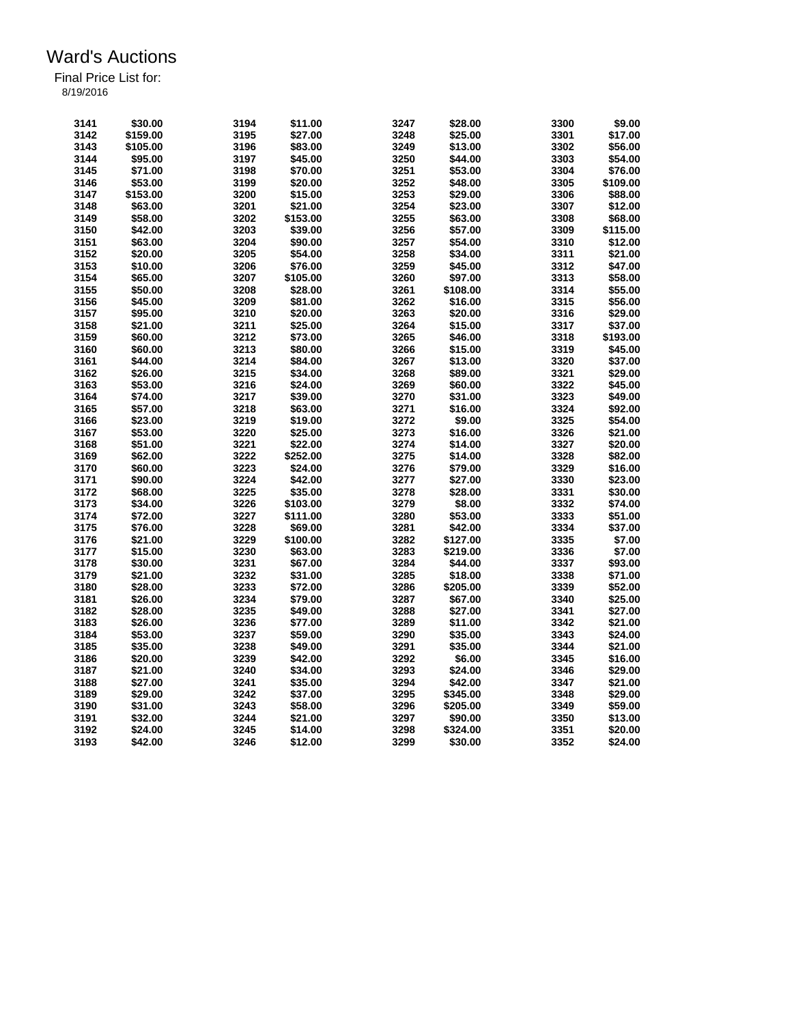| 3141 | \$30.00  | 3194 | \$11.00  | 3247 | \$28.00  | 3300 | \$9.00   |
|------|----------|------|----------|------|----------|------|----------|
| 3142 | \$159.00 | 3195 | \$27.00  | 3248 | \$25.00  | 3301 | \$17.00  |
| 3143 | \$105.00 | 3196 | \$83.00  | 3249 | \$13.00  | 3302 | \$56.00  |
| 3144 | \$95.00  | 3197 | \$45.00  | 3250 | \$44.00  | 3303 | \$54.00  |
| 3145 | \$71.00  | 3198 | \$70.00  | 3251 | \$53.00  | 3304 | \$76.00  |
| 3146 | \$53.00  | 3199 | \$20.00  | 3252 | \$48.00  | 3305 | \$109.00 |
| 3147 | \$153.00 | 3200 | \$15.00  | 3253 | \$29.00  | 3306 | \$88.00  |
| 3148 | \$63.00  | 3201 | \$21.00  | 3254 | \$23.00  | 3307 | \$12.00  |
| 3149 | \$58.00  | 3202 | \$153.00 | 3255 | \$63.00  | 3308 | \$68.00  |
| 3150 | \$42.00  | 3203 | \$39.00  | 3256 | \$57.00  | 3309 | \$115.00 |
| 3151 | \$63.00  | 3204 | \$90.00  | 3257 | \$54.00  | 3310 | \$12.00  |
| 3152 | \$20.00  | 3205 | \$54.00  | 3258 | \$34.00  | 3311 | \$21.00  |
| 3153 | \$10.00  | 3206 | \$76.00  | 3259 | \$45.00  | 3312 | \$47.00  |
| 3154 | \$65.00  | 3207 | \$105.00 | 3260 | \$97.00  | 3313 | \$58.00  |
| 3155 | \$50.00  | 3208 | \$28.00  | 3261 | \$108.00 | 3314 | \$55.00  |
| 3156 | \$45.00  | 3209 | \$81.00  | 3262 | \$16.00  | 3315 | \$56.00  |
| 3157 | \$95.00  | 3210 | \$20.00  | 3263 | \$20.00  | 3316 | \$29.00  |
| 3158 | \$21.00  | 3211 | \$25.00  | 3264 | \$15.00  | 3317 | \$37.00  |
| 3159 | \$60.00  | 3212 | \$73.00  | 3265 |          | 3318 | \$193.00 |
|      |          |      |          | 3266 | \$46.00  | 3319 |          |
| 3160 | \$60.00  | 3213 | \$80.00  | 3267 | \$15.00  | 3320 | \$45.00  |
| 3161 | \$44.00  | 3214 | \$84.00  |      | \$13.00  |      | \$37.00  |
| 3162 | \$26.00  | 3215 | \$34.00  | 3268 | \$89.00  | 3321 | \$29.00  |
| 3163 | \$53.00  | 3216 | \$24.00  | 3269 | \$60.00  | 3322 | \$45.00  |
| 3164 | \$74.00  | 3217 | \$39.00  | 3270 | \$31.00  | 3323 | \$49.00  |
| 3165 | \$57.00  | 3218 | \$63.00  | 3271 | \$16.00  | 3324 | \$92.00  |
| 3166 | \$23.00  | 3219 | \$19.00  | 3272 | \$9.00   | 3325 | \$54.00  |
| 3167 | \$53.00  | 3220 | \$25.00  | 3273 | \$16.00  | 3326 | \$21.00  |
| 3168 | \$51.00  | 3221 | \$22.00  | 3274 | \$14.00  | 3327 | \$20.00  |
| 3169 | \$62.00  | 3222 | \$252.00 | 3275 | \$14.00  | 3328 | \$82.00  |
| 3170 | \$60.00  | 3223 | \$24.00  | 3276 | \$79.00  | 3329 | \$16.00  |
| 3171 | \$90.00  | 3224 | \$42.00  | 3277 | \$27.00  | 3330 | \$23.00  |
| 3172 | \$68.00  | 3225 | \$35.00  | 3278 | \$28.00  | 3331 | \$30.00  |
| 3173 | \$34.00  | 3226 | \$103.00 | 3279 | \$8.00   | 3332 | \$74.00  |
| 3174 | \$72.00  | 3227 | \$111.00 | 3280 | \$53.00  | 3333 | \$51.00  |
| 3175 | \$76.00  | 3228 | \$69.00  | 3281 | \$42.00  | 3334 | \$37.00  |
| 3176 | \$21.00  | 3229 | \$100.00 | 3282 | \$127.00 | 3335 | \$7.00   |
| 3177 | \$15.00  | 3230 | \$63.00  | 3283 | \$219.00 | 3336 | \$7.00   |
| 3178 | \$30.00  | 3231 | \$67.00  | 3284 | \$44.00  | 3337 | \$93.00  |
| 3179 | \$21.00  | 3232 | \$31.00  | 3285 | \$18.00  | 3338 | \$71.00  |
| 3180 | \$28.00  | 3233 | \$72.00  | 3286 | \$205.00 | 3339 | \$52.00  |
| 3181 | \$26.00  | 3234 | \$79.00  | 3287 | \$67.00  | 3340 | \$25.00  |
| 3182 | \$28.00  | 3235 | \$49.00  | 3288 | \$27.00  | 3341 | \$27.00  |
| 3183 | \$26.00  | 3236 | \$77.00  | 3289 | \$11.00  | 3342 | \$21.00  |
| 3184 | \$53.00  | 3237 | \$59.00  | 3290 | \$35.00  | 3343 | \$24.00  |
| 3185 | \$35.00  | 3238 | \$49.00  | 3291 | \$35.00  | 3344 | \$21.00  |
| 3186 | \$20.00  | 3239 | \$42.00  | 3292 | \$6.00   | 3345 | \$16.00  |
| 3187 | \$21.00  | 3240 | \$34.00  | 3293 | \$24.00  | 3346 | \$29.00  |
| 3188 | \$27.00  | 3241 | \$35.00  | 3294 | \$42.00  | 3347 | \$21.00  |
| 3189 | \$29.00  | 3242 | \$37.00  | 3295 | \$345.00 | 3348 | \$29.00  |
| 3190 | \$31.00  | 3243 | \$58.00  | 3296 | \$205.00 | 3349 | \$59.00  |
| 3191 | \$32.00  | 3244 | \$21.00  | 3297 | \$90.00  | 3350 | \$13.00  |
| 3192 | \$24.00  | 3245 | \$14.00  | 3298 | \$324.00 | 3351 | \$20.00  |
| 3193 | \$42.00  | 3246 | \$12.00  | 3299 | \$30.00  | 3352 | \$24.00  |
|      |          |      |          |      |          |      |          |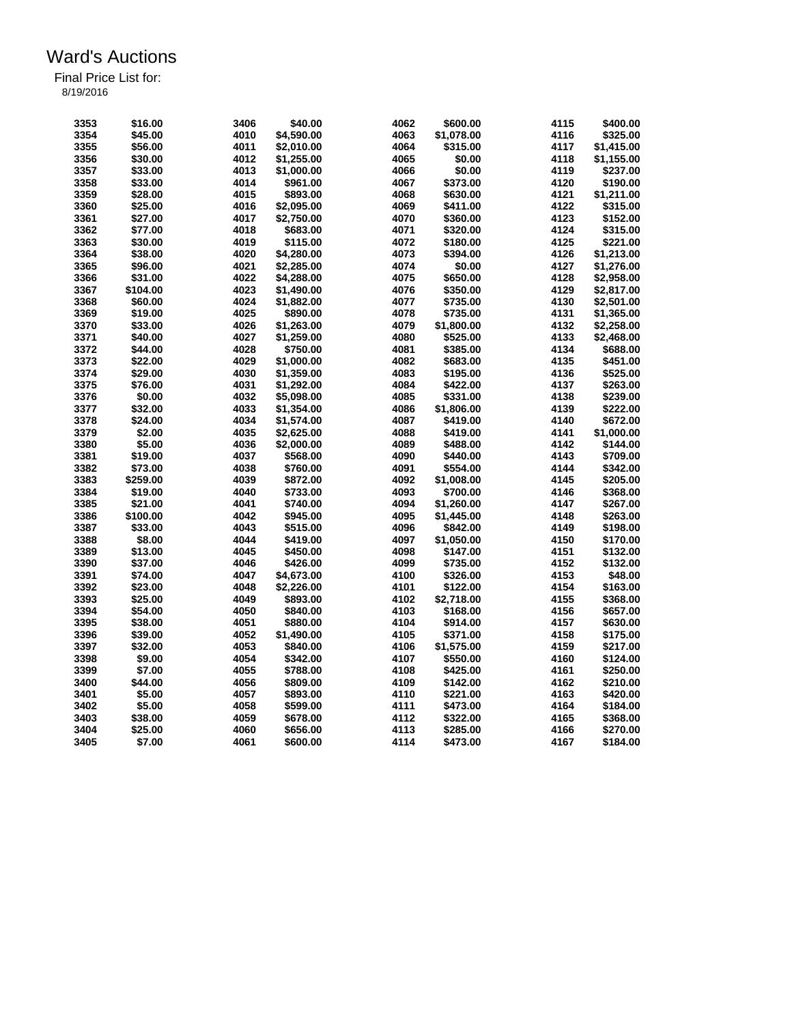| 3353 | \$16.00  | 3406 | \$40.00    | 4062 | \$600.00   | 4115 | \$400.00   |
|------|----------|------|------------|------|------------|------|------------|
| 3354 | \$45.00  | 4010 | \$4,590.00 | 4063 | \$1,078.00 | 4116 | \$325.00   |
| 3355 | \$56.00  | 4011 | \$2,010.00 | 4064 | \$315.00   | 4117 | \$1,415.00 |
| 3356 | \$30.00  | 4012 | \$1,255.00 | 4065 | \$0.00     | 4118 | \$1,155.00 |
| 3357 | \$33.00  | 4013 | \$1,000.00 | 4066 | \$0.00     | 4119 | \$237.00   |
| 3358 | \$33.00  | 4014 | \$961.00   | 4067 | \$373.00   | 4120 | \$190.00   |
| 3359 | \$28.00  | 4015 | \$893.00   | 4068 | \$630.00   | 4121 | \$1,211.00 |
| 3360 | \$25.00  | 4016 | \$2,095.00 | 4069 | \$411.00   | 4122 | \$315.00   |
| 3361 | \$27.00  | 4017 | \$2,750.00 | 4070 | \$360.00   | 4123 | \$152.00   |
|      |          |      |            | 4071 |            | 4124 |            |
| 3362 | \$77.00  | 4018 | \$683.00   |      | \$320.00   |      | \$315.00   |
| 3363 | \$30.00  | 4019 | \$115.00   | 4072 | \$180.00   | 4125 | \$221.00   |
| 3364 | \$38.00  | 4020 | \$4,280.00 | 4073 | \$394.00   | 4126 | \$1,213.00 |
| 3365 | \$96.00  | 4021 | \$2,285.00 | 4074 | \$0.00     | 4127 | \$1,276.00 |
| 3366 | \$31.00  | 4022 | \$4,288.00 | 4075 | \$650.00   | 4128 | \$2,958.00 |
| 3367 | \$104.00 | 4023 | \$1,490.00 | 4076 | \$350.00   | 4129 | \$2,817.00 |
| 3368 | \$60.00  | 4024 | \$1,882.00 | 4077 | \$735.00   | 4130 | \$2,501.00 |
| 3369 | \$19.00  | 4025 | \$890.00   | 4078 | \$735.00   | 4131 | \$1,365.00 |
| 3370 | \$33.00  | 4026 | \$1,263.00 | 4079 | \$1,800.00 | 4132 | \$2,258.00 |
| 3371 | \$40.00  | 4027 | \$1,259.00 | 4080 | \$525.00   | 4133 | \$2,468.00 |
| 3372 | \$44.00  | 4028 | \$750.00   | 4081 | \$385.00   | 4134 | \$688.00   |
| 3373 | \$22.00  | 4029 | \$1,000.00 | 4082 | \$683.00   | 4135 | \$451.00   |
| 3374 | \$29.00  | 4030 | \$1,359.00 | 4083 | \$195.00   | 4136 | \$525.00   |
| 3375 | \$76.00  | 4031 | \$1,292.00 | 4084 | \$422.00   | 4137 | \$263.00   |
| 3376 | \$0.00   | 4032 | \$5,098.00 | 4085 | \$331.00   | 4138 | \$239.00   |
| 3377 | \$32.00  | 4033 | \$1,354.00 | 4086 | \$1,806.00 | 4139 | \$222.00   |
| 3378 | \$24.00  | 4034 | \$1,574.00 | 4087 | \$419.00   | 4140 | \$672.00   |
| 3379 | \$2.00   | 4035 | \$2,625.00 | 4088 | \$419.00   | 4141 | \$1,000.00 |
| 3380 | \$5.00   | 4036 | \$2,000.00 | 4089 | \$488.00   | 4142 | \$144.00   |
| 3381 | \$19.00  | 4037 | \$568.00   | 4090 | \$440.00   | 4143 | \$709.00   |
| 3382 | \$73.00  | 4038 | \$760.00   | 4091 | \$554.00   | 4144 | \$342.00   |
| 3383 | \$259.00 | 4039 | \$872.00   | 4092 | \$1,008.00 | 4145 | \$205.00   |
| 3384 | \$19.00  | 4040 | \$733.00   | 4093 | \$700.00   | 4146 | \$368.00   |
|      |          |      |            | 4094 |            |      |            |
| 3385 | \$21.00  | 4041 | \$740.00   |      | \$1,260.00 | 4147 | \$267.00   |
| 3386 | \$100.00 | 4042 | \$945.00   | 4095 | \$1,445.00 | 4148 | \$263.00   |
| 3387 | \$33.00  | 4043 | \$515.00   | 4096 | \$842.00   | 4149 | \$198.00   |
| 3388 | \$8.00   | 4044 | \$419.00   | 4097 | \$1,050.00 | 4150 | \$170.00   |
| 3389 | \$13.00  | 4045 | \$450.00   | 4098 | \$147.00   | 4151 | \$132.00   |
| 3390 | \$37.00  | 4046 | \$426.00   | 4099 | \$735.00   | 4152 | \$132.00   |
| 3391 | \$74.00  | 4047 | \$4,673.00 | 4100 | \$326.00   | 4153 | \$48.00    |
| 3392 | \$23.00  | 4048 | \$2,226.00 | 4101 | \$122.00   | 4154 | \$163.00   |
| 3393 | \$25.00  | 4049 | \$893.00   | 4102 | \$2,718.00 | 4155 | \$368.00   |
| 3394 | \$54.00  | 4050 | \$840.00   | 4103 | \$168.00   | 4156 | \$657.00   |
| 3395 | \$38.00  | 4051 | \$880.00   | 4104 | \$914.00   | 4157 | \$630.00   |
| 3396 | \$39.00  | 4052 | \$1,490.00 | 4105 | \$371.00   | 4158 | \$175.00   |
| 3397 | \$32.00  | 4053 | \$840.00   | 4106 | \$1,575.00 | 4159 | \$217.00   |
| 3398 | \$9.00   | 4054 | \$342.00   | 4107 | \$550.00   | 4160 | \$124.00   |
| 3399 | \$7.00   | 4055 | \$788.00   | 4108 | \$425.00   | 4161 | \$250.00   |
| 3400 | \$44.00  | 4056 | \$809.00   | 4109 | \$142.00   | 4162 | \$210.00   |
| 3401 | \$5.00   | 4057 | \$893.00   | 4110 | \$221.00   | 4163 | \$420.00   |
| 3402 | \$5.00   | 4058 | \$599.00   | 4111 | \$473.00   | 4164 | \$184.00   |
| 3403 | \$38.00  | 4059 | \$678.00   | 4112 | \$322.00   | 4165 | \$368.00   |
| 3404 | \$25.00  | 4060 | \$656.00   | 4113 | \$285.00   | 4166 | \$270.00   |
| 3405 | \$7.00   | 4061 | \$600.00   | 4114 | \$473.00   | 4167 | \$184.00   |
|      |          |      |            |      |            |      |            |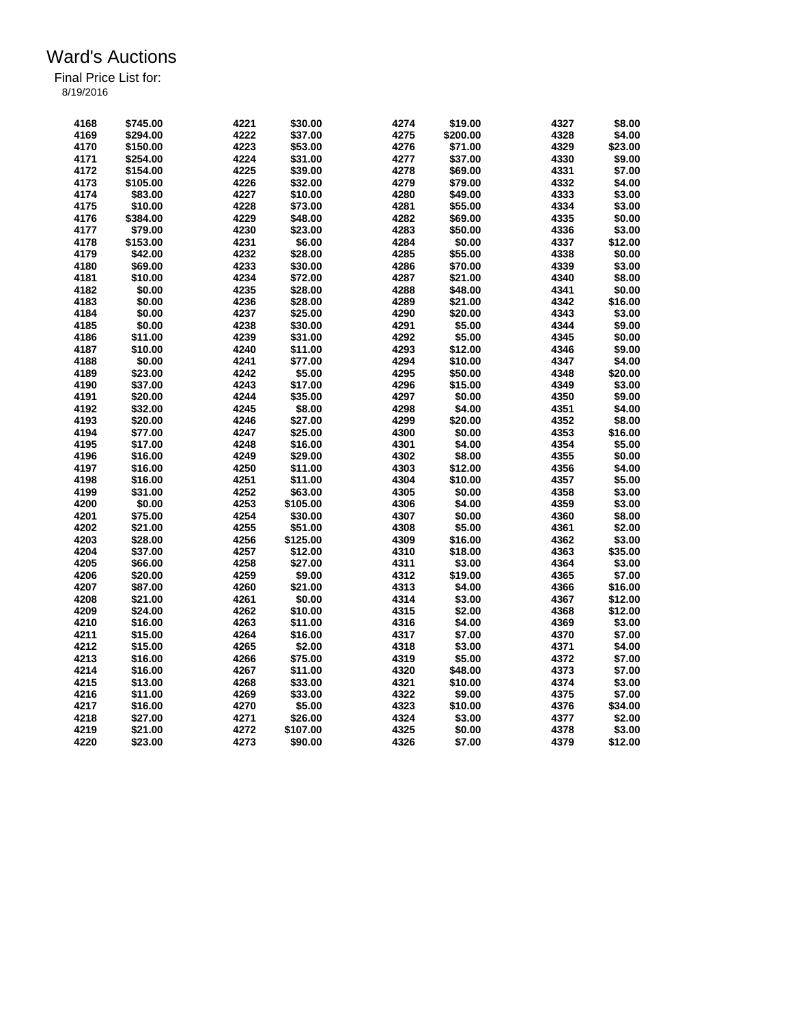| 4168 | \$745.00 | 4221 | \$30.00  | 4274 | \$19.00  | 4327 | \$8.00  |
|------|----------|------|----------|------|----------|------|---------|
| 4169 | \$294.00 | 4222 | \$37.00  | 4275 | \$200.00 | 4328 | \$4.00  |
| 4170 | \$150.00 | 4223 | \$53.00  | 4276 | \$71.00  | 4329 | \$23.00 |
| 4171 | \$254.00 | 4224 | \$31.00  | 4277 | \$37.00  | 4330 | \$9.00  |
| 4172 | \$154.00 | 4225 | \$39.00  | 4278 | \$69.00  | 4331 | \$7.00  |
| 4173 | \$105.00 | 4226 | \$32.00  | 4279 | \$79.00  | 4332 | \$4.00  |
| 4174 | \$83.00  | 4227 | \$10.00  | 4280 | \$49.00  | 4333 | \$3.00  |
| 4175 | \$10.00  | 4228 | \$73.00  | 4281 | \$55.00  | 4334 | \$3.00  |
| 4176 | \$384.00 | 4229 | \$48.00  | 4282 | \$69.00  | 4335 | \$0.00  |
| 4177 | \$79.00  | 4230 | \$23.00  | 4283 | \$50.00  | 4336 | \$3.00  |
| 4178 | \$153.00 | 4231 | \$6.00   | 4284 | \$0.00   | 4337 | \$12.00 |
| 4179 | \$42.00  | 4232 | \$28.00  | 4285 | \$55.00  | 4338 | \$0.00  |
|      |          |      |          |      |          |      |         |
| 4180 | \$69.00  | 4233 | \$30.00  | 4286 | \$70.00  | 4339 | \$3.00  |
| 4181 | \$10.00  | 4234 | \$72.00  | 4287 | \$21.00  | 4340 | \$8.00  |
| 4182 | \$0.00   | 4235 | \$28.00  | 4288 | \$48.00  | 4341 | \$0.00  |
| 4183 | \$0.00   | 4236 | \$28.00  | 4289 | \$21.00  | 4342 | \$16.00 |
| 4184 | \$0.00   | 4237 | \$25.00  | 4290 | \$20.00  | 4343 | \$3.00  |
| 4185 | \$0.00   | 4238 | \$30.00  | 4291 | \$5.00   | 4344 | \$9.00  |
| 4186 | \$11.00  | 4239 | \$31.00  | 4292 | \$5.00   | 4345 | \$0.00  |
| 4187 | \$10.00  | 4240 | \$11.00  | 4293 | \$12.00  | 4346 | \$9.00  |
| 4188 | \$0.00   | 4241 | \$77.00  | 4294 | \$10.00  | 4347 | \$4.00  |
| 4189 | \$23.00  | 4242 | \$5.00   | 4295 | \$50.00  | 4348 | \$20.00 |
| 4190 | \$37.00  | 4243 | \$17.00  | 4296 | \$15.00  | 4349 | \$3.00  |
| 4191 | \$20.00  | 4244 | \$35.00  | 4297 | \$0.00   | 4350 | \$9.00  |
| 4192 | \$32.00  | 4245 | \$8.00   | 4298 | \$4.00   | 4351 | \$4.00  |
| 4193 | \$20.00  | 4246 | \$27.00  | 4299 | \$20.00  | 4352 | \$8.00  |
| 4194 | \$77.00  | 4247 | \$25.00  | 4300 | \$0.00   | 4353 | \$16.00 |
| 4195 | \$17.00  | 4248 | \$16.00  | 4301 | \$4.00   | 4354 | \$5.00  |
| 4196 | \$16.00  | 4249 | \$29.00  | 4302 | \$8.00   | 4355 | \$0.00  |
| 4197 | \$16.00  | 4250 | \$11.00  | 4303 | \$12.00  | 4356 | \$4.00  |
| 4198 | \$16.00  | 4251 | \$11.00  | 4304 | \$10.00  | 4357 | \$5.00  |
| 4199 | \$31.00  | 4252 | \$63.00  | 4305 | \$0.00   | 4358 | \$3.00  |
| 4200 | \$0.00   | 4253 | \$105.00 | 4306 | \$4.00   | 4359 | \$3.00  |
| 4201 | \$75.00  | 4254 |          | 4307 | \$0.00   | 4360 | \$8.00  |
|      |          |      | \$30.00  |      |          |      |         |
| 4202 | \$21.00  | 4255 | \$51.00  | 4308 | \$5.00   | 4361 | \$2.00  |
| 4203 | \$28.00  | 4256 | \$125.00 | 4309 | \$16.00  | 4362 | \$3.00  |
| 4204 | \$37.00  | 4257 | \$12.00  | 4310 | \$18.00  | 4363 | \$35.00 |
| 4205 | \$66.00  | 4258 | \$27.00  | 4311 | \$3.00   | 4364 | \$3.00  |
| 4206 | \$20.00  | 4259 | \$9.00   | 4312 | \$19.00  | 4365 | \$7.00  |
| 4207 | \$87.00  | 4260 | \$21.00  | 4313 | \$4.00   | 4366 | \$16.00 |
| 4208 | \$21.00  | 4261 | \$0.00   | 4314 | \$3.00   | 4367 | \$12.00 |
| 4209 | \$24.00  | 4262 | \$10.00  | 4315 | \$2.00   | 4368 | \$12.00 |
| 4210 | \$16.00  | 4263 | \$11.00  | 4316 | \$4.00   | 4369 | \$3.00  |
| 4211 | \$15.00  | 4264 | \$16.00  | 4317 | \$7.00   | 4370 | \$7.00  |
| 4212 | \$15.00  | 4265 | \$2.00   | 4318 | \$3.00   | 4371 | \$4.00  |
| 4213 | \$16.00  | 4266 | \$75.00  | 4319 | \$5.00   | 4372 | \$7.00  |
| 4214 | \$16.00  | 4267 | \$11.00  | 4320 | \$48.00  | 4373 | \$7.00  |
| 4215 | \$13.00  | 4268 | \$33.00  | 4321 | \$10.00  | 4374 | \$3.00  |
| 4216 | \$11.00  | 4269 | \$33.00  | 4322 | \$9.00   | 4375 | \$7.00  |
| 4217 | \$16.00  | 4270 | \$5.00   | 4323 | \$10.00  | 4376 | \$34.00 |
| 4218 | \$27.00  | 4271 | \$26.00  | 4324 | \$3.00   | 4377 | \$2.00  |
| 4219 | \$21.00  | 4272 | \$107.00 | 4325 | \$0.00   | 4378 | \$3.00  |
| 4220 | \$23.00  | 4273 | \$90.00  | 4326 | \$7.00   | 4379 | \$12.00 |
|      |          |      |          |      |          |      |         |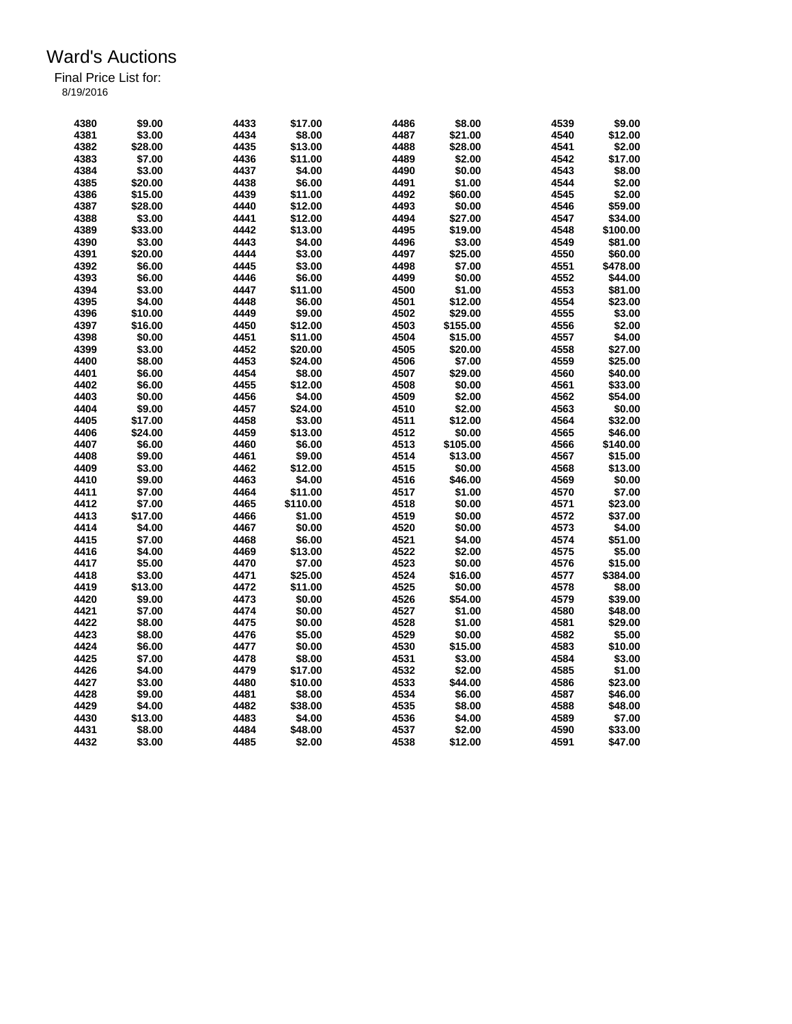| 4380 | \$9.00  | 4433 | \$17.00  | 4486 | \$8.00   | 4539 | \$9.00   |
|------|---------|------|----------|------|----------|------|----------|
| 4381 | \$3.00  | 4434 | \$8.00   | 4487 | \$21.00  | 4540 | \$12.00  |
| 4382 | \$28.00 | 4435 | \$13.00  | 4488 | \$28.00  | 4541 | \$2.00   |
| 4383 | \$7.00  | 4436 | \$11.00  | 4489 | \$2.00   | 4542 | \$17.00  |
| 4384 | \$3.00  | 4437 | \$4.00   | 4490 | \$0.00   | 4543 | \$8.00   |
| 4385 | \$20.00 | 4438 | \$6.00   | 4491 | \$1.00   | 4544 | \$2.00   |
|      |         |      |          |      |          |      |          |
| 4386 | \$15.00 | 4439 | \$11.00  | 4492 | \$60.00  | 4545 | \$2.00   |
| 4387 | \$28.00 | 4440 | \$12.00  | 4493 | \$0.00   | 4546 | \$59.00  |
| 4388 | \$3.00  | 4441 | \$12.00  | 4494 | \$27.00  | 4547 | \$34.00  |
| 4389 | \$33.00 | 4442 | \$13.00  | 4495 | \$19.00  | 4548 | \$100.00 |
| 4390 | \$3.00  | 4443 | \$4.00   | 4496 | \$3.00   | 4549 | \$81.00  |
| 4391 | \$20.00 | 4444 | \$3.00   | 4497 | \$25.00  | 4550 | \$60.00  |
| 4392 | \$6.00  | 4445 | \$3.00   | 4498 | \$7.00   | 4551 | \$478.00 |
| 4393 | \$6.00  | 4446 | \$6.00   | 4499 | \$0.00   | 4552 | \$44.00  |
| 4394 | \$3.00  | 4447 | \$11.00  | 4500 | \$1.00   | 4553 | \$81.00  |
| 4395 | \$4.00  | 4448 | \$6.00   | 4501 | \$12.00  | 4554 | \$23.00  |
| 4396 | \$10.00 | 4449 | \$9.00   | 4502 | \$29.00  | 4555 | \$3.00   |
| 4397 | \$16.00 | 4450 | \$12.00  | 4503 | \$155.00 | 4556 | \$2.00   |
| 4398 | \$0.00  | 4451 | \$11.00  | 4504 | \$15.00  | 4557 | \$4.00   |
| 4399 | \$3.00  | 4452 | \$20.00  | 4505 | \$20.00  | 4558 | \$27.00  |
| 4400 | \$8.00  | 4453 | \$24.00  | 4506 | \$7.00   | 4559 | \$25.00  |
| 4401 | \$6.00  | 4454 | \$8.00   | 4507 | \$29.00  | 4560 | \$40.00  |
| 4402 | \$6.00  | 4455 | \$12.00  | 4508 | \$0.00   | 4561 | \$33.00  |
| 4403 | \$0.00  | 4456 | \$4.00   | 4509 | \$2.00   | 4562 | \$54.00  |
| 4404 | \$9.00  | 4457 | \$24.00  | 4510 | \$2.00   | 4563 | \$0.00   |
| 4405 | \$17.00 | 4458 | \$3.00   | 4511 | \$12.00  | 4564 | \$32.00  |
| 4406 | \$24.00 | 4459 | \$13.00  | 4512 | \$0.00   | 4565 | \$46.00  |
|      |         |      | \$6.00   | 4513 |          |      |          |
| 4407 | \$6.00  | 4460 |          |      | \$105.00 | 4566 | \$140.00 |
| 4408 | \$9.00  | 4461 | \$9.00   | 4514 | \$13.00  | 4567 | \$15.00  |
| 4409 | \$3.00  | 4462 | \$12.00  | 4515 | \$0.00   | 4568 | \$13.00  |
| 4410 | \$9.00  | 4463 | \$4.00   | 4516 | \$46.00  | 4569 | \$0.00   |
| 4411 | \$7.00  | 4464 | \$11.00  | 4517 | \$1.00   | 4570 | \$7.00   |
| 4412 | \$7.00  | 4465 | \$110.00 | 4518 | \$0.00   | 4571 | \$23.00  |
| 4413 | \$17.00 | 4466 | \$1.00   | 4519 | \$0.00   | 4572 | \$37.00  |
| 4414 | \$4.00  | 4467 | \$0.00   | 4520 | \$0.00   | 4573 | \$4.00   |
| 4415 | \$7.00  | 4468 | \$6.00   | 4521 | \$4.00   | 4574 | \$51.00  |
| 4416 | \$4.00  | 4469 | \$13.00  | 4522 | \$2.00   | 4575 | \$5.00   |
| 4417 | \$5.00  | 4470 | \$7.00   | 4523 | \$0.00   | 4576 | \$15.00  |
| 4418 | \$3.00  | 4471 | \$25.00  | 4524 | \$16.00  | 4577 | \$384.00 |
| 4419 | \$13.00 | 4472 | \$11.00  | 4525 | \$0.00   | 4578 | \$8.00   |
| 4420 | \$9.00  | 4473 | \$0.00   | 4526 | \$54.00  | 4579 | \$39.00  |
| 4421 | \$7.00  | 4474 | \$0.00   | 4527 | \$1.00   | 4580 | \$48.00  |
| 4422 | \$8.00  | 4475 | \$0.00   | 4528 | \$1.00   | 4581 | \$29.00  |
| 4423 | \$8.00  | 4476 | \$5.00   | 4529 | \$0.00   | 4582 | \$5.00   |
| 4424 | \$6.00  | 4477 | \$0.00   | 4530 | \$15.00  | 4583 | \$10.00  |
| 4425 | \$7.00  | 4478 | \$8.00   | 4531 | \$3.00   | 4584 | \$3.00   |
| 4426 | \$4.00  | 4479 | \$17.00  | 4532 | \$2.00   | 4585 | \$1.00   |
| 4427 | \$3.00  | 4480 | \$10.00  | 4533 | \$44.00  | 4586 | \$23.00  |
| 4428 | \$9.00  | 4481 | \$8.00   | 4534 | \$6.00   | 4587 | \$46.00  |
| 4429 | \$4.00  | 4482 | \$38.00  | 4535 | \$8.00   | 4588 | \$48.00  |
| 4430 | \$13.00 | 4483 | \$4.00   | 4536 | \$4.00   | 4589 | \$7.00   |
|      |         |      |          |      |          |      |          |
| 4431 | \$8.00  | 4484 | \$48.00  | 4537 | \$2.00   | 4590 | \$33.00  |
| 4432 | \$3.00  | 4485 | \$2.00   | 4538 | \$12.00  | 4591 | \$47.00  |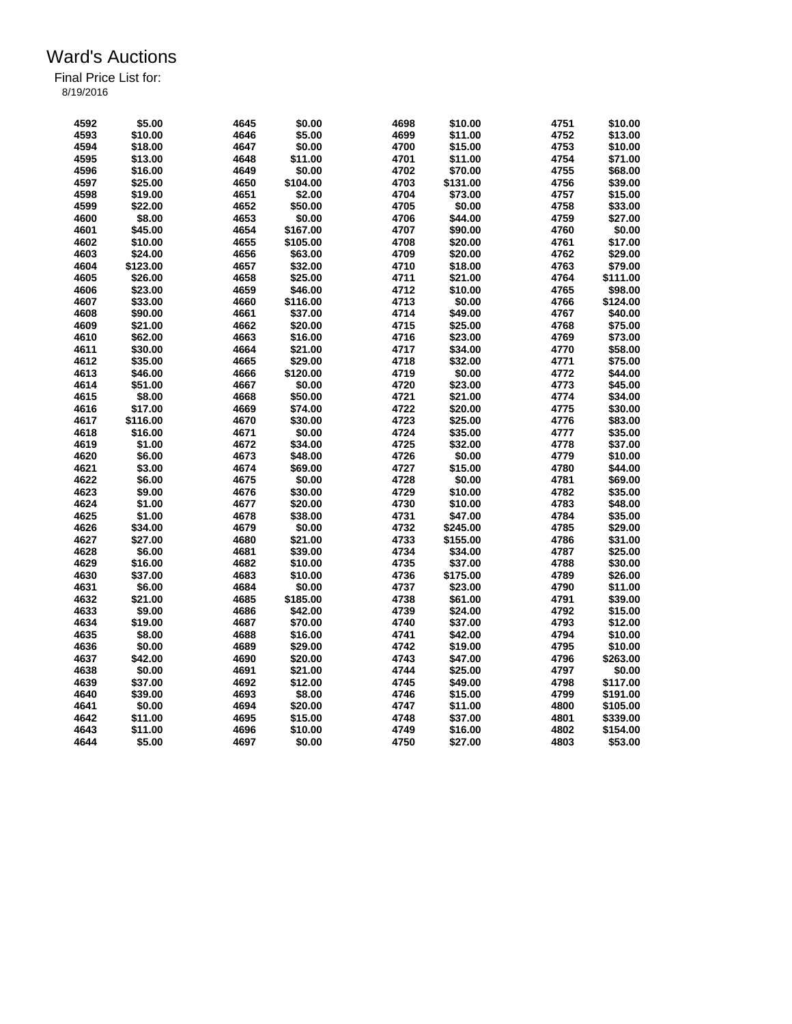| 4592 | \$5.00   | 4645 | \$0.00   | 4698 | \$10.00  | 4751 | \$10.00  |
|------|----------|------|----------|------|----------|------|----------|
| 4593 | \$10.00  | 4646 | \$5.00   | 4699 | \$11.00  | 4752 | \$13.00  |
| 4594 | \$18.00  | 4647 | \$0.00   | 4700 | \$15.00  | 4753 | \$10.00  |
| 4595 | \$13.00  | 4648 | \$11.00  | 4701 | \$11.00  | 4754 | \$71.00  |
| 4596 | \$16.00  | 4649 | \$0.00   | 4702 | \$70.00  | 4755 | \$68.00  |
| 4597 | \$25.00  | 4650 | \$104.00 | 4703 | \$131.00 | 4756 | \$39.00  |
| 4598 | \$19.00  | 4651 | \$2.00   | 4704 | \$73.00  | 4757 | \$15.00  |
| 4599 | \$22.00  | 4652 | \$50.00  | 4705 | \$0.00   | 4758 | \$33.00  |
| 4600 | \$8.00   | 4653 | \$0.00   | 4706 | \$44.00  | 4759 | \$27.00  |
| 4601 | \$45.00  | 4654 | \$167.00 | 4707 | \$90.00  | 4760 | \$0.00   |
| 4602 | \$10.00  | 4655 | \$105.00 | 4708 | \$20.00  | 4761 | \$17.00  |
| 4603 | \$24.00  | 4656 | \$63.00  | 4709 | \$20.00  | 4762 | \$29.00  |
| 4604 | \$123.00 | 4657 | \$32.00  | 4710 | \$18.00  | 4763 | \$79.00  |
| 4605 | \$26.00  | 4658 | \$25.00  | 4711 | \$21.00  | 4764 | \$111.00 |
| 4606 | \$23.00  | 4659 | \$46.00  | 4712 | \$10.00  | 4765 | \$98.00  |
| 4607 | \$33.00  | 4660 | \$116.00 | 4713 | \$0.00   | 4766 | \$124.00 |
| 4608 | \$90.00  | 4661 | \$37.00  | 4714 | \$49.00  | 4767 | \$40.00  |
| 4609 | \$21.00  | 4662 | \$20.00  | 4715 | \$25.00  | 4768 | \$75.00  |
|      |          |      |          | 4716 |          |      |          |
| 4610 | \$62.00  | 4663 | \$16.00  |      | \$23.00  | 4769 | \$73.00  |
| 4611 | \$30.00  | 4664 | \$21.00  | 4717 | \$34.00  | 4770 | \$58.00  |
| 4612 | \$35.00  | 4665 | \$29.00  | 4718 | \$32.00  | 4771 | \$75.00  |
| 4613 | \$46.00  | 4666 | \$120.00 | 4719 | \$0.00   | 4772 | \$44.00  |
| 4614 | \$51.00  | 4667 | \$0.00   | 4720 | \$23.00  | 4773 | \$45.00  |
| 4615 | \$8.00   | 4668 | \$50.00  | 4721 | \$21.00  | 4774 | \$34.00  |
| 4616 | \$17.00  | 4669 | \$74.00  | 4722 | \$20.00  | 4775 | \$30.00  |
| 4617 | \$116.00 | 4670 | \$30.00  | 4723 | \$25.00  | 4776 | \$83.00  |
| 4618 | \$16.00  | 4671 | \$0.00   | 4724 | \$35.00  | 4777 | \$35.00  |
| 4619 | \$1.00   | 4672 | \$34.00  | 4725 | \$32.00  | 4778 | \$37.00  |
| 4620 | \$6.00   | 4673 | \$48.00  | 4726 | \$0.00   | 4779 | \$10.00  |
| 4621 | \$3.00   | 4674 | \$69.00  | 4727 | \$15.00  | 4780 | \$44.00  |
| 4622 | \$6.00   | 4675 | \$0.00   | 4728 | \$0.00   | 4781 | \$69.00  |
| 4623 | \$9.00   | 4676 | \$30.00  | 4729 | \$10.00  | 4782 | \$35.00  |
| 4624 | \$1.00   | 4677 | \$20.00  | 4730 | \$10.00  | 4783 | \$48.00  |
| 4625 | \$1.00   | 4678 | \$38.00  | 4731 | \$47.00  | 4784 | \$35.00  |
| 4626 | \$34.00  | 4679 | \$0.00   | 4732 | \$245.00 | 4785 | \$29.00  |
| 4627 | \$27.00  | 4680 | \$21.00  | 4733 | \$155.00 | 4786 | \$31.00  |
| 4628 | \$6.00   | 4681 | \$39.00  | 4734 | \$34.00  | 4787 | \$25.00  |
| 4629 | \$16.00  | 4682 | \$10.00  | 4735 | \$37.00  | 4788 | \$30.00  |
| 4630 | \$37.00  | 4683 | \$10.00  | 4736 | \$175.00 | 4789 | \$26.00  |
| 4631 | \$6.00   | 4684 | \$0.00   | 4737 | \$23.00  | 4790 | \$11.00  |
| 4632 | \$21.00  | 4685 | \$185.00 | 4738 | \$61.00  | 4791 | \$39.00  |
| 4633 | \$9.00   | 4686 | \$42.00  | 4739 | \$24.00  | 4792 | \$15.00  |
| 4634 | \$19.00  | 4687 | \$70.00  | 4740 | \$37.00  | 4793 | \$12.00  |
| 4635 | \$8.00   | 4688 | \$16.00  | 4741 | \$42.00  | 4794 | \$10.00  |
| 4636 | \$0.00   | 4689 | \$29.00  | 4742 | \$19.00  | 4795 | \$10.00  |
| 4637 | \$42.00  | 4690 | \$20.00  | 4743 | \$47.00  | 4796 | \$263.00 |
| 4638 | \$0.00   | 4691 | \$21.00  | 4744 | \$25.00  | 4797 | \$0.00   |
| 4639 | \$37.00  | 4692 | \$12.00  | 4745 | \$49.00  | 4798 | \$117.00 |
| 4640 | \$39.00  | 4693 | \$8.00   | 4746 | \$15.00  | 4799 | \$191.00 |
| 4641 | \$0.00   | 4694 | \$20.00  | 4747 | \$11.00  | 4800 | \$105.00 |
| 4642 | \$11.00  | 4695 | \$15.00  | 4748 | \$37.00  | 4801 | \$339.00 |
| 4643 | \$11.00  | 4696 | \$10.00  | 4749 | \$16.00  | 4802 | \$154.00 |
| 4644 | \$5.00   | 4697 | \$0.00   | 4750 | \$27.00  | 4803 | \$53.00  |
|      |          |      |          |      |          |      |          |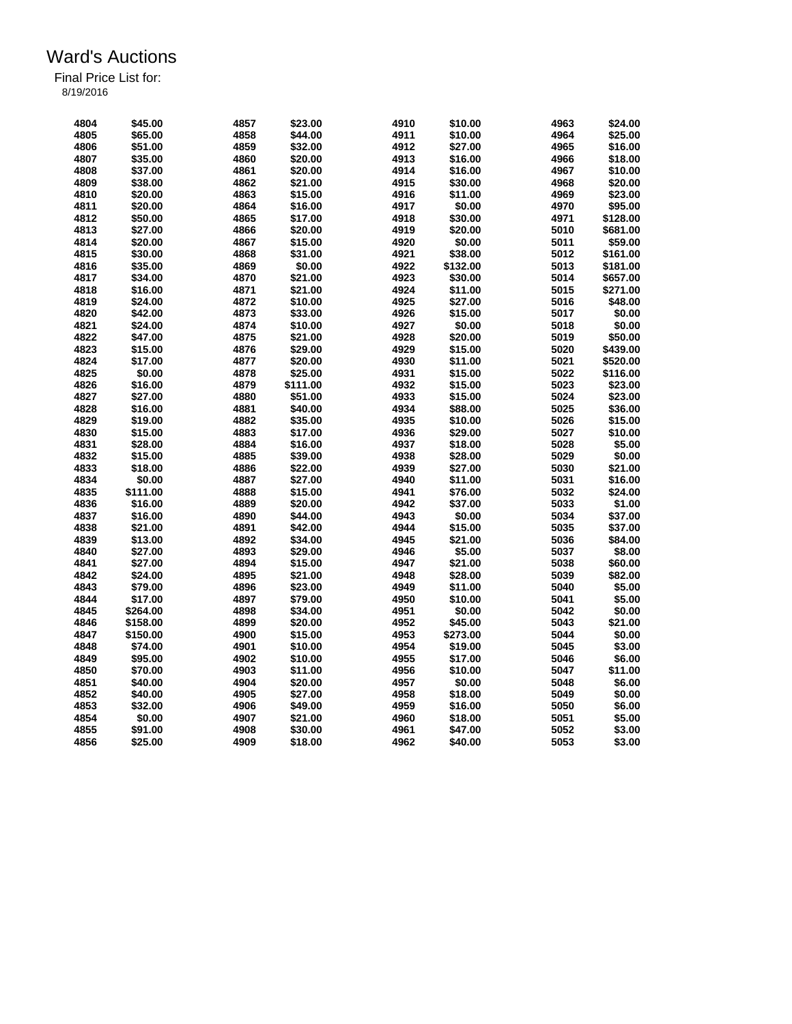| 4804 | \$45.00  | 4857 | \$23.00  | 4910 | \$10.00  | 4963 | \$24.00  |
|------|----------|------|----------|------|----------|------|----------|
| 4805 | \$65.00  | 4858 | \$44.00  | 4911 | \$10.00  | 4964 | \$25.00  |
| 4806 | \$51.00  | 4859 | \$32.00  | 4912 | \$27.00  | 4965 | \$16.00  |
| 4807 | \$35.00  | 4860 | \$20.00  | 4913 | \$16.00  | 4966 | \$18.00  |
| 4808 | \$37.00  | 4861 | \$20.00  | 4914 | \$16.00  | 4967 | \$10.00  |
| 4809 | \$38.00  | 4862 | \$21.00  | 4915 | \$30.00  | 4968 | \$20.00  |
| 4810 | \$20.00  | 4863 | \$15.00  | 4916 | \$11.00  | 4969 | \$23.00  |
| 4811 | \$20.00  | 4864 | \$16.00  | 4917 | \$0.00   | 4970 | \$95.00  |
| 4812 | \$50.00  | 4865 | \$17.00  | 4918 | \$30.00  | 4971 | \$128.00 |
| 4813 | \$27.00  | 4866 | \$20.00  | 4919 | \$20.00  | 5010 | \$681.00 |
| 4814 | \$20.00  | 4867 | \$15.00  | 4920 | \$0.00   | 5011 | \$59.00  |
| 4815 | \$30.00  | 4868 | \$31.00  | 4921 | \$38.00  | 5012 | \$161.00 |
| 4816 | \$35.00  |      | \$0.00   | 4922 | \$132.00 | 5013 |          |
|      |          | 4869 |          |      |          |      | \$181.00 |
| 4817 | \$34.00  | 4870 | \$21.00  | 4923 | \$30.00  | 5014 | \$657.00 |
| 4818 | \$16.00  | 4871 | \$21.00  | 4924 | \$11.00  | 5015 | \$271.00 |
| 4819 | \$24.00  | 4872 | \$10.00  | 4925 | \$27.00  | 5016 | \$48.00  |
| 4820 | \$42.00  | 4873 | \$33.00  | 4926 | \$15.00  | 5017 | \$0.00   |
| 4821 | \$24.00  | 4874 | \$10.00  | 4927 | \$0.00   | 5018 | \$0.00   |
| 4822 | \$47.00  | 4875 | \$21.00  | 4928 | \$20.00  | 5019 | \$50.00  |
| 4823 | \$15.00  | 4876 | \$29.00  | 4929 | \$15.00  | 5020 | \$439.00 |
| 4824 | \$17.00  | 4877 | \$20.00  | 4930 | \$11.00  | 5021 | \$520.00 |
| 4825 | \$0.00   | 4878 | \$25.00  | 4931 | \$15.00  | 5022 | \$116.00 |
| 4826 | \$16.00  | 4879 | \$111.00 | 4932 | \$15.00  | 5023 | \$23.00  |
| 4827 | \$27.00  | 4880 | \$51.00  | 4933 | \$15.00  | 5024 | \$23.00  |
| 4828 | \$16.00  | 4881 | \$40.00  | 4934 | \$88.00  | 5025 | \$36.00  |
| 4829 | \$19.00  | 4882 | \$35.00  | 4935 | \$10.00  | 5026 | \$15.00  |
| 4830 | \$15.00  | 4883 | \$17.00  | 4936 | \$29.00  | 5027 | \$10.00  |
| 4831 | \$28.00  | 4884 | \$16.00  | 4937 | \$18.00  | 5028 | \$5.00   |
| 4832 | \$15.00  | 4885 | \$39.00  | 4938 | \$28.00  | 5029 | \$0.00   |
|      |          |      |          |      |          |      |          |
| 4833 | \$18.00  | 4886 | \$22.00  | 4939 | \$27.00  | 5030 | \$21.00  |
| 4834 | \$0.00   | 4887 | \$27.00  | 4940 | \$11.00  | 5031 | \$16.00  |
| 4835 | \$111.00 | 4888 | \$15.00  | 4941 | \$76.00  | 5032 | \$24.00  |
| 4836 | \$16.00  | 4889 | \$20.00  | 4942 | \$37.00  | 5033 | \$1.00   |
| 4837 | \$16.00  | 4890 | \$44.00  | 4943 | \$0.00   | 5034 | \$37.00  |
| 4838 | \$21.00  | 4891 | \$42.00  | 4944 | \$15.00  | 5035 | \$37.00  |
| 4839 | \$13.00  | 4892 | \$34.00  | 4945 | \$21.00  | 5036 | \$84.00  |
| 4840 | \$27.00  | 4893 | \$29.00  | 4946 | \$5.00   | 5037 | \$8.00   |
| 4841 | \$27.00  | 4894 | \$15.00  | 4947 | \$21.00  | 5038 | \$60.00  |
| 4842 | \$24.00  | 4895 | \$21.00  | 4948 | \$28.00  | 5039 | \$82.00  |
| 4843 | \$79.00  | 4896 | \$23.00  | 4949 | \$11.00  | 5040 | \$5.00   |
| 4844 | \$17.00  | 4897 | \$79.00  | 4950 | \$10.00  | 5041 | \$5.00   |
| 4845 | \$264.00 | 4898 | \$34.00  | 4951 | \$0.00   | 5042 | \$0.00   |
| 4846 | \$158.00 | 4899 | \$20.00  | 4952 | \$45.00  | 5043 | \$21.00  |
| 4847 | \$150.00 | 4900 | \$15.00  | 4953 | \$273.00 | 5044 | \$0.00   |
| 4848 | \$74.00  | 4901 | \$10.00  | 4954 | \$19.00  | 5045 | \$3.00   |
| 4849 |          |      |          |      |          |      |          |
|      | \$95.00  | 4902 | \$10.00  | 4955 | \$17.00  | 5046 | \$6.00   |
| 4850 | \$70.00  | 4903 | \$11.00  | 4956 | \$10.00  | 5047 | \$11.00  |
| 4851 | \$40.00  | 4904 | \$20.00  | 4957 | \$0.00   | 5048 | \$6.00   |
| 4852 | \$40.00  | 4905 | \$27.00  | 4958 | \$18.00  | 5049 | \$0.00   |
| 4853 | \$32.00  | 4906 | \$49.00  | 4959 | \$16.00  | 5050 | \$6.00   |
| 4854 | \$0.00   | 4907 | \$21.00  | 4960 | \$18.00  | 5051 | \$5.00   |
| 4855 | \$91.00  | 4908 | \$30.00  | 4961 | \$47.00  | 5052 | \$3.00   |
| 4856 | \$25.00  | 4909 | \$18.00  | 4962 | \$40.00  | 5053 | \$3.00   |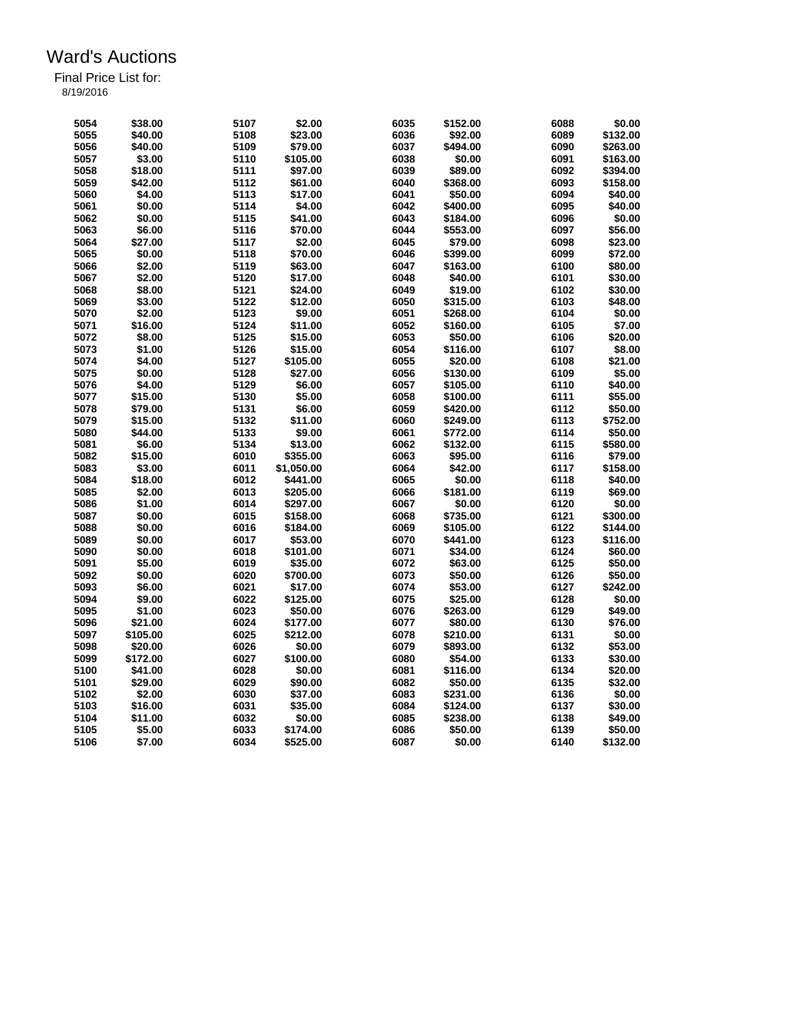| 5054 | \$38.00           | 5107         | \$2.00     | 6035 | \$152.00 | 6088         | \$0.00             |
|------|-------------------|--------------|------------|------|----------|--------------|--------------------|
|      |                   |              |            |      |          |              |                    |
| 5055 | \$40.00           | 5108         | \$23.00    | 6036 | \$92.00  | 6089         | \$132.00           |
| 5056 | \$40.00           | 5109         | \$79.00    | 6037 | \$494.00 | 6090         | \$263.00           |
| 5057 | \$3.00            | 5110         | \$105.00   | 6038 | \$0.00   | 6091         | \$163.00           |
| 5058 | \$18.00           | 5111         | \$97.00    | 6039 | \$89.00  | 6092         | \$394.00           |
| 5059 | \$42.00           | 5112         | \$61.00    | 6040 | \$368.00 | 6093         | \$158.00           |
| 5060 | \$4.00            | 5113         | \$17.00    | 6041 | \$50.00  | 6094         | \$40.00            |
| 5061 | \$0.00            | 5114         | \$4.00     | 6042 | \$400.00 | 6095         | \$40.00            |
| 5062 | \$0.00            | 5115         | \$41.00    | 6043 | \$184.00 | 6096         | \$0.00             |
| 5063 | \$6.00            | 5116         | \$70.00    | 6044 | \$553.00 | 6097         | \$56.00            |
| 5064 | \$27.00           | 5117         | \$2.00     | 6045 | \$79.00  | 6098         | \$23.00            |
| 5065 | \$0.00            | 5118         | \$70.00    | 6046 | \$399.00 | 6099         | \$72.00            |
| 5066 | \$2.00            | 5119         | \$63.00    | 6047 | \$163.00 | 6100         | \$80.00            |
| 5067 | \$2.00            | 5120         | \$17.00    | 6048 | \$40.00  | 6101         | \$30.00            |
| 5068 | \$8.00            | 5121         | \$24.00    | 6049 | \$19.00  | 6102         | \$30.00            |
|      |                   |              |            | 6050 |          |              |                    |
| 5069 | \$3.00            | 5122         | \$12.00    |      | \$315.00 | 6103         | \$48.00            |
| 5070 | \$2.00            | 5123         | \$9.00     | 6051 | \$268.00 | 6104         | \$0.00             |
| 5071 | \$16.00           | 5124         | \$11.00    | 6052 | \$160.00 | 6105         | \$7.00             |
| 5072 | \$8.00            | 5125         | \$15.00    | 6053 | \$50.00  | 6106         | \$20.00            |
| 5073 | \$1.00            | 5126         | \$15.00    | 6054 | \$116.00 | 6107         | \$8.00             |
| 5074 | \$4.00            | 5127         | \$105.00   | 6055 | \$20.00  | 6108         | \$21.00            |
| 5075 | \$0.00            | 5128         | \$27.00    | 6056 | \$130.00 | 6109         | \$5.00             |
| 5076 | \$4.00            | 5129         | \$6.00     | 6057 | \$105.00 | 6110         | \$40.00            |
| 5077 | \$15.00           | 5130         | \$5.00     | 6058 | \$100.00 | 6111         | \$55.00            |
| 5078 | \$79.00           | 5131         | \$6.00     | 6059 | \$420.00 | 6112         | \$50.00            |
| 5079 | \$15.00           | 5132         | \$11.00    | 6060 | \$249.00 | 6113         | \$752.00           |
| 5080 | \$44.00           | 5133         | \$9.00     | 6061 | \$772.00 | 6114         | \$50.00            |
| 5081 | \$6.00            | 5134         | \$13.00    | 6062 | \$132.00 | 6115         | \$580.00           |
| 5082 | \$15.00           | 6010         | \$355.00   | 6063 | \$95.00  | 6116         | \$79.00            |
| 5083 | \$3.00            | 6011         | \$1,050.00 | 6064 | \$42.00  | 6117         | \$158.00           |
| 5084 | \$18.00           | 6012         | \$441.00   | 6065 | \$0.00   | 6118         | \$40.00            |
| 5085 | \$2.00            | 6013         | \$205.00   | 6066 | \$181.00 | 6119         | \$69.00            |
|      | \$1.00            |              |            | 6067 | \$0.00   | 6120         |                    |
| 5086 |                   | 6014         | \$297.00   |      |          |              | \$0.00             |
| 5087 | \$0.00            | 6015         | \$158.00   | 6068 | \$735.00 | 6121         | \$300.00           |
| 5088 | \$0.00            | 6016         | \$184.00   | 6069 | \$105.00 | 6122         | \$144.00           |
| 5089 | \$0.00            | 6017         | \$53.00    | 6070 | \$441.00 | 6123         | \$116.00           |
| 5090 | \$0.00            | 6018         | \$101.00   | 6071 | \$34.00  | 6124         | \$60.00            |
| 5091 | \$5.00            | 6019         | \$35.00    | 6072 | \$63.00  | 6125         | \$50.00            |
| 5092 | \$0.00            | 6020         | \$700.00   | 6073 | \$50.00  | 6126         | \$50.00            |
| 5093 | \$6.00            | 6021         | \$17.00    | 6074 | \$53.00  | 6127         | \$242.00           |
| 5094 | \$9.00            | 6022         | \$125.00   | 6075 | \$25.00  | 6128         | \$0.00             |
| 5095 | \$1.00            | 6023         | \$50.00    | 6076 | \$263.00 | 6129         | \$49.00            |
| 5096 | \$21.00           | 6024         | \$177.00   | 6077 | \$80.00  | 6130         | \$76.00            |
| 5097 | \$105.00          | 6025         | \$212.00   | 6078 | \$210.00 | 6131         | \$0.00             |
| 5098 | \$20.00           | 6026         | \$0.00     | 6079 | \$893.00 | 6132         | \$53.00            |
| 5099 | \$172.00          | 6027         | \$100.00   | 6080 | \$54.00  | 6133         | \$30.00            |
| 5100 | \$41.00           | 6028         | \$0.00     | 6081 | \$116.00 | 6134         | \$20.00            |
| 5101 | \$29.00           | 6029         | \$90.00    | 6082 | \$50.00  | 6135         | \$32.00            |
| 5102 | \$2.00            | 6030         | \$37.00    | 6083 | \$231.00 | 6136         | \$0.00             |
| 5103 | \$16.00           | 6031         | \$35.00    | 6084 | \$124.00 | 6137         | \$30.00            |
|      |                   |              | \$0.00     | 6085 |          |              |                    |
| 5104 | \$11.00<br>\$5.00 | 6032<br>6033 | \$174.00   | 6086 | \$238.00 | 6138<br>6139 | \$49.00<br>\$50.00 |
| 5105 |                   |              |            |      | \$50.00  |              |                    |
| 5106 | \$7.00            | 6034         | \$525.00   | 6087 | \$0.00   | 6140         | \$132.00           |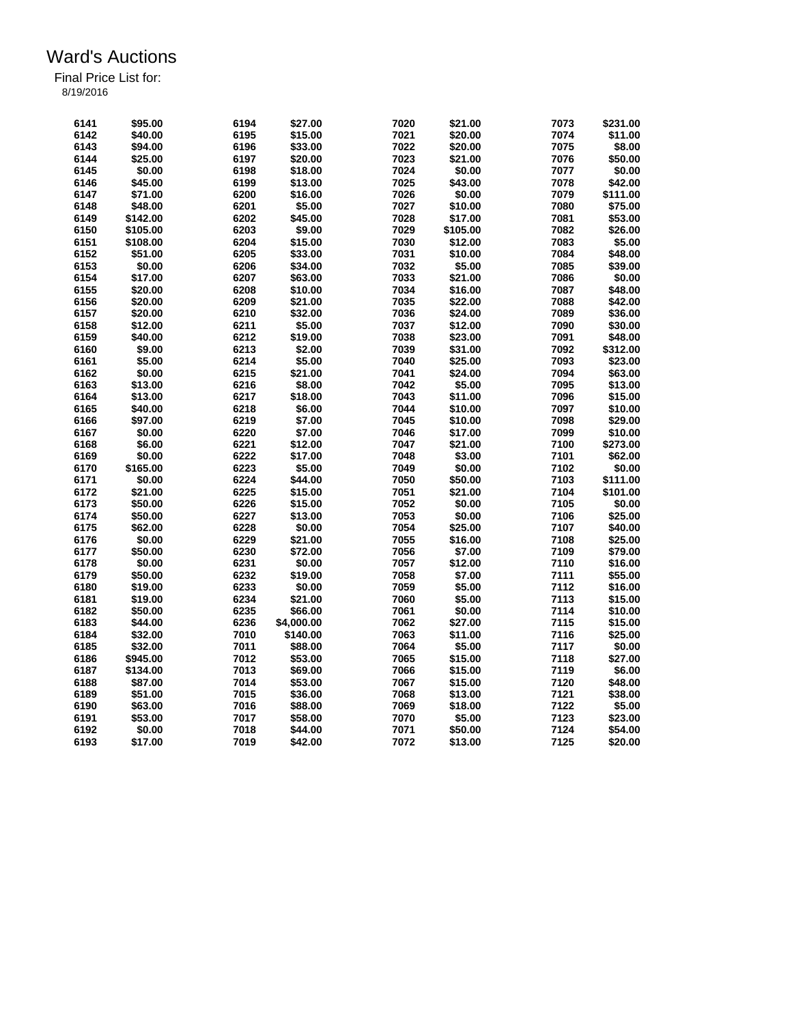| 6141 | \$95.00  | 6194 | \$27.00    | 7020 | \$21.00  | 7073 | \$231.00 |
|------|----------|------|------------|------|----------|------|----------|
| 6142 | \$40.00  | 6195 | \$15.00    | 7021 | \$20.00  | 7074 | \$11.00  |
| 6143 |          | 6196 |            | 7022 | \$20.00  | 7075 | \$8.00   |
|      | \$94.00  |      | \$33.00    |      |          |      |          |
| 6144 | \$25.00  | 6197 | \$20.00    | 7023 | \$21.00  | 7076 | \$50.00  |
| 6145 | \$0.00   | 6198 | \$18.00    | 7024 | \$0.00   | 7077 | \$0.00   |
| 6146 | \$45.00  | 6199 | \$13.00    | 7025 | \$43.00  | 7078 | \$42.00  |
| 6147 | \$71.00  | 6200 | \$16.00    | 7026 | \$0.00   | 7079 | \$111.00 |
| 6148 | \$48.00  | 6201 | \$5.00     | 7027 | \$10.00  | 7080 | \$75.00  |
| 6149 | \$142.00 | 6202 | \$45.00    | 7028 | \$17.00  | 7081 | \$53.00  |
| 6150 | \$105.00 | 6203 | \$9.00     | 7029 | \$105.00 | 7082 | \$26.00  |
| 6151 | \$108.00 | 6204 | \$15.00    | 7030 | \$12.00  | 7083 | \$5.00   |
| 6152 | \$51.00  | 6205 | \$33.00    | 7031 | \$10.00  | 7084 | \$48.00  |
| 6153 | \$0.00   | 6206 | \$34.00    | 7032 | \$5.00   | 7085 | \$39.00  |
| 6154 | \$17.00  | 6207 | \$63.00    | 7033 | \$21.00  | 7086 | \$0.00   |
| 6155 | \$20.00  | 6208 | \$10.00    | 7034 | \$16.00  | 7087 | \$48.00  |
| 6156 | \$20.00  | 6209 | \$21.00    | 7035 | \$22.00  | 7088 | \$42.00  |
| 6157 | \$20.00  | 6210 | \$32.00    | 7036 | \$24.00  | 7089 | \$36.00  |
| 6158 | \$12.00  | 6211 | \$5.00     | 7037 | \$12.00  | 7090 | \$30.00  |
| 6159 | \$40.00  | 6212 | \$19.00    | 7038 | \$23.00  | 7091 | \$48.00  |
| 6160 | \$9.00   | 6213 | \$2.00     | 7039 | \$31.00  | 7092 | \$312.00 |
| 6161 | \$5.00   | 6214 | \$5.00     | 7040 | \$25.00  | 7093 | \$23.00  |
| 6162 | \$0.00   | 6215 | \$21.00    | 7041 | \$24.00  | 7094 | \$63.00  |
| 6163 | \$13.00  | 6216 | \$8.00     | 7042 | \$5.00   | 7095 | \$13.00  |
|      |          |      |            | 7043 |          |      |          |
| 6164 | \$13.00  | 6217 | \$18.00    |      | \$11.00  | 7096 | \$15.00  |
| 6165 | \$40.00  | 6218 | \$6.00     | 7044 | \$10.00  | 7097 | \$10.00  |
| 6166 | \$97.00  | 6219 | \$7.00     | 7045 | \$10.00  | 7098 | \$29.00  |
| 6167 | \$0.00   | 6220 | \$7.00     | 7046 | \$17.00  | 7099 | \$10.00  |
| 6168 | \$6.00   | 6221 | \$12.00    | 7047 | \$21.00  | 7100 | \$273.00 |
| 6169 | \$0.00   | 6222 | \$17.00    | 7048 | \$3.00   | 7101 | \$62.00  |
| 6170 | \$165.00 | 6223 | \$5.00     | 7049 | \$0.00   | 7102 | \$0.00   |
| 6171 | \$0.00   | 6224 | \$44.00    | 7050 | \$50.00  | 7103 | \$111.00 |
| 6172 | \$21.00  | 6225 | \$15.00    | 7051 | \$21.00  | 7104 | \$101.00 |
| 6173 | \$50.00  | 6226 | \$15.00    | 7052 | \$0.00   | 7105 | \$0.00   |
| 6174 | \$50.00  | 6227 | \$13.00    | 7053 | \$0.00   | 7106 | \$25.00  |
| 6175 | \$62.00  | 6228 | \$0.00     | 7054 | \$25.00  | 7107 | \$40.00  |
| 6176 | \$0.00   | 6229 | \$21.00    | 7055 | \$16.00  | 7108 | \$25.00  |
| 6177 | \$50.00  | 6230 | \$72.00    | 7056 | \$7.00   | 7109 | \$79.00  |
| 6178 | \$0.00   | 6231 | \$0.00     | 7057 | \$12.00  | 7110 | \$16.00  |
| 6179 | \$50.00  | 6232 | \$19.00    | 7058 | \$7.00   | 7111 | \$55.00  |
| 6180 | \$19.00  | 6233 | \$0.00     | 7059 | \$5.00   | 7112 | \$16.00  |
| 6181 | \$19.00  | 6234 | \$21.00    | 7060 | \$5.00   | 7113 | \$15.00  |
| 6182 | \$50.00  | 6235 | \$66.00    | 7061 | \$0.00   | 7114 | \$10.00  |
| 6183 | \$44.00  | 6236 | \$4,000.00 | 7062 | \$27.00  | 7115 | \$15.00  |
| 6184 | \$32.00  | 7010 | \$140.00   | 7063 | \$11.00  | 7116 | \$25.00  |
| 6185 | \$32.00  | 7011 | \$88.00    | 7064 | \$5.00   | 7117 | \$0.00   |
|      |          |      |            |      |          |      |          |
| 6186 | \$945.00 | 7012 | \$53.00    | 7065 | \$15.00  | 7118 | \$27.00  |
| 6187 | \$134.00 | 7013 | \$69.00    | 7066 | \$15.00  | 7119 | \$6.00   |
| 6188 | \$87.00  | 7014 | \$53.00    | 7067 | \$15.00  | 7120 | \$48.00  |
| 6189 | \$51.00  | 7015 | \$36.00    | 7068 | \$13.00  | 7121 | \$38.00  |
| 6190 | \$63.00  | 7016 | \$88.00    | 7069 | \$18.00  | 7122 | \$5.00   |
| 6191 | \$53.00  | 7017 | \$58.00    | 7070 | \$5.00   | 7123 | \$23.00  |
| 6192 | \$0.00   | 7018 | \$44.00    | 7071 | \$50.00  | 7124 | \$54.00  |
| 6193 | \$17.00  | 7019 | \$42.00    | 7072 | \$13.00  | 7125 | \$20.00  |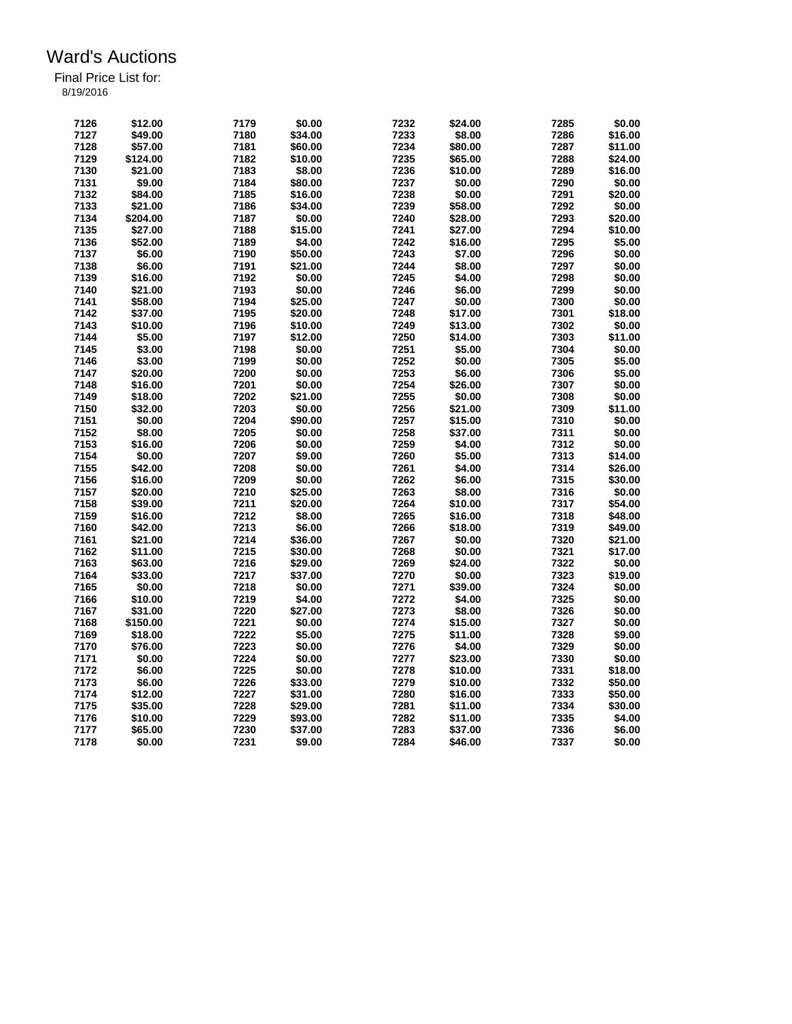| 7126 | \$12.00  | 7179 | \$0.00  | 7232 | \$24.00 | 7285 | \$0.00  |
|------|----------|------|---------|------|---------|------|---------|
| 7127 | \$49.00  | 7180 | \$34.00 | 7233 | \$8.00  | 7286 | \$16.00 |
| 7128 | \$57.00  | 7181 | \$60.00 | 7234 | \$80.00 | 7287 | \$11.00 |
| 7129 | \$124.00 | 7182 | \$10.00 | 7235 | \$65.00 | 7288 | \$24.00 |
| 7130 | \$21.00  | 7183 | \$8.00  | 7236 | \$10.00 | 7289 | \$16.00 |
| 7131 | \$9.00   | 7184 | \$80.00 | 7237 | \$0.00  | 7290 | \$0.00  |
| 7132 | \$84.00  | 7185 | \$16.00 | 7238 | \$0.00  | 7291 | \$20.00 |
| 7133 | \$21.00  | 7186 | \$34.00 | 7239 | \$58.00 | 7292 | \$0.00  |
| 7134 | \$204.00 | 7187 | \$0.00  | 7240 | \$28.00 | 7293 | \$20.00 |
| 7135 | \$27.00  | 7188 | \$15.00 | 7241 | \$27.00 | 7294 | \$10.00 |
| 7136 | \$52.00  | 7189 | \$4.00  | 7242 | \$16.00 | 7295 | \$5.00  |
| 7137 | \$6.00   | 7190 | \$50.00 | 7243 | \$7.00  | 7296 | \$0.00  |
| 7138 | \$6.00   | 7191 | \$21.00 | 7244 | \$8.00  | 7297 | \$0.00  |
| 7139 | \$16.00  | 7192 | \$0.00  | 7245 | \$4.00  | 7298 | \$0.00  |
| 7140 | \$21.00  | 7193 | \$0.00  | 7246 | \$6.00  | 7299 | \$0.00  |
| 7141 | \$58.00  | 7194 | \$25.00 | 7247 | \$0.00  | 7300 | \$0.00  |
| 7142 | \$37.00  | 7195 | \$20.00 | 7248 | \$17.00 | 7301 | \$18.00 |
| 7143 | \$10.00  | 7196 |         | 7249 |         | 7302 |         |
|      |          |      | \$10.00 |      | \$13.00 |      | \$0.00  |
| 7144 | \$5.00   | 7197 | \$12.00 | 7250 | \$14.00 | 7303 | \$11.00 |
| 7145 | \$3.00   | 7198 | \$0.00  | 7251 | \$5.00  | 7304 | \$0.00  |
| 7146 | \$3.00   | 7199 | \$0.00  | 7252 | \$0.00  | 7305 | \$5.00  |
| 7147 | \$20.00  | 7200 | \$0.00  | 7253 | \$6.00  | 7306 | \$5.00  |
| 7148 | \$16.00  | 7201 | \$0.00  | 7254 | \$26.00 | 7307 | \$0.00  |
| 7149 | \$18.00  | 7202 | \$21.00 | 7255 | \$0.00  | 7308 | \$0.00  |
| 7150 | \$32.00  | 7203 | \$0.00  | 7256 | \$21.00 | 7309 | \$11.00 |
| 7151 | \$0.00   | 7204 | \$90.00 | 7257 | \$15.00 | 7310 | \$0.00  |
| 7152 | \$8.00   | 7205 | \$0.00  | 7258 | \$37.00 | 7311 | \$0.00  |
| 7153 | \$16.00  | 7206 | \$0.00  | 7259 | \$4.00  | 7312 | \$0.00  |
| 7154 | \$0.00   | 7207 | \$9.00  | 7260 | \$5.00  | 7313 | \$14.00 |
| 7155 | \$42.00  | 7208 | \$0.00  | 7261 | \$4.00  | 7314 | \$26.00 |
| 7156 | \$16.00  | 7209 | \$0.00  | 7262 | \$6.00  | 7315 | \$30.00 |
| 7157 | \$20.00  | 7210 | \$25.00 | 7263 | \$8.00  | 7316 | \$0.00  |
| 7158 | \$39.00  | 7211 | \$20.00 | 7264 | \$10.00 | 7317 | \$54.00 |
| 7159 | \$16.00  | 7212 | \$8.00  | 7265 | \$16.00 | 7318 | \$48.00 |
| 7160 | \$42.00  | 7213 | \$6.00  | 7266 | \$18.00 | 7319 | \$49.00 |
| 7161 | \$21.00  | 7214 | \$36.00 | 7267 | \$0.00  | 7320 | \$21.00 |
| 7162 | \$11.00  | 7215 | \$30.00 | 7268 | \$0.00  | 7321 | \$17.00 |
| 7163 | \$63.00  | 7216 | \$29.00 | 7269 | \$24.00 | 7322 | \$0.00  |
| 7164 | \$33.00  | 7217 | \$37.00 | 7270 | \$0.00  | 7323 | \$19.00 |
| 7165 | \$0.00   | 7218 | \$0.00  | 7271 | \$39.00 | 7324 | \$0.00  |
| 7166 | \$10.00  | 7219 | \$4.00  | 7272 | \$4.00  | 7325 | \$0.00  |
|      |          |      | \$27.00 | 7273 |         | 7326 |         |
| 7167 | \$31.00  | 7220 |         |      | \$8.00  |      | \$0.00  |
| 7168 | \$150.00 | 7221 | \$0.00  | 7274 | \$15.00 | 7327 | \$0.00  |
| 7169 | \$18.00  | 7222 | \$5.00  | 7275 | \$11.00 | 7328 | \$9.00  |
| 7170 | \$76.00  | 7223 | \$0.00  | 7276 | \$4.00  | 7329 | \$0.00  |
| 7171 | \$0.00   | 7224 | \$0.00  | 7277 | \$23.00 | 7330 | \$0.00  |
| 7172 | \$6.00   | 7225 | \$0.00  | 7278 | \$10.00 | 7331 | \$18.00 |
| 7173 | \$6.00   | 7226 | \$33.00 | 7279 | \$10.00 | 7332 | \$50.00 |
| 7174 | \$12.00  | 7227 | \$31.00 | 7280 | \$16.00 | 7333 | \$50.00 |
| 7175 | \$35.00  | 7228 | \$29.00 | 7281 | \$11.00 | 7334 | \$30.00 |
| 7176 | \$10.00  | 7229 | \$93.00 | 7282 | \$11.00 | 7335 | \$4.00  |
| 7177 | \$65.00  | 7230 | \$37.00 | 7283 | \$37.00 | 7336 | \$6.00  |
| 7178 | \$0.00   | 7231 | \$9.00  | 7284 | \$46.00 | 7337 | \$0.00  |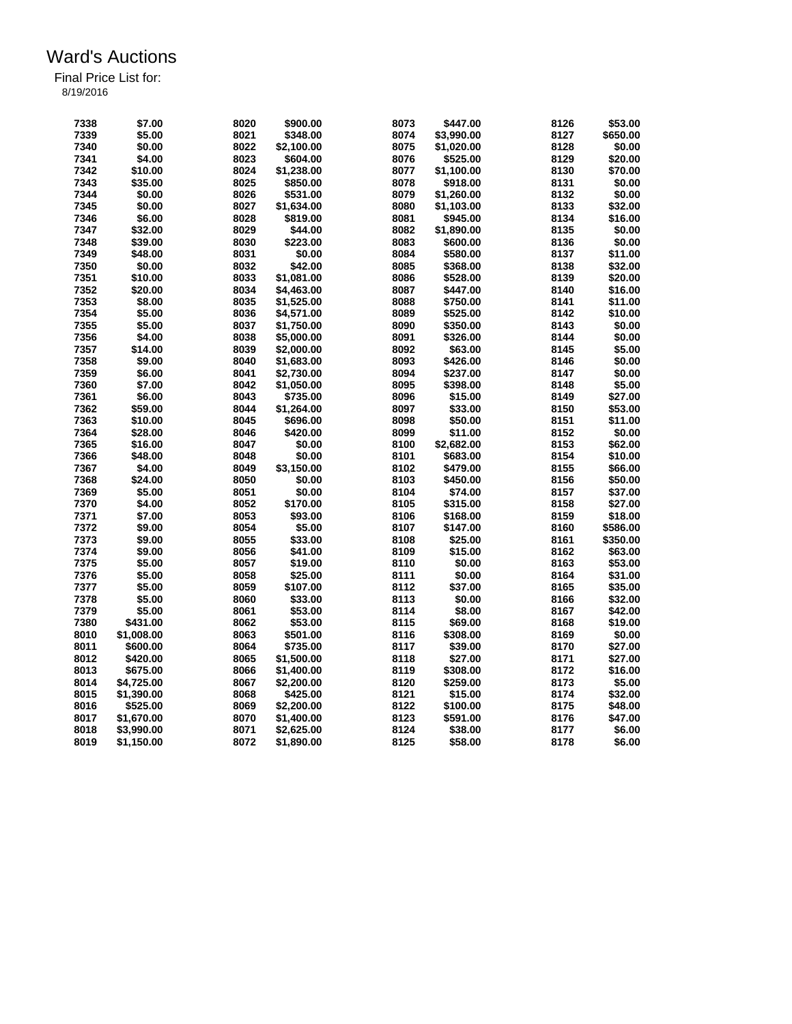| 7338 | \$7.00     | 8020 | \$900.00   | 8073 | \$447.00   | 8126 | \$53.00  |
|------|------------|------|------------|------|------------|------|----------|
| 7339 | \$5.00     | 8021 | \$348.00   | 8074 | \$3,990.00 | 8127 | \$650.00 |
| 7340 | \$0.00     | 8022 | \$2,100.00 | 8075 | \$1,020.00 | 8128 | \$0.00   |
| 7341 | \$4.00     | 8023 | \$604.00   | 8076 | \$525.00   | 8129 | \$20.00  |
| 7342 | \$10.00    | 8024 | \$1,238.00 | 8077 | \$1,100.00 | 8130 | \$70.00  |
| 7343 | \$35.00    | 8025 | \$850.00   | 8078 | \$918.00   | 8131 | \$0.00   |
| 7344 | \$0.00     | 8026 | \$531.00   | 8079 | \$1,260.00 | 8132 | \$0.00   |
| 7345 | \$0.00     | 8027 | \$1,634.00 | 8080 | \$1,103.00 | 8133 | \$32.00  |
| 7346 | \$6.00     | 8028 | \$819.00   | 8081 | \$945.00   | 8134 | \$16.00  |
| 7347 | \$32.00    | 8029 | \$44.00    | 8082 | \$1,890.00 | 8135 | \$0.00   |
| 7348 | \$39.00    | 8030 | \$223.00   | 8083 | \$600.00   | 8136 | \$0.00   |
| 7349 | \$48.00    | 8031 | \$0.00     | 8084 | \$580.00   | 8137 | \$11.00  |
| 7350 | \$0.00     | 8032 | \$42.00    | 8085 | \$368.00   | 8138 | \$32.00  |
| 7351 | \$10.00    | 8033 | \$1,081.00 | 8086 | \$528.00   | 8139 | \$20.00  |
| 7352 | \$20.00    | 8034 | \$4,463.00 | 8087 | \$447.00   | 8140 | \$16.00  |
| 7353 | \$8.00     | 8035 | \$1,525.00 | 8088 | \$750.00   | 8141 | \$11.00  |
| 7354 | \$5.00     | 8036 | \$4,571.00 | 8089 | \$525.00   | 8142 | \$10.00  |
| 7355 | \$5.00     | 8037 | \$1,750.00 | 8090 | \$350.00   | 8143 | \$0.00   |
| 7356 | \$4.00     | 8038 | \$5,000.00 | 8091 | \$326.00   | 8144 | \$0.00   |
| 7357 | \$14.00    | 8039 | \$2,000.00 | 8092 | \$63.00    | 8145 | \$5.00   |
| 7358 | \$9.00     | 8040 | \$1,683.00 | 8093 | \$426.00   | 8146 | \$0.00   |
| 7359 | \$6.00     | 8041 | \$2,730.00 | 8094 | \$237.00   | 8147 | \$0.00   |
| 7360 | \$7.00     | 8042 | \$1,050.00 | 8095 | \$398.00   | 8148 | \$5.00   |
| 7361 | \$6.00     | 8043 | \$735.00   | 8096 | \$15.00    | 8149 | \$27.00  |
| 7362 | \$59.00    | 8044 | \$1,264.00 | 8097 | \$33.00    | 8150 | \$53.00  |
| 7363 | \$10.00    | 8045 | \$696.00   | 8098 | \$50.00    | 8151 | \$11.00  |
| 7364 | \$28.00    | 8046 | \$420.00   | 8099 | \$11.00    | 8152 | \$0.00   |
| 7365 | \$16.00    | 8047 | \$0.00     | 8100 | \$2,682.00 | 8153 | \$62.00  |
| 7366 | \$48.00    | 8048 | \$0.00     | 8101 | \$683.00   | 8154 | \$10.00  |
| 7367 | \$4.00     | 8049 | \$3,150.00 | 8102 | \$479.00   | 8155 | \$66.00  |
| 7368 | \$24.00    | 8050 | \$0.00     | 8103 | \$450.00   | 8156 | \$50.00  |
| 7369 | \$5.00     | 8051 | \$0.00     | 8104 | \$74.00    | 8157 | \$37.00  |
| 7370 | \$4.00     | 8052 | \$170.00   | 8105 | \$315.00   | 8158 | \$27.00  |
| 7371 | \$7.00     | 8053 | \$93.00    | 8106 | \$168.00   | 8159 | \$18.00  |
| 7372 | \$9.00     | 8054 | \$5.00     | 8107 | \$147.00   | 8160 | \$586.00 |
| 7373 | \$9.00     | 8055 | \$33.00    | 8108 | \$25.00    | 8161 | \$350.00 |
| 7374 | \$9.00     | 8056 | \$41.00    | 8109 | \$15.00    | 8162 | \$63.00  |
| 7375 | \$5.00     | 8057 | \$19.00    | 8110 | \$0.00     | 8163 | \$53.00  |
| 7376 | \$5.00     | 8058 | \$25.00    | 8111 | \$0.00     | 8164 | \$31.00  |
| 7377 | \$5.00     | 8059 | \$107.00   | 8112 | \$37.00    | 8165 | \$35.00  |
| 7378 | \$5.00     | 8060 | \$33.00    | 8113 | \$0.00     | 8166 | \$32.00  |
| 7379 | \$5.00     | 8061 | \$53.00    | 8114 | \$8.00     | 8167 | \$42.00  |
| 7380 | \$431.00   | 8062 | \$53.00    | 8115 | \$69.00    | 8168 | \$19.00  |
| 8010 | \$1,008.00 | 8063 | \$501.00   | 8116 | \$308.00   | 8169 | \$0.00   |
| 8011 | \$600.00   | 8064 | \$735.00   | 8117 | \$39.00    | 8170 | \$27.00  |
| 8012 | \$420.00   | 8065 | \$1,500.00 | 8118 | \$27.00    | 8171 | \$27.00  |
| 8013 | \$675.00   | 8066 | \$1,400.00 | 8119 | \$308.00   | 8172 | \$16.00  |
| 8014 | \$4,725.00 | 8067 | \$2,200.00 | 8120 | \$259.00   | 8173 | \$5.00   |
| 8015 | \$1,390.00 | 8068 | \$425.00   | 8121 | \$15.00    | 8174 | \$32.00  |
| 8016 | \$525.00   | 8069 | \$2,200.00 | 8122 | \$100.00   | 8175 | \$48.00  |
| 8017 | \$1,670.00 | 8070 | \$1,400.00 | 8123 | \$591.00   | 8176 | \$47.00  |
| 8018 | \$3,990.00 | 8071 | \$2,625.00 | 8124 | \$38.00    | 8177 | \$6.00   |
| 8019 | \$1,150.00 | 8072 | \$1,890.00 | 8125 | \$58.00    | 8178 | \$6.00   |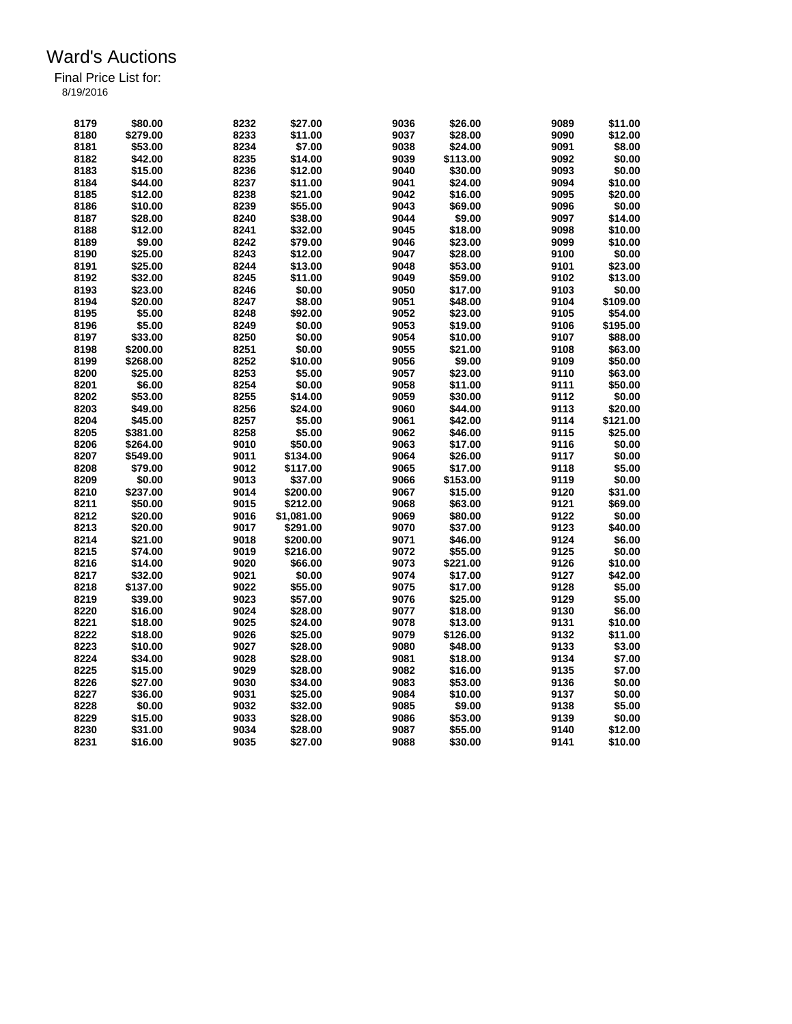| 8179 | \$80.00  | 8232 | \$27.00    | 9036 | \$26.00  | 9089         | \$11.00            |
|------|----------|------|------------|------|----------|--------------|--------------------|
| 8180 | \$279.00 | 8233 | \$11.00    | 9037 | \$28.00  | 9090         | \$12.00            |
| 8181 | \$53.00  | 8234 | \$7.00     | 9038 | \$24.00  | 9091         | \$8.00             |
| 8182 | \$42.00  | 8235 | \$14.00    | 9039 | \$113.00 | 9092         | \$0.00             |
| 8183 | \$15.00  | 8236 | \$12.00    | 9040 | \$30.00  | 9093         | \$0.00             |
| 8184 | \$44.00  | 8237 | \$11.00    | 9041 | \$24.00  | 9094         | \$10.00            |
| 8185 | \$12.00  | 8238 | \$21.00    | 9042 | \$16.00  | 9095         | \$20.00            |
| 8186 | \$10.00  | 8239 | \$55.00    | 9043 | \$69.00  | 9096         | \$0.00             |
|      | \$28.00  | 8240 | \$38.00    | 9044 |          | 9097         |                    |
| 8187 |          |      |            | 9045 | \$9.00   |              | \$14.00<br>\$10.00 |
| 8188 | \$12.00  | 8241 | \$32.00    |      | \$18.00  | 9098         |                    |
| 8189 | \$9.00   | 8242 | \$79.00    | 9046 | \$23.00  | 9099         | \$10.00            |
| 8190 | \$25.00  | 8243 | \$12.00    | 9047 | \$28.00  | 9100         | \$0.00             |
| 8191 | \$25.00  | 8244 | \$13.00    | 9048 | \$53.00  | 9101         | \$23.00            |
| 8192 | \$32.00  | 8245 | \$11.00    | 9049 | \$59.00  | 9102         | \$13.00            |
| 8193 | \$23.00  | 8246 | \$0.00     | 9050 | \$17.00  | 9103         | \$0.00             |
| 8194 | \$20.00  | 8247 | \$8.00     | 9051 | \$48.00  | 9104         | \$109.00           |
| 8195 | \$5.00   | 8248 | \$92.00    | 9052 | \$23.00  | 9105         | \$54.00            |
| 8196 | \$5.00   | 8249 | \$0.00     | 9053 | \$19.00  | 9106         | \$195.00           |
| 8197 | \$33.00  | 8250 | \$0.00     | 9054 | \$10.00  | 9107         | \$88.00            |
| 8198 | \$200.00 | 8251 | \$0.00     | 9055 | \$21.00  | 9108         | \$63.00            |
| 8199 | \$268.00 | 8252 | \$10.00    | 9056 | \$9.00   | 9109         | \$50.00            |
| 8200 | \$25.00  | 8253 | \$5.00     | 9057 | \$23.00  | 9110         | \$63.00            |
| 8201 | \$6.00   | 8254 | \$0.00     | 9058 | \$11.00  | 9111         | \$50.00            |
| 8202 | \$53.00  | 8255 | \$14.00    | 9059 | \$30.00  | 9112         | \$0.00             |
| 8203 | \$49.00  | 8256 | \$24.00    | 9060 | \$44.00  | 9113         | \$20.00            |
| 8204 | \$45.00  | 8257 | \$5.00     | 9061 | \$42.00  | 9114         | \$121.00           |
| 8205 | \$381.00 | 8258 | \$5.00     | 9062 | \$46.00  | 9115         | \$25.00            |
| 8206 | \$264.00 | 9010 | \$50.00    | 9063 | \$17.00  | 9116         | \$0.00             |
| 8207 | \$549.00 | 9011 | \$134.00   | 9064 | \$26.00  | 9117         | \$0.00             |
| 8208 | \$79.00  | 9012 | \$117.00   | 9065 | \$17.00  | 9118         | \$5.00             |
| 8209 | \$0.00   | 9013 | \$37.00    | 9066 | \$153.00 | 9119         | \$0.00             |
|      |          |      |            | 9067 |          |              | \$31.00            |
| 8210 | \$237.00 | 9014 | \$200.00   |      | \$15.00  | 9120<br>9121 |                    |
| 8211 | \$50.00  | 9015 | \$212.00   | 9068 | \$63.00  |              | \$69.00            |
| 8212 | \$20.00  | 9016 | \$1,081.00 | 9069 | \$80.00  | 9122         | \$0.00             |
| 8213 | \$20.00  | 9017 | \$291.00   | 9070 | \$37.00  | 9123         | \$40.00            |
| 8214 | \$21.00  | 9018 | \$200.00   | 9071 | \$46.00  | 9124         | \$6.00             |
| 8215 | \$74.00  | 9019 | \$216.00   | 9072 | \$55.00  | 9125         | \$0.00             |
| 8216 | \$14.00  | 9020 | \$66.00    | 9073 | \$221.00 | 9126         | \$10.00            |
| 8217 | \$32.00  | 9021 | \$0.00     | 9074 | \$17.00  | 9127         | \$42.00            |
| 8218 | \$137.00 | 9022 | \$55.00    | 9075 | \$17.00  | 9128         | \$5.00             |
| 8219 | \$39.00  | 9023 | \$57.00    | 9076 | \$25.00  | 9129         | \$5.00             |
| 8220 | \$16.00  | 9024 | \$28.00    | 9077 | \$18.00  | 9130         | \$6.00             |
| 8221 | \$18.00  | 9025 | \$24.00    | 9078 | \$13.00  | 9131         | \$10.00            |
| 8222 | \$18.00  | 9026 | \$25.00    | 9079 | \$126.00 | 9132         | \$11.00            |
| 8223 | \$10.00  | 9027 | \$28.00    | 9080 | \$48.00  | 9133         | \$3.00             |
| 8224 | \$34.00  | 9028 | \$28.00    | 9081 | \$18.00  | 9134         | \$7.00             |
| 8225 | \$15.00  | 9029 | \$28.00    | 9082 | \$16.00  | 9135         | \$7.00             |
| 8226 | \$27.00  | 9030 | \$34.00    | 9083 | \$53.00  | 9136         | \$0.00             |
| 8227 | \$36.00  | 9031 | \$25.00    | 9084 | \$10.00  | 9137         | \$0.00             |
| 8228 | \$0.00   | 9032 | \$32.00    | 9085 | \$9.00   | 9138         | \$5.00             |
| 8229 | \$15.00  | 9033 | \$28.00    | 9086 | \$53.00  | 9139         | \$0.00             |
| 8230 | \$31.00  | 9034 | \$28.00    | 9087 | \$55.00  | 9140         | \$12.00            |
| 8231 | \$16.00  | 9035 | \$27.00    | 9088 | \$30.00  | 9141         | \$10.00            |
|      |          |      |            |      |          |              |                    |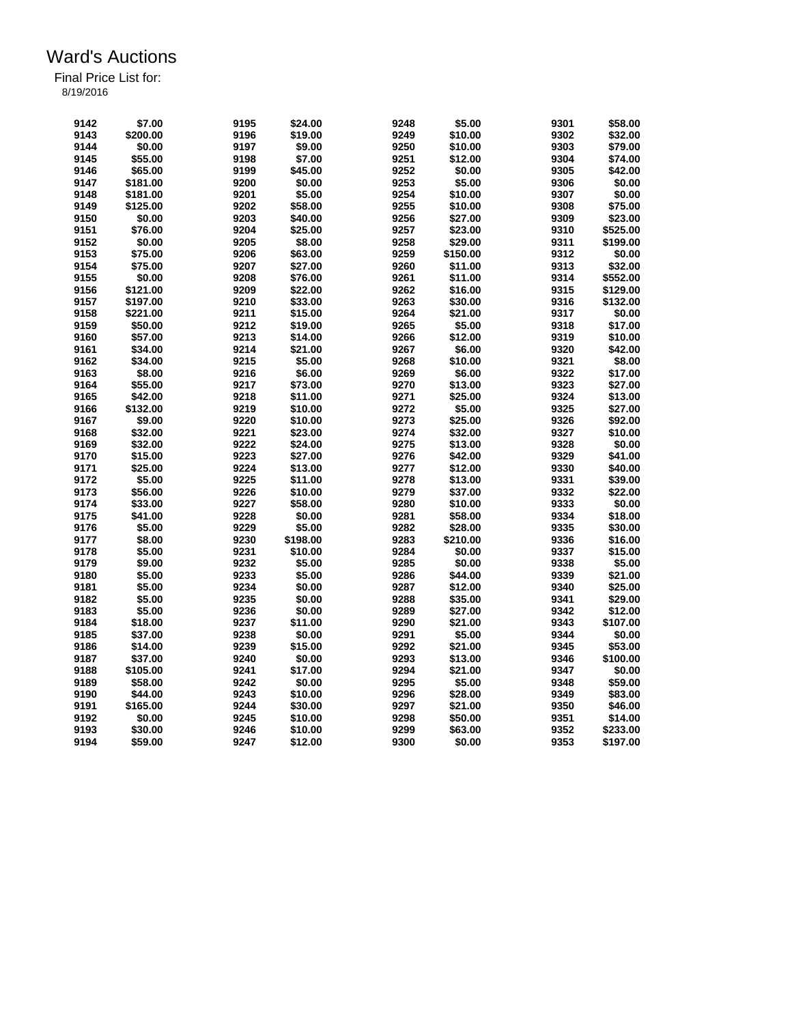| 9142 | \$7.00   | 9195 | \$24.00  | 9248         | \$5.00   | 9301         | \$58.00  |
|------|----------|------|----------|--------------|----------|--------------|----------|
| 9143 | \$200.00 | 9196 | \$19.00  | 9249         | \$10.00  | 9302         | \$32.00  |
| 9144 | \$0.00   | 9197 | \$9.00   | 9250         | \$10.00  | 9303         | \$79.00  |
| 9145 | \$55.00  | 9198 | \$7.00   | 9251         | \$12.00  | 9304         | \$74.00  |
| 9146 | \$65.00  | 9199 | \$45.00  | 9252         | \$0.00   | 9305         | \$42.00  |
| 9147 | \$181.00 | 9200 | \$0.00   | 9253         | \$5.00   | 9306         | \$0.00   |
| 9148 | \$181.00 | 9201 | \$5.00   | 9254         | \$10.00  | 9307         | \$0.00   |
| 9149 | \$125.00 | 9202 | \$58.00  | 9255         | \$10.00  | 9308         | \$75.00  |
| 9150 | \$0.00   | 9203 | \$40.00  | 9256         | \$27.00  | 9309         | \$23.00  |
| 9151 | \$76.00  | 9204 | \$25.00  | 9257         | \$23.00  | 9310         | \$525.00 |
| 9152 | \$0.00   | 9205 | \$8.00   | 9258         | \$29.00  | 9311         | \$199.00 |
| 9153 | \$75.00  | 9206 | \$63.00  | 9259         | \$150.00 | 9312         | \$0.00   |
| 9154 | \$75.00  | 9207 | \$27.00  | 9260         | \$11.00  | 9313         | \$32.00  |
| 9155 | \$0.00   | 9208 | \$76.00  | 9261         | \$11.00  | 9314         | \$552.00 |
| 9156 | \$121.00 | 9209 | \$22.00  | 9262         | \$16.00  | 9315         | \$129.00 |
| 9157 | \$197.00 | 9210 | \$33.00  | 9263         | \$30.00  | 9316         | \$132.00 |
| 9158 | \$221.00 | 9211 | \$15.00  | 9264         | \$21.00  | 9317         | \$0.00   |
| 9159 | \$50.00  | 9212 | \$19.00  | 9265         | \$5.00   | 9318         | \$17.00  |
|      | \$57.00  |      | \$14.00  |              | \$12.00  |              | \$10.00  |
| 9160 |          | 9213 |          | 9266<br>9267 | \$6.00   | 9319<br>9320 | \$42.00  |
| 9161 | \$34.00  | 9214 | \$21.00  |              |          |              |          |
| 9162 | \$34.00  | 9215 | \$5.00   | 9268         | \$10.00  | 9321         | \$8.00   |
| 9163 | \$8.00   | 9216 | \$6.00   | 9269         | \$6.00   | 9322         | \$17.00  |
| 9164 | \$55.00  | 9217 | \$73.00  | 9270         | \$13.00  | 9323         | \$27.00  |
| 9165 | \$42.00  | 9218 | \$11.00  | 9271         | \$25.00  | 9324         | \$13.00  |
| 9166 | \$132.00 | 9219 | \$10.00  | 9272         | \$5.00   | 9325         | \$27.00  |
| 9167 | \$9.00   | 9220 | \$10.00  | 9273         | \$25.00  | 9326         | \$92.00  |
| 9168 | \$32.00  | 9221 | \$23.00  | 9274         | \$32.00  | 9327         | \$10.00  |
| 9169 | \$32.00  | 9222 | \$24.00  | 9275         | \$13.00  | 9328         | \$0.00   |
| 9170 | \$15.00  | 9223 | \$27.00  | 9276         | \$42.00  | 9329         | \$41.00  |
| 9171 | \$25.00  | 9224 | \$13.00  | 9277         | \$12.00  | 9330         | \$40.00  |
| 9172 | \$5.00   | 9225 | \$11.00  | 9278         | \$13.00  | 9331         | \$39.00  |
| 9173 | \$56.00  | 9226 | \$10.00  | 9279         | \$37.00  | 9332         | \$22.00  |
| 9174 | \$33.00  | 9227 | \$58.00  | 9280         | \$10.00  | 9333         | \$0.00   |
| 9175 | \$41.00  | 9228 | \$0.00   | 9281         | \$58.00  | 9334         | \$18.00  |
| 9176 | \$5.00   | 9229 | \$5.00   | 9282         | \$28.00  | 9335         | \$30.00  |
| 9177 | \$8.00   | 9230 | \$198.00 | 9283         | \$210.00 | 9336         | \$16.00  |
| 9178 | \$5.00   | 9231 | \$10.00  | 9284         | \$0.00   | 9337         | \$15.00  |
| 9179 | \$9.00   | 9232 | \$5.00   | 9285         | \$0.00   | 9338         | \$5.00   |
| 9180 | \$5.00   | 9233 | \$5.00   | 9286         | \$44.00  | 9339         | \$21.00  |
| 9181 | \$5.00   | 9234 | \$0.00   | 9287         | \$12.00  | 9340         | \$25.00  |
| 9182 | \$5.00   | 9235 | \$0.00   | 9288         | \$35.00  | 9341         | \$29.00  |
| 9183 | \$5.00   | 9236 | \$0.00   | 9289         | \$27.00  | 9342         | \$12.00  |
| 9184 | \$18.00  | 9237 | \$11.00  | 9290         | \$21.00  | 9343         | \$107.00 |
| 9185 | \$37.00  | 9238 | \$0.00   | 9291         | \$5.00   | 9344         | \$0.00   |
| 9186 | \$14.00  | 9239 | \$15.00  | 9292         | \$21.00  | 9345         | \$53.00  |
| 9187 | \$37.00  | 9240 | \$0.00   | 9293         | \$13.00  | 9346         | \$100.00 |
| 9188 | \$105.00 | 9241 | \$17.00  | 9294         | \$21.00  | 9347         | \$0.00   |
| 9189 | \$58.00  | 9242 | \$0.00   | 9295         | \$5.00   | 9348         | \$59.00  |
| 9190 | \$44.00  | 9243 | \$10.00  | 9296         | \$28.00  | 9349         | \$83.00  |
| 9191 | \$165.00 | 9244 | \$30.00  | 9297         | \$21.00  | 9350         | \$46.00  |
| 9192 | \$0.00   | 9245 | \$10.00  | 9298         | \$50.00  | 9351         | \$14.00  |
| 9193 | \$30.00  | 9246 | \$10.00  | 9299         | \$63.00  | 9352         | \$233.00 |
| 9194 | \$59.00  | 9247 | \$12.00  | 9300         | \$0.00   | 9353         | \$197.00 |
|      |          |      |          |              |          |              |          |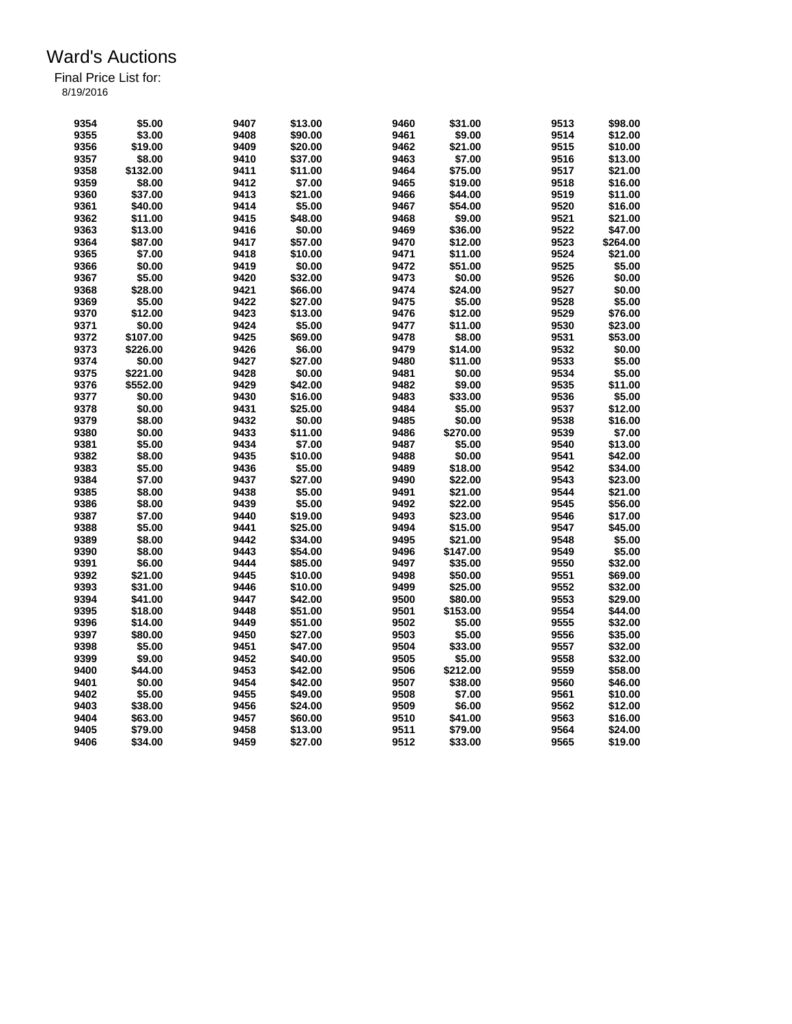| 9354 | \$5.00   | 9407 | \$13.00 | 9460 | \$31.00  | 9513 | \$98.00  |
|------|----------|------|---------|------|----------|------|----------|
| 9355 | \$3.00   | 9408 | \$90.00 | 9461 | \$9.00   | 9514 | \$12.00  |
| 9356 | \$19.00  | 9409 | \$20.00 | 9462 | \$21.00  | 9515 | \$10.00  |
| 9357 | \$8.00   | 9410 | \$37.00 | 9463 | \$7.00   | 9516 | \$13.00  |
| 9358 | \$132.00 | 9411 | \$11.00 | 9464 | \$75.00  | 9517 | \$21.00  |
| 9359 | \$8.00   | 9412 | \$7.00  | 9465 | \$19.00  | 9518 | \$16.00  |
| 9360 | \$37.00  | 9413 | \$21.00 | 9466 | \$44.00  | 9519 | \$11.00  |
| 9361 | \$40.00  | 9414 | \$5.00  | 9467 | \$54.00  | 9520 | \$16.00  |
| 9362 | \$11.00  | 9415 | \$48.00 | 9468 | \$9.00   | 9521 | \$21.00  |
| 9363 | \$13.00  | 9416 | \$0.00  | 9469 | \$36.00  | 9522 | \$47.00  |
| 9364 | \$87.00  | 9417 | \$57.00 | 9470 | \$12.00  | 9523 | \$264.00 |
| 9365 | \$7.00   | 9418 | \$10.00 | 9471 | \$11.00  | 9524 | \$21.00  |
| 9366 | \$0.00   | 9419 | \$0.00  | 9472 | \$51.00  | 9525 | \$5.00   |
| 9367 | \$5.00   | 9420 | \$32.00 | 9473 | \$0.00   | 9526 | \$0.00   |
| 9368 | \$28.00  | 9421 | \$66.00 | 9474 | \$24.00  | 9527 | \$0.00   |
| 9369 | \$5.00   | 9422 | \$27.00 | 9475 | \$5.00   | 9528 | \$5.00   |
| 9370 | \$12.00  | 9423 | \$13.00 | 9476 | \$12.00  | 9529 | \$76.00  |
| 9371 | \$0.00   | 9424 | \$5.00  | 9477 | \$11.00  | 9530 | \$23.00  |
| 9372 | \$107.00 | 9425 | \$69.00 | 9478 | \$8.00   | 9531 | \$53.00  |
| 9373 |          | 9426 | \$6.00  | 9479 | \$14.00  | 9532 | \$0.00   |
|      | \$226.00 |      |         |      |          |      | \$5.00   |
| 9374 | \$0.00   | 9427 | \$27.00 | 9480 | \$11.00  | 9533 |          |
| 9375 | \$221.00 | 9428 | \$0.00  | 9481 | \$0.00   | 9534 | \$5.00   |
| 9376 | \$552.00 | 9429 | \$42.00 | 9482 | \$9.00   | 9535 | \$11.00  |
| 9377 | \$0.00   | 9430 | \$16.00 | 9483 | \$33.00  | 9536 | \$5.00   |
| 9378 | \$0.00   | 9431 | \$25.00 | 9484 | \$5.00   | 9537 | \$12.00  |
| 9379 | \$8.00   | 9432 | \$0.00  | 9485 | \$0.00   | 9538 | \$16.00  |
| 9380 | \$0.00   | 9433 | \$11.00 | 9486 | \$270.00 | 9539 | \$7.00   |
| 9381 | \$5.00   | 9434 | \$7.00  | 9487 | \$5.00   | 9540 | \$13.00  |
| 9382 | \$8.00   | 9435 | \$10.00 | 9488 | \$0.00   | 9541 | \$42.00  |
| 9383 | \$5.00   | 9436 | \$5.00  | 9489 | \$18.00  | 9542 | \$34.00  |
| 9384 | \$7.00   | 9437 | \$27.00 | 9490 | \$22.00  | 9543 | \$23.00  |
| 9385 | \$8.00   | 9438 | \$5.00  | 9491 | \$21.00  | 9544 | \$21.00  |
| 9386 | \$8.00   | 9439 | \$5.00  | 9492 | \$22.00  | 9545 | \$56.00  |
| 9387 | \$7.00   | 9440 | \$19.00 | 9493 | \$23.00  | 9546 | \$17.00  |
| 9388 | \$5.00   | 9441 | \$25.00 | 9494 | \$15.00  | 9547 | \$45.00  |
| 9389 | \$8.00   | 9442 | \$34.00 | 9495 | \$21.00  | 9548 | \$5.00   |
| 9390 | \$8.00   | 9443 | \$54.00 | 9496 | \$147.00 | 9549 | \$5.00   |
| 9391 | \$6.00   | 9444 | \$85.00 | 9497 | \$35.00  | 9550 | \$32.00  |
| 9392 | \$21.00  | 9445 | \$10.00 | 9498 | \$50.00  | 9551 | \$69.00  |
| 9393 | \$31.00  | 9446 | \$10.00 | 9499 | \$25.00  | 9552 | \$32.00  |
| 9394 | \$41.00  | 9447 | \$42.00 | 9500 | \$80.00  | 9553 | \$29.00  |
| 9395 | \$18.00  | 9448 | \$51.00 | 9501 | \$153.00 | 9554 | \$44.00  |
| 9396 | \$14.00  | 9449 | \$51.00 | 9502 | \$5.00   | 9555 | \$32.00  |
| 9397 | \$80.00  | 9450 | \$27.00 | 9503 | \$5.00   | 9556 | \$35.00  |
| 9398 | \$5.00   | 9451 | \$47.00 | 9504 | \$33.00  | 9557 | \$32.00  |
| 9399 | \$9.00   | 9452 | \$40.00 | 9505 | \$5.00   | 9558 | \$32.00  |
| 9400 | \$44.00  | 9453 | \$42.00 | 9506 | \$212.00 | 9559 | \$58.00  |
|      |          |      |         |      |          |      |          |
| 9401 | \$0.00   | 9454 | \$42.00 | 9507 | \$38.00  | 9560 | \$46.00  |
| 9402 | \$5.00   | 9455 | \$49.00 | 9508 | \$7.00   | 9561 | \$10.00  |
| 9403 | \$38.00  | 9456 | \$24.00 | 9509 | \$6.00   | 9562 | \$12.00  |
| 9404 | \$63.00  | 9457 | \$60.00 | 9510 | \$41.00  | 9563 | \$16.00  |
| 9405 | \$79.00  | 9458 | \$13.00 | 9511 | \$79.00  | 9564 | \$24.00  |
| 9406 | \$34.00  | 9459 | \$27.00 | 9512 | \$33.00  | 9565 | \$19.00  |